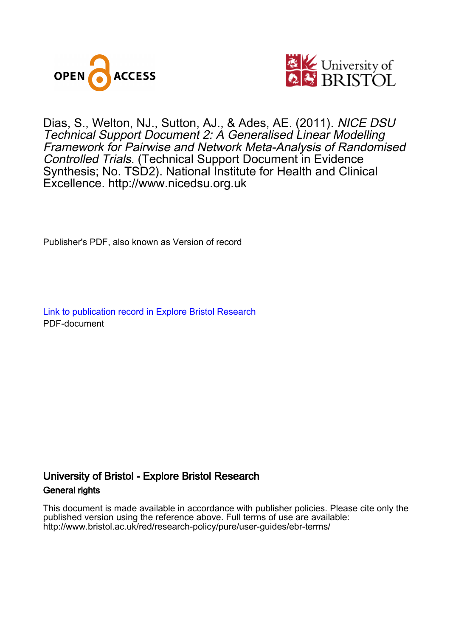



# Dias, S., Welton, NJ., Sutton, AJ., & Ades, AE. (2011). NICE DSU Technical Support Document 2: A Generalised Linear Modelling Framework for Pairwise and Network Meta-Analysis of Randomised Controlled Trials. (Technical Support Document in Evidence Synthesis; No. TSD2). National Institute for Health and Clinical Excellence.<http://www.nicedsu.org.uk>

Publisher's PDF, also known as Version of record

[Link to publication record in Explore Bristol Research](https://research-information.bris.ac.uk/en/publications/f941ebe0-73fa-444f-85d1-aa311d7b50f6) PDF-document

# University of Bristol - Explore Bristol Research General rights

This document is made available in accordance with publisher policies. Please cite only the published version using the reference above. Full terms of use are available: http://www.bristol.ac.uk/red/research-policy/pure/user-guides/ebr-terms/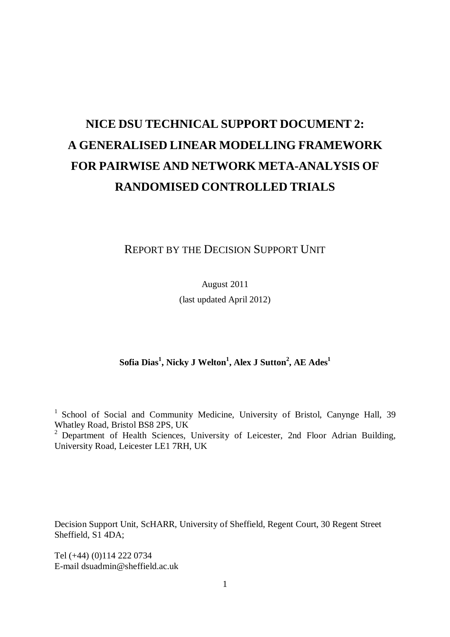# **NICE DSU TECHNICAL SUPPORT DOCUMENT 2: A GENERALISED LINEAR MODELLING FRAMEWORK FOR PAIRWISE AND NETWORK META-ANALYSIS OF RANDOMISED CONTROLLED TRIALS**

REPORT BY THE DECISION SUPPORT UNIT

August 2011

(last updated April 2012)

### **Sofia Dias<sup>1</sup> , Nicky J Welton<sup>1</sup> , Alex J Sutton<sup>2</sup> , AE Ades<sup>1</sup>**

<sup>1</sup> School of Social and Community Medicine, University of Bristol, Canynge Hall, 39 Whatley Road, Bristol BS8 2PS, UK

<sup>2</sup> Department of Health Sciences, University of Leicester, 2nd Floor Adrian Building, University Road, Leicester LE1 7RH, UK

Decision Support Unit, ScHARR, University of Sheffield, Regent Court, 30 Regent Street Sheffield, S1 4DA;

Tel (+44) (0)114 222 0734 E-mail dsuadmin@sheffield.ac.uk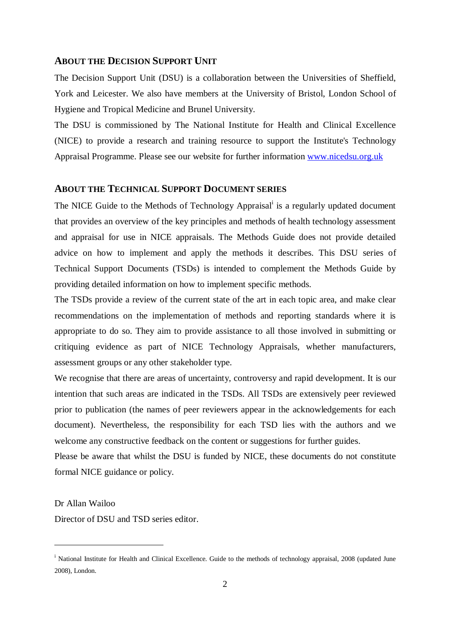#### **ABOUT THE DECISION SUPPORT UNIT**

The Decision Support Unit (DSU) is a collaboration between the Universities of Sheffield, York and Leicester. We also have members at the University of Bristol, London School of Hygiene and Tropical Medicine and Brunel University.

The DSU is commissioned by The National Institute for Health and Clinical Excellence (NICE) to provide a research and training resource to support the Institute's Technology Appraisal Programme. Please see our website for further information www.nicedsu.org.uk

### **ABOUT THE TECHNICAL SUPPORT DOCUMENT SERIES**

The NICE Guide to the Methods of Technology Appraisal<sup>i</sup> is a regularly updated document that provides an overview of the key principles and methods of health technology assessment and appraisal for use in NICE appraisals. The Methods Guide does not provide detailed advice on how to implement and apply the methods it describes. This DSU series of Technical Support Documents (TSDs) is intended to complement the Methods Guide by providing detailed information on how to implement specific methods.

The TSDs provide a review of the current state of the art in each topic area, and make clear recommendations on the implementation of methods and reporting standards where it is appropriate to do so. They aim to provide assistance to all those involved in submitting or critiquing evidence as part of NICE Technology Appraisals, whether manufacturers, assessment groups or any other stakeholder type.

We recognise that there are areas of uncertainty, controversy and rapid development. It is our intention that such areas are indicated in the TSDs. All TSDs are extensively peer reviewed prior to publication (the names of peer reviewers appear in the acknowledgements for each document). Nevertheless, the responsibility for each TSD lies with the authors and we welcome any constructive feedback on the content or suggestions for further guides.

Please be aware that whilst the DSU is funded by NICE, these documents do not constitute formal NICE guidance or policy.

Dr Allan Wailoo

 $\overline{a}$ 

Director of DSU and TSD series editor.

<sup>&</sup>lt;sup>i</sup> National Institute for Health and Clinical Excellence. Guide to the methods of technology appraisal, 2008 (updated June 2008), London.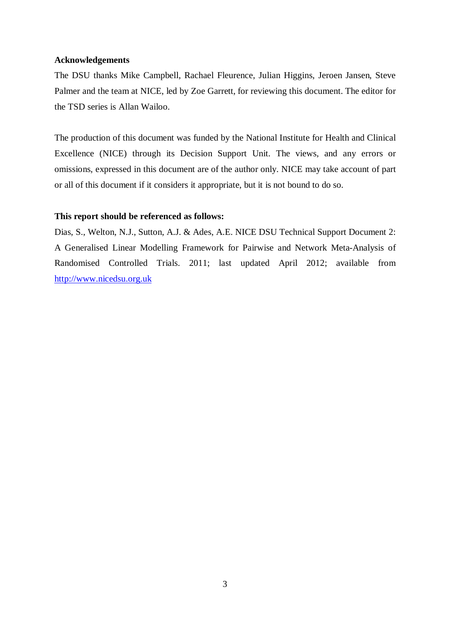#### **Acknowledgements**

The DSU thanks Mike Campbell, Rachael Fleurence, Julian Higgins, Jeroen Jansen, Steve Palmer and the team at NICE, led by Zoe Garrett, for reviewing this document. The editor for the TSD series is Allan Wailoo.

The production of this document was funded by the National Institute for Health and Clinical Excellence (NICE) through its Decision Support Unit. The views, and any errors or omissions, expressed in this document are of the author only. NICE may take account of part or all of this document if it considers it appropriate, but it is not bound to do so.

#### **This report should be referenced as follows:**

Dias, S., Welton, N.J., Sutton, A.J. & Ades, A.E. NICE DSU Technical Support Document 2: A Generalised Linear Modelling Framework for Pairwise and Network Meta-Analysis of Randomised Controlled Trials. 2011; last updated April 2012; available from http://www.nicedsu.org.uk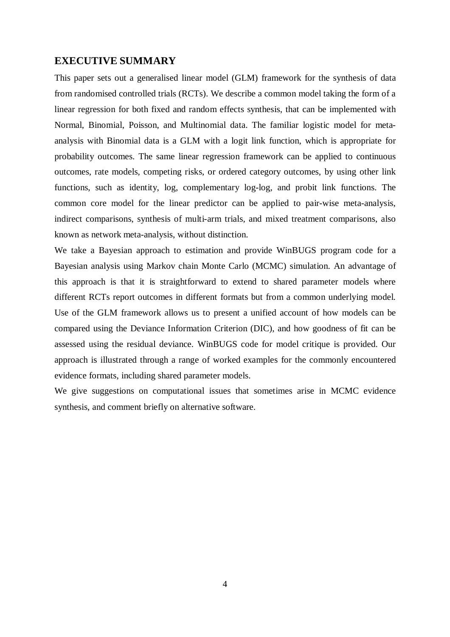### **EXECUTIVE SUMMARY**

This paper sets out a generalised linear model (GLM) framework for the synthesis of data from randomised controlled trials (RCTs). We describe a common model taking the form of a linear regression for both fixed and random effects synthesis, that can be implemented with Normal, Binomial, Poisson, and Multinomial data. The familiar logistic model for metaanalysis with Binomial data is a GLM with a logit link function, which is appropriate for probability outcomes. The same linear regression framework can be applied to continuous outcomes, rate models, competing risks, or ordered category outcomes, by using other link functions, such as identity, log, complementary log-log, and probit link functions. The common core model for the linear predictor can be applied to pair-wise meta-analysis, indirect comparisons, synthesis of multi-arm trials, and mixed treatment comparisons, also known as network meta-analysis, without distinction.

We take a Bayesian approach to estimation and provide WinBUGS program code for a Bayesian analysis using Markov chain Monte Carlo (MCMC) simulation. An advantage of this approach is that it is straightforward to extend to shared parameter models where different RCTs report outcomes in different formats but from a common underlying model. Use of the GLM framework allows us to present a unified account of how models can be compared using the Deviance Information Criterion (DIC), and how goodness of fit can be assessed using the residual deviance. WinBUGS code for model critique is provided. Our approach is illustrated through a range of worked examples for the commonly encountered evidence formats, including shared parameter models.

We give suggestions on computational issues that sometimes arise in MCMC evidence synthesis, and comment briefly on alternative software.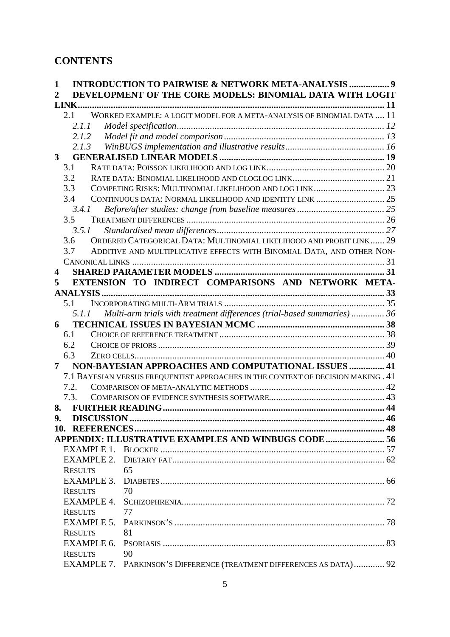# **CONTENTS**

| 1              | <b>INTRODUCTION TO PAIRWISE &amp; NETWORK META-ANALYSIS  9</b>                    |  |
|----------------|-----------------------------------------------------------------------------------|--|
| 2              | DEVELOPMENT OF THE CORE MODELS: BINOMIAL DATA WITH LOGIT                          |  |
|                |                                                                                   |  |
|                | WORKED EXAMPLE: A LOGIT MODEL FOR A META-ANALYSIS OF BINOMIAL DATA  11<br>2.1     |  |
|                | 2.1.1                                                                             |  |
|                | 2.1.2                                                                             |  |
|                | 2.1.3                                                                             |  |
| $3^{\circ}$    |                                                                                   |  |
|                | 3.1                                                                               |  |
|                | 3.2                                                                               |  |
|                | COMPETING RISKS: MULTINOMIAL LIKELIHOOD AND LOG LINK 23<br>3.3                    |  |
|                | 3.4                                                                               |  |
|                | 3.4.1                                                                             |  |
|                | 3.5                                                                               |  |
|                | 3.5.1                                                                             |  |
|                | ORDERED CATEGORICAL DATA: MULTINOMIAL LIKELIHOOD AND PROBIT LINK 29<br>3.6        |  |
|                | ADDITIVE AND MULTIPLICATIVE EFFECTS WITH BINOMIAL DATA, AND OTHER NON-<br>3.7     |  |
|                |                                                                                   |  |
| 4              |                                                                                   |  |
| 5              | EXTENSION TO INDIRECT COMPARISONS AND NETWORK META-                               |  |
|                |                                                                                   |  |
|                | 5.1                                                                               |  |
|                | Multi-arm trials with treatment differences (trial-based summaries) 36<br>5.1.1   |  |
| 6              |                                                                                   |  |
|                | 6.1                                                                               |  |
|                | 6.2                                                                               |  |
|                | 6.3                                                                               |  |
| $\overline{7}$ | NON-BAYESIAN APPROACHES AND COMPUTATIONAL ISSUES  41                              |  |
|                | 7.1 BAYESIAN VERSUS FREQUENTIST APPROACHES IN THE CONTEXT OF DECISION MAKING . 41 |  |
|                | 7.2.                                                                              |  |
|                | 7.3.                                                                              |  |
| 8.             |                                                                                   |  |
| 9.             | <b>DISCUSSION</b>                                                                 |  |
|                |                                                                                   |  |
|                | APPENDIX: ILLUSTRATIVE EXAMPLES AND WINBUGS CODE 56                               |  |
|                |                                                                                   |  |
|                | <b>EXAMPLE 2.</b>                                                                 |  |
|                | 65<br><b>RESULTS</b>                                                              |  |
|                |                                                                                   |  |
|                | <b>RESULTS</b><br>70                                                              |  |
|                |                                                                                   |  |
|                | <b>RESULTS</b><br>77                                                              |  |
|                |                                                                                   |  |
|                | 81<br><b>RESULTS</b>                                                              |  |
|                |                                                                                   |  |
|                |                                                                                   |  |
|                | <b>RESULTS</b><br>90                                                              |  |
|                | EXAMPLE 7. PARKINSON'S DIFFERENCE (TREATMENT DIFFERENCES AS DATA) 92              |  |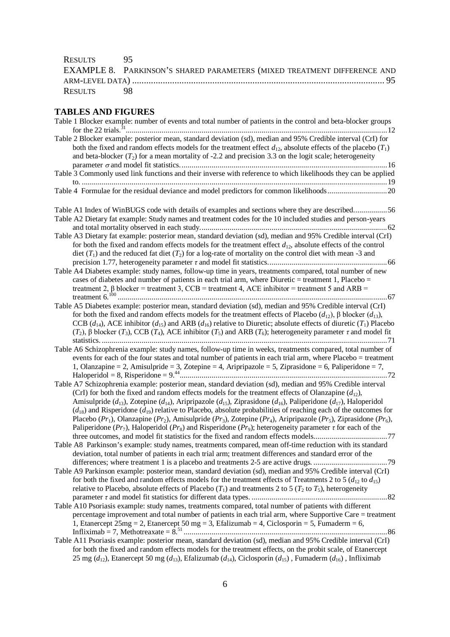| RESULTS 95 |                                                                          |  |  |  |  |  |
|------------|--------------------------------------------------------------------------|--|--|--|--|--|
|            | EXAMPLE 8. PARKINSON'S SHARED PARAMETERS (MIXED TREATMENT DIFFERENCE AND |  |  |  |  |  |
|            |                                                                          |  |  |  |  |  |
| RESULTS 98 |                                                                          |  |  |  |  |  |

# **TABLES AND FIGURES**

| Table 1 Blocker example: number of events and total number of patients in the control and beta-blocker groups                                                                                                                                                                                                                                     |
|---------------------------------------------------------------------------------------------------------------------------------------------------------------------------------------------------------------------------------------------------------------------------------------------------------------------------------------------------|
| Table 2 Blocker example: posterior mean, standard deviation (sd), median and 95% Credible interval (CrI) for<br>both the fixed and random effects models for the treatment effect $d_{12}$ , absolute effects of the placebo $(T_1)$<br>and beta-blocker $(T_2)$ for a mean mortality of -2.2 and precision 3.3 on the logit scale; heterogeneity |
|                                                                                                                                                                                                                                                                                                                                                   |
| Table 3 Commonly used link functions and their inverse with reference to which likelihoods they can be applied                                                                                                                                                                                                                                    |
|                                                                                                                                                                                                                                                                                                                                                   |
|                                                                                                                                                                                                                                                                                                                                                   |
|                                                                                                                                                                                                                                                                                                                                                   |
| Table A1 Index of WinBUGS code with details of examples and sections where they are described56                                                                                                                                                                                                                                                   |
| Table A2 Dietary fat example: Study names and treatment codes for the 10 included studies and person-years                                                                                                                                                                                                                                        |
|                                                                                                                                                                                                                                                                                                                                                   |
| Table A3 Dietary fat example: posterior mean, standard deviation (sd), median and 95% Credible interval (CrI)                                                                                                                                                                                                                                     |
| for both the fixed and random effects models for the treatment effect $d_{12}$ , absolute effects of the control                                                                                                                                                                                                                                  |
| diet $(T_1)$ and the reduced fat diet $(T_2)$ for a log-rate of mortality on the control diet with mean -3 and                                                                                                                                                                                                                                    |
|                                                                                                                                                                                                                                                                                                                                                   |
| Table A4 Diabetes example: study names, follow-up time in years, treatments compared, total number of new                                                                                                                                                                                                                                         |
| cases of diabetes and number of patients in each trial arm, where Diuretic = treatment 1, Placebo =<br>treatment 2, $\beta$ blocker = treatment 3, CCB = treatment 4, ACE inhibitor = treatment 5 and ARB =                                                                                                                                       |
|                                                                                                                                                                                                                                                                                                                                                   |
| Table A5 Diabetes example: posterior mean, standard deviation (sd), median and 95% Credible interval (CrI)                                                                                                                                                                                                                                        |
| for both the fixed and random effects models for the treatment effects of Placebo $(d_{12})$ , $\beta$ blocker $(d_{13})$ ,                                                                                                                                                                                                                       |
| CCB $(d_{14})$ , ACE inhibitor $(d_{15})$ and ARB $(d_{16})$ relative to Diuretic; absolute effects of diuretic $(T_1)$ Placebo                                                                                                                                                                                                                   |
| $(T_2)$ , $\beta$ blocker $(T_3)$ , CCB $(T_4)$ , ACE inhibitor $(T_5)$ and ARB $(T_6)$ ; heterogeneity parameter $\tau$ and model fit                                                                                                                                                                                                            |
|                                                                                                                                                                                                                                                                                                                                                   |
| Table A6 Schizophrenia example: study names, follow-up time in weeks, treatments compared, total number of                                                                                                                                                                                                                                        |
| events for each of the four states and total number of patients in each trial arm, where Placebo = treatment                                                                                                                                                                                                                                      |
| 1, Olanzapine = 2, Amisulpride = 3, Zotepine = 4, Aripripazole = 5, Ziprasidone = 6, Paliperidone = 7,                                                                                                                                                                                                                                            |
|                                                                                                                                                                                                                                                                                                                                                   |
| Table A7 Schizophrenia example: posterior mean, standard deviation (sd), median and 95% Credible interval                                                                                                                                                                                                                                         |
| (CrI) for both the fixed and random effects models for the treatment effects of Olanzapine $(d_{12})$ ,                                                                                                                                                                                                                                           |
| Amisulpride ( $d_{13}$ ), Zotepine ( $d_{14}$ ), Aripripazole ( $d_{15}$ ), Ziprasidone ( $d_{16}$ ), Paliperidone ( $d_{17}$ ), Haloperidol                                                                                                                                                                                                      |
| $(d_{18})$ and Risperidone $(d_{19})$ relative to Placebo, absolute probabilities of reaching each of the outcomes for                                                                                                                                                                                                                            |
| Placebo $(Pr_1)$ , Olanzapine $(Pr_2)$ , Amisulpride $(Pr_3)$ , Zotepine $(Pr_4)$ , Aripripazole $(Pr_5)$ , Ziprasidone $(Pr_6)$ ,                                                                                                                                                                                                                |
| Paliperidone (Pr <sub>7</sub> ), Haloperidol (Pr <sub>8</sub> ) and Risperidone (Pr <sub>9</sub> ); heterogeneity parameter $\tau$ for each of the                                                                                                                                                                                                |
|                                                                                                                                                                                                                                                                                                                                                   |
| Table A8 Parkinson's example: study names, treatments compared, mean off-time reduction with its standard                                                                                                                                                                                                                                         |
| deviation, total number of patients in each trial arm; treatment differences and standard error of the                                                                                                                                                                                                                                            |
|                                                                                                                                                                                                                                                                                                                                                   |
| Table A9 Parkinson example: posterior mean, standard deviation (sd), median and 95% Credible interval (CrI)<br>for both the fixed and random effects models for the treatment effects of Treatments 2 to 5 ( $d_{12}$ to $d_{15}$ )                                                                                                               |
| relative to Placebo, absolute effects of Placebo $(T_1)$ and treatments 2 to 5 $(T_2$ to $T_5)$ , heterogeneity                                                                                                                                                                                                                                   |
|                                                                                                                                                                                                                                                                                                                                                   |
| Table A10 Psoriasis example: study names, treatments compared, total number of patients with different                                                                                                                                                                                                                                            |
| percentage improvement and total number of patients in each trial arm, where Supportive Care = treatment                                                                                                                                                                                                                                          |
| 1, Etanercept 25mg = 2, Etanercept 50 mg = 3, Etalizumab = 4, Ciclosporin = 5, Fumaderm = 6,                                                                                                                                                                                                                                                      |
|                                                                                                                                                                                                                                                                                                                                                   |
| Table A11 Psoriasis example: posterior mean, standard deviation (sd), median and 95% Credible interval (CrI)                                                                                                                                                                                                                                      |
| for both the fixed and random effects models for the treatment effects, on the probit scale, of Etanercept                                                                                                                                                                                                                                        |
| 25 mg $(d_{12})$ , Etanercept 50 mg $(d_{13})$ , Efalizumab $(d_{14})$ , Ciclosporin $(d_{15})$ , Fumaderm $(d_{16})$ , Infliximab                                                                                                                                                                                                                |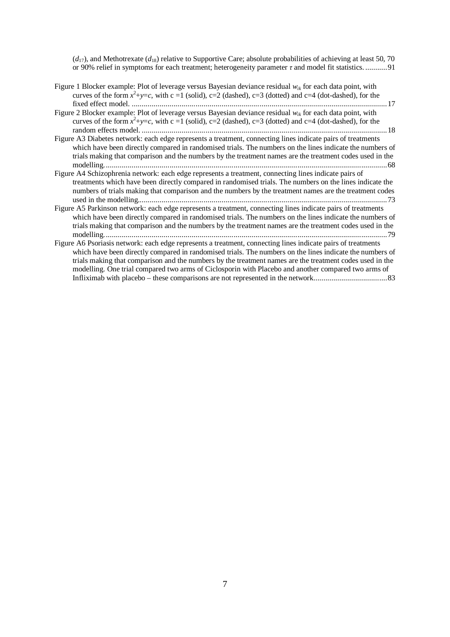$(d_{17})$ , and Methotrexate  $(d_{18})$  relative to Supportive Care; absolute probabilities of achieving at least 50, 70 or 90% relief in symptoms for each treatment; heterogeneity parameter *τ* and model fit statistics. ...........91

- Figure 1 Blocker example: Plot of leverage versus Bayesian deviance residual *wik* for each data point, with curves of the form  $x^2+y=c$ , with c =1 (solid), c=2 (dashed), c=3 (dotted) and c=4 (dot-dashed), for the fixed effect model. ................................................................................................................................17
- Figure 2 Blocker example: Plot of leverage versus Bayesian deviance residual *wik* for each data point, with curves of the form  $x^2+y=c$ , with c =1 (solid), c=2 (dashed), c=3 (dotted) and c=4 (dot-dashed), for the random effects model. ...........................................................................................................................18
- Figure A3 Diabetes network: each edge represents a treatment, connecting lines indicate pairs of treatments which have been directly compared in randomised trials. The numbers on the lines indicate the numbers of trials making that comparison and the numbers by the treatment names are the treatment codes used in the modelling..............................................................................................................................................68
- Figure A4 Schizophrenia network: each edge represents a treatment, connecting lines indicate pairs of treatments which have been directly compared in randomised trials. The numbers on the lines indicate the numbers of trials making that comparison and the numbers by the treatment names are the treatment codes used in the modelling.............................................................................................................................73
- Figure A5 Parkinson network: each edge represents a treatment, connecting lines indicate pairs of treatments which have been directly compared in randomised trials. The numbers on the lines indicate the numbers of trials making that comparison and the numbers by the treatment names are the treatment codes used in the modelling..............................................................................................................................................79
- Figure A6 Psoriasis network: each edge represents a treatment, connecting lines indicate pairs of treatments which have been directly compared in randomised trials. The numbers on the lines indicate the numbers of trials making that comparison and the numbers by the treatment names are the treatment codes used in the modelling. One trial compared two arms of Ciclosporin with Placebo and another compared two arms of Infliximab with placebo – these comparisons are not represented in the network.....................................83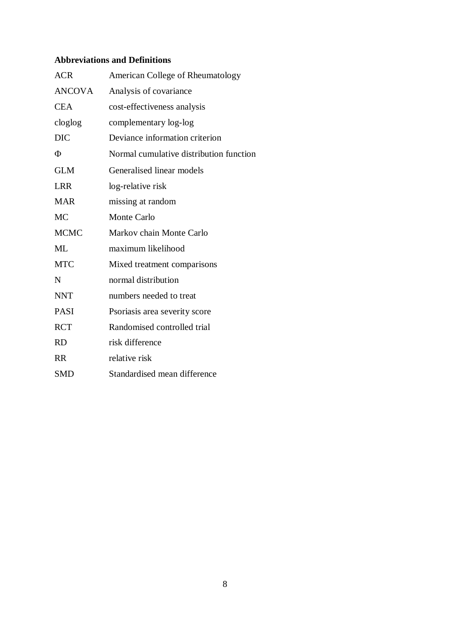# **Abbreviations and Definitions**

| <b>ACR</b>    | American College of Rheumatology        |  |  |
|---------------|-----------------------------------------|--|--|
| <b>ANCOVA</b> | Analysis of covariance                  |  |  |
| <b>CEA</b>    | cost-effectiveness analysis             |  |  |
| cloglog       | complementary log-log                   |  |  |
| <b>DIC</b>    | Deviance information criterion          |  |  |
| Φ             | Normal cumulative distribution function |  |  |
| <b>GLM</b>    | Generalised linear models               |  |  |
| <b>LRR</b>    | log-relative risk                       |  |  |
| <b>MAR</b>    | missing at random                       |  |  |
| <b>MC</b>     | <b>Monte Carlo</b>                      |  |  |
| <b>MCMC</b>   | Markov chain Monte Carlo                |  |  |
| <b>ML</b>     | maximum likelihood                      |  |  |
| <b>MTC</b>    | Mixed treatment comparisons             |  |  |
| N             | normal distribution                     |  |  |
| <b>NNT</b>    | numbers needed to treat                 |  |  |
| <b>PASI</b>   | Psoriasis area severity score           |  |  |
| <b>RCT</b>    | Randomised controlled trial             |  |  |
| <b>RD</b>     | risk difference                         |  |  |
| <b>RR</b>     | relative risk                           |  |  |
| <b>SMD</b>    | Standardised mean difference            |  |  |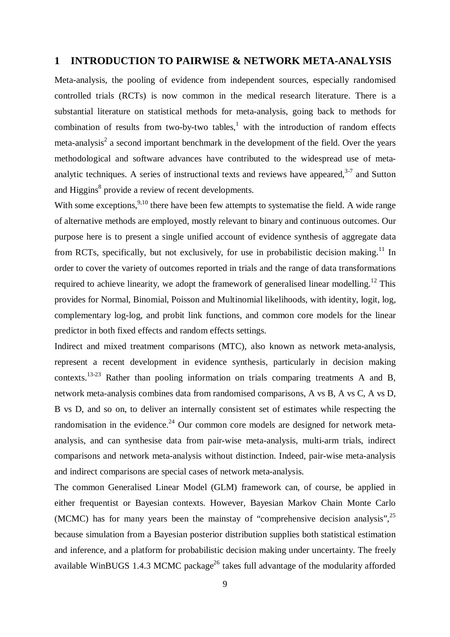### **1 INTRODUCTION TO PAIRWISE & NETWORK META-ANALYSIS**

Meta-analysis, the pooling of evidence from independent sources, especially randomised controlled trials (RCTs) is now common in the medical research literature. There is a substantial literature on statistical methods for meta-analysis, going back to methods for combination of results from two-by-two tables, $<sup>1</sup>$  with the introduction of random effects</sup> meta-analysis<sup>2</sup> a second important benchmark in the development of the field. Over the years methodological and software advances have contributed to the widespread use of metaanalytic techniques. A series of instructional texts and reviews have appeared, $3-7$  and Sutton and Higgins<sup>8</sup> provide a review of recent developments.

With some exceptions,<sup>9,10</sup> there have been few attempts to systematise the field. A wide range of alternative methods are employed, mostly relevant to binary and continuous outcomes. Our purpose here is to present a single unified account of evidence synthesis of aggregate data from RCTs, specifically, but not exclusively, for use in probabilistic decision making.<sup>11</sup> In order to cover the variety of outcomes reported in trials and the range of data transformations required to achieve linearity, we adopt the framework of generalised linear modelling.<sup>12</sup> This provides for Normal, Binomial, Poisson and Multinomial likelihoods, with identity, logit, log, complementary log-log, and probit link functions, and common core models for the linear predictor in both fixed effects and random effects settings.

Indirect and mixed treatment comparisons (MTC), also known as network meta-analysis, represent a recent development in evidence synthesis, particularly in decision making contexts.<sup>13-23</sup> Rather than pooling information on trials comparing treatments A and B, network meta-analysis combines data from randomised comparisons, A vs B, A vs C, A vs D, B vs D, and so on, to deliver an internally consistent set of estimates while respecting the randomisation in the evidence.<sup>24</sup> Our common core models are designed for network metaanalysis, and can synthesise data from pair-wise meta-analysis, multi-arm trials, indirect comparisons and network meta-analysis without distinction. Indeed, pair-wise meta-analysis and indirect comparisons are special cases of network meta-analysis.

The common Generalised Linear Model (GLM) framework can, of course, be applied in either frequentist or Bayesian contexts. However, Bayesian Markov Chain Monte Carlo (MCMC) has for many years been the mainstay of "comprehensive decision analysis",<sup>25</sup> because simulation from a Bayesian posterior distribution supplies both statistical estimation and inference, and a platform for probabilistic decision making under uncertainty. The freely available WinBUGS 1.4.3 MCMC package<sup>26</sup> takes full advantage of the modularity afforded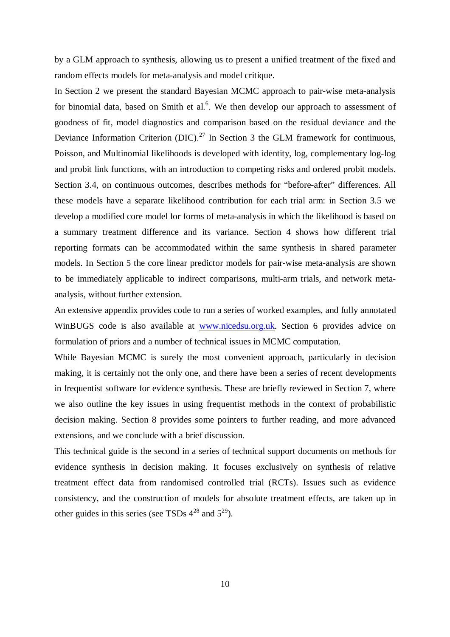by a GLM approach to synthesis, allowing us to present a unified treatment of the fixed and random effects models for meta-analysis and model critique.

In Section 2 we present the standard Bayesian MCMC approach to pair-wise meta-analysis for binomial data, based on Smith et al.<sup>6</sup>. We then develop our approach to assessment of goodness of fit, model diagnostics and comparison based on the residual deviance and the Deviance Information Criterion  $(DIC)^{27}$  In Section 3 the GLM framework for continuous, Poisson, and Multinomial likelihoods is developed with identity, log, complementary log-log and probit link functions, with an introduction to competing risks and ordered probit models. Section 3.4, on continuous outcomes, describes methods for "before-after" differences. All these models have a separate likelihood contribution for each trial arm: in Section 3.5 we develop a modified core model for forms of meta-analysis in which the likelihood is based on a summary treatment difference and its variance. Section 4 shows how different trial reporting formats can be accommodated within the same synthesis in shared parameter models. In Section 5 the core linear predictor models for pair-wise meta-analysis are shown to be immediately applicable to indirect comparisons, multi-arm trials, and network metaanalysis, without further extension.

An extensive appendix provides code to run a series of worked examples, and fully annotated WinBUGS code is also available at www.nicedsu.org.uk. Section 6 provides advice on formulation of priors and a number of technical issues in MCMC computation.

While Bayesian MCMC is surely the most convenient approach, particularly in decision making, it is certainly not the only one, and there have been a series of recent developments in frequentist software for evidence synthesis. These are briefly reviewed in Section 7, where we also outline the key issues in using frequentist methods in the context of probabilistic decision making. Section 8 provides some pointers to further reading, and more advanced extensions, and we conclude with a brief discussion.

This technical guide is the second in a series of technical support documents on methods for evidence synthesis in decision making. It focuses exclusively on synthesis of relative treatment effect data from randomised controlled trial (RCTs). Issues such as evidence consistency, and the construction of models for absolute treatment effects, are taken up in other guides in this series (see TSDs  $4^{28}$  and  $5^{29}$ ).

10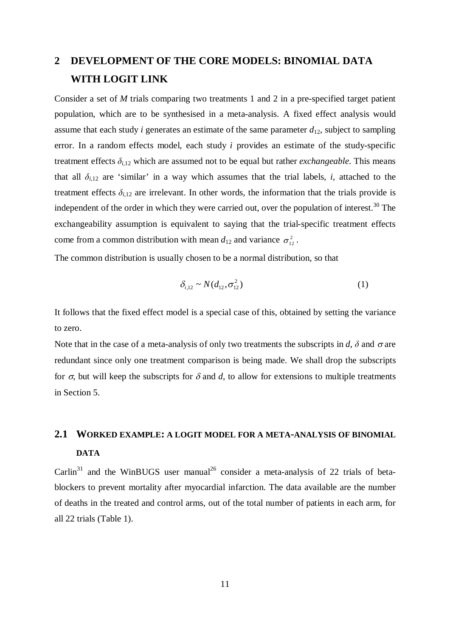# **2 DEVELOPMENT OF THE CORE MODELS: BINOMIAL DATA WITH LOGIT LINK**

Consider a set of *M* trials comparing two treatments 1 and 2 in a pre-specified target patient population, which are to be synthesised in a meta-analysis. A fixed effect analysis would assume that each study *i* generates an estimate of the same parameter  $d_{12}$ , subject to sampling error. In a random effects model, each study *i* provides an estimate of the study-specific treatment effects  $\delta_{i,12}$  which are assumed not to be equal but rather *exchangeable*. This means that all  $\delta_{i,12}$  are 'similar' in a way which assumes that the trial labels, *i*, attached to the treatment effects  $\delta_{i,12}$  are irrelevant. In other words, the information that the trials provide is independent of the order in which they were carried out, over the population of interest.<sup>30</sup> The exchangeability assumption is equivalent to saying that the trial-specific treatment effects come from a common distribution with mean  $d_{12}$  and variance  $\sigma_{12}^2$ .

The common distribution is usually chosen to be a normal distribution, so that

$$
\delta_{i,12} \sim N(d_{12}, \sigma_{12}^2) \tag{1}
$$

It follows that the fixed effect model is a special case of this, obtained by setting the variance to zero.

Note that in the case of a meta-analysis of only two treatments the subscripts in *d*,  $\delta$  and  $\sigma$  are redundant since only one treatment comparison is being made. We shall drop the subscripts for  $\sigma$ , but will keep the subscripts for  $\delta$  and d, to allow for extensions to multiple treatments in Section 5.

# **2.1 WORKED EXAMPLE: A LOGIT MODEL FOR A META-ANALYSIS OF BINOMIAL DATA**

Carlin<sup>31</sup> and the WinBUGS user manual<sup>26</sup> consider a meta-analysis of 22 trials of betablockers to prevent mortality after myocardial infarction. The data available are the number of deaths in the treated and control arms, out of the total number of patients in each arm, for all 22 trials (Table 1).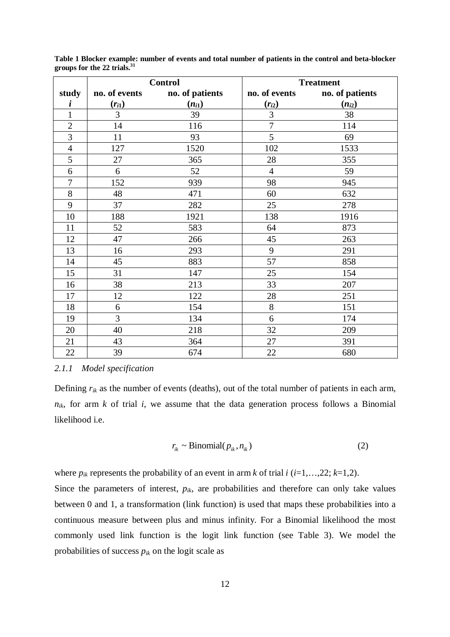|                |                | <b>Control</b>  | <b>Treatment</b> |                 |  |
|----------------|----------------|-----------------|------------------|-----------------|--|
| study          | no. of events  | no. of patients | no. of events    | no. of patients |  |
| i              | $(r_{i1})$     | $(n_{i1})$      | $(r_{i2})$       | $(n_{i2})$      |  |
| $\mathbf{1}$   | $\overline{3}$ | 39              | 3                | 38              |  |
| $\overline{2}$ | 14             | 116             | $\overline{7}$   | 114             |  |
| $\overline{3}$ | 11             | 93              | 5                | 69              |  |
| $\overline{4}$ | 127            | 1520            | 102              | 1533            |  |
| 5              | 27             | 365             | 28               | 355             |  |
| 6              | 6              | 52              | $\overline{4}$   | 59              |  |
| $\overline{7}$ | 152            | 939             | 98               | 945             |  |
| 8              | 48             | 471             | 60               | 632             |  |
| 9              | 37             | 282             | 25               | 278             |  |
| 10             | 188            | 1921            | 138              | 1916            |  |
| 11             | 52             | 583             | 64               | 873             |  |
| 12             | 47             | 266             | 45               | 263             |  |
| 13             | 16             | 293             | 9                | 291             |  |
| 14             | 45             | 883             | 57               | 858             |  |
| 15             | 31             | 147             | 25               | 154             |  |
| 16             | 38             | 213             | 33               | 207             |  |
| 17             | 12             | 122             | 28               | 251             |  |
| 18             | 6              | 154             | 8                | 151             |  |
| 19             | $\overline{3}$ | 134             | 6                | 174             |  |
| 20             | 40             | 218             | 32               | 209             |  |
| 21             | 43             | 364             | 27               | 391             |  |
| 22             | 39             | 674             | $22\,$           | 680             |  |

**Table 1 Blocker example: number of events and total number of patients in the control and beta-blocker groups for the 22 trials. 31**

#### *2.1.1 Model specification*

Defining *rik* as the number of events (deaths), out of the total number of patients in each arm,  $n_{ik}$ , for arm *k* of trial *i*, we assume that the data generation process follows a Binomial likelihood i.e.

$$
r_{ik} \sim \text{Binomial}(p_{ik}, n_{ik})
$$
 (2)

where  $p_{ik}$  represents the probability of an event in arm *k* of trial *i* (*i*=1,…,22; *k*=1,2).

Since the parameters of interest,  $p_{ik}$ , are probabilities and therefore can only take values between 0 and 1, a transformation (link function) is used that maps these probabilities into a continuous measure between plus and minus infinity. For a Binomial likelihood the most commonly used link function is the logit link function (see Table 3). We model the probabilities of success  $p_{ik}$  on the logit scale as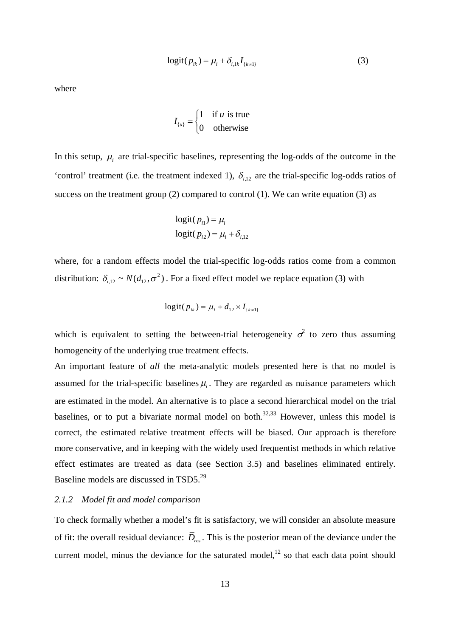$$
logit(p_{ik}) = \mu_i + \delta_{i,1k} I_{\{k \neq 1\}}
$$
 (3)

where

$$
I_{\{u\}} = \begin{cases} 1 & \text{if } u \text{ is true} \\ 0 & \text{otherwise} \end{cases}
$$

In this setup,  $\mu_i$  are trial-specific baselines, representing the log-odds of the outcome in the 'control' treatment (i.e. the treatment indexed 1),  $\delta_{i,12}$  are the trial-specific log-odds ratios of success on the treatment group  $(2)$  compared to control  $(1)$ . We can write equation  $(3)$  as

$$
logit(p_{i1}) = \mu_i
$$
  

$$
logit(p_{i2}) = \mu_i + \delta_{i,12}
$$

where, for a random effects model the trial-specific log-odds ratios come from a common distribution:  $\delta_{i,12} \sim N(d_{12}, \sigma^2)$ . For a fixed effect model we replace equation (3) with

$$
logit(p_{ik}) = \mu_i + d_{12} \times I_{\{k \neq 1\}}
$$

which is equivalent to setting the between-trial heterogeneity  $\sigma^2$  to zero thus assuming homogeneity of the underlying true treatment effects.

An important feature of *all* the meta-analytic models presented here is that no model is assumed for the trial-specific baselines  $\mu_i$ . They are regarded as nuisance parameters which are estimated in the model. An alternative is to place a second hierarchical model on the trial baselines, or to put a bivariate normal model on both.<sup>32,33</sup> However, unless this model is correct, the estimated relative treatment effects will be biased. Our approach is therefore more conservative, and in keeping with the widely used frequentist methods in which relative effect estimates are treated as data (see Section 3.5) and baselines eliminated entirely. Baseline models are discussed in TSD5.<sup>29</sup>

#### *2.1.2 Model fit and model comparison*

To check formally whether a model's fit is satisfactory, we will consider an absolute measure of fit: the overall residual deviance: *Dres* . This is the posterior mean of the deviance under the current model, minus the deviance for the saturated model, $^{12}$  so that each data point should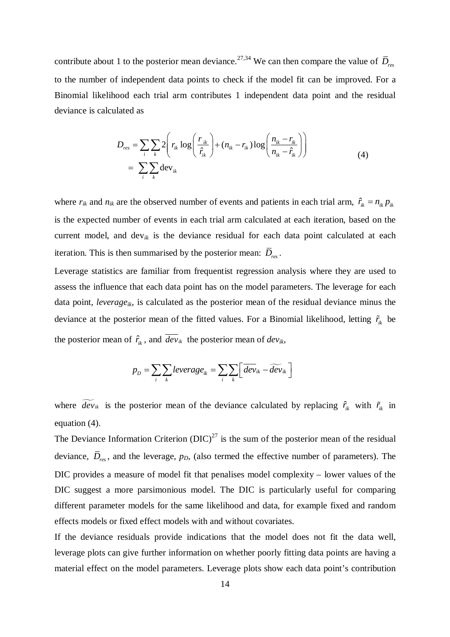contribute about 1 to the posterior mean deviance.<sup>27,34</sup> We can then compare the value of  $\bar{D}_{res}$ to the number of independent data points to check if the model fit can be improved. For a Binomial likelihood each trial arm contributes 1 independent data point and the residual deviance is calculated as

$$
D_{res} = \sum_{i} \sum_{k} 2 \left( r_{ik} \log \left( \frac{r_{ik}}{\hat{r}_{ik}} \right) + (n_{ik} - r_{ik}) \log \left( \frac{n_{ik} - r_{ik}}{n_{ik} - \hat{r}_{ik}} \right) \right)
$$
  
= 
$$
\sum_{i} \sum_{k} \text{dev}_{ik}
$$
 (4)

where  $r_{ik}$  and  $n_{ik}$  are the observed number of events and patients in each trial arm,  $\hat{r}_{ik} = n_{ik} p_{ik}$ is the expected number of events in each trial arm calculated at each iteration, based on the current model, and dev*ik* is the deviance residual for each data point calculated at each iteration. This is then summarised by the posterior mean: *Dres* .

Leverage statistics are familiar from frequentist regression analysis where they are used to assess the influence that each data point has on the model parameters. The leverage for each data point, *leverageik*, is calculated as the posterior mean of the residual deviance minus the deviance at the posterior mean of the fitted values. For a Binomial likelihood, letting  $\tilde{r}_{ik}$  be the posterior mean of  $\hat{r}_k$ , and  $dev_{ik}$  the posterior mean of  $dev_{ik}$ ,

$$
p_D = \sum_i \sum_k \text{leverage}_{ik} = \sum_i \sum_k \left[ \overline{\text{dev}}_{ik} - \widetilde{\text{dev}}_{ik} \right]
$$

where  $\widetilde{dev}_{ik}$  is the posterior mean of the deviance calculated by replacing  $\hat{r}_{ik}$  with  $\tilde{r}_{ik}$  in equation (4).

The Deviance Information Criterion  $(DIC)^{27}$  is the sum of the posterior mean of the residual deviance, *Dres* , and the leverage, *pD*, (also termed the effective number of parameters). The DIC provides a measure of model fit that penalises model complexity – lower values of the DIC suggest a more parsimonious model. The DIC is particularly useful for comparing different parameter models for the same likelihood and data, for example fixed and random effects models or fixed effect models with and without covariates.

If the deviance residuals provide indications that the model does not fit the data well, leverage plots can give further information on whether poorly fitting data points are having a material effect on the model parameters. Leverage plots show each data point's contribution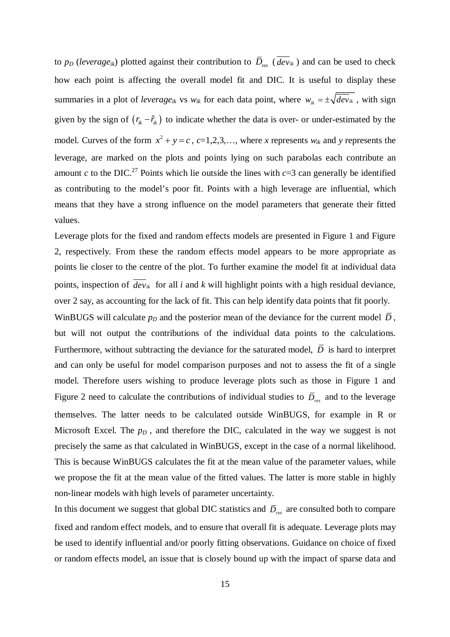to *p<sup>D</sup>* (*leverageik*) plotted against their contribution to *Dres* ( *devik* ) and can be used to check how each point is affecting the overall model fit and DIC. It is useful to display these summaries in a plot of *leverage*<sub>*ik*</sub> vs  $w_{ik}$  for each data point, where  $w_{ik} = \pm \sqrt{\frac{dev_{ik}}{dev_{ik}}}$ , with sign given by the sign of  $(r_{ik} - \hat{r}_{ik})$  to indicate whether the data is over- or under-estimated by the model. Curves of the form  $x^2 + y = c$ ,  $c=1,2,3,...$ , where *x* represents  $w_{ik}$  and *y* represents the leverage, are marked on the plots and points lying on such parabolas each contribute an amount *c* to the DIC.<sup>27</sup> Points which lie outside the lines with  $c=3$  can generally be identified as contributing to the model's poor fit. Points with a high leverage are influential, which means that they have a strong influence on the model parameters that generate their fitted values.

Leverage plots for the fixed and random effects models are presented in Figure 1 and Figure 2, respectively. From these the random effects model appears to be more appropriate as points lie closer to the centre of the plot. To further examine the model fit at individual data points, inspection of  $\overline{dev}_{ik}$  for all *i* and *k* will highlight points with a high residual deviance, over 2 say, as accounting for the lack of fit. This can help identify data points that fit poorly.

WinBUGS will calculate  $p<sub>D</sub>$  and the posterior mean of the deviance for the current model  $\overline{D}$ , but will not output the contributions of the individual data points to the calculations. Furthermore, without subtracting the deviance for the saturated model,  $\overline{D}$  is hard to interpret and can only be useful for model comparison purposes and not to assess the fit of a single model. Therefore users wishing to produce leverage plots such as those in Figure 1 and Figure 2 need to calculate the contributions of individual studies to  $\bar{D}_{res}$  and to the leverage themselves. The latter needs to be calculated outside WinBUGS, for example in R or Microsoft Excel. The  $p<sub>D</sub>$ , and therefore the DIC, calculated in the way we suggest is not precisely the same as that calculated in WinBUGS, except in the case of a normal likelihood. This is because WinBUGS calculates the fit at the mean value of the parameter values, while we propose the fit at the mean value of the fitted values. The latter is more stable in highly non-linear models with high levels of parameter uncertainty.

In this document we suggest that global DIC statistics and  $\bar{D}_{res}$  are consulted both to compare fixed and random effect models, and to ensure that overall fit is adequate. Leverage plots may be used to identify influential and/or poorly fitting observations. Guidance on choice of fixed or random effects model, an issue that is closely bound up with the impact of sparse data and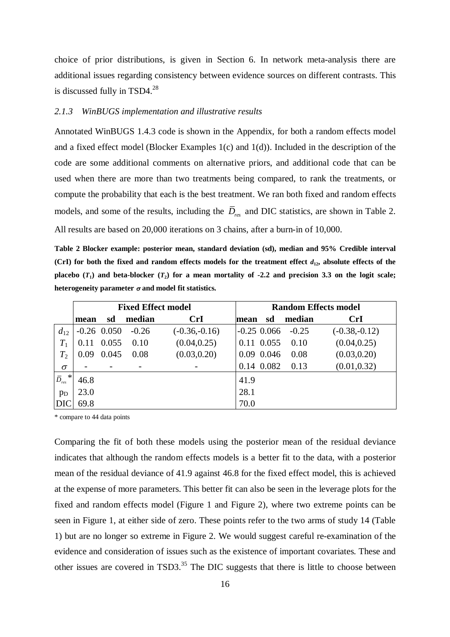choice of prior distributions, is given in Section 6. In network meta-analysis there are additional issues regarding consistency between evidence sources on different contrasts. This is discussed fully in TSD4.<sup>28</sup>

#### *2.1.3 WinBUGS implementation and illustrative results*

Annotated WinBUGS 1.4.3 code is shown in the Appendix, for both a random effects model and a fixed effect model (Blocker Examples 1(c) and 1(d)). Included in the description of the code are some additional comments on alternative priors, and additional code that can be used when there are more than two treatments being compared, to rank the treatments, or compute the probability that each is the best treatment. We ran both fixed and random effects models, and some of the results, including the *Dres* and DIC statistics, are shown in Table 2. All results are based on 20,000 iterations on 3 chains, after a burn-in of 10,000.

**Table 2 Blocker example: posterior mean, standard deviation (sd), median and 95% Credible interval (CrI)** for both the fixed and random effects models for the treatment effect  $d_{12}$ , absolute effects of the **placebo**  $(T_1)$  and beta-blocker  $(T_2)$  for a mean mortality of -2.2 and precision 3.3 on the logit scale; heterogeneity parameter  $\sigma$  and model fit statistics.

|                                    | <b>Fixed Effect model</b> |                          |         | <b>Random Effects model</b> |      |               |         |                 |
|------------------------------------|---------------------------|--------------------------|---------|-----------------------------|------|---------------|---------|-----------------|
|                                    | mean                      | sd                       | median  | <b>CrI</b>                  | mean | sd            | median  | CrI             |
| $d_{12}$                           |                           | $-0.26$ 0.050            | $-0.26$ | $(-0.36,-0.16)$             |      | $-0.25$ 0.066 | $-0.25$ | $(-0.38,-0.12)$ |
| $T_1$                              | 0.11                      | 0.055                    | 0.10    | (0.04, 0.25)                |      | 0.11 0.055    | 0.10    | (0.04, 0.25)    |
| $T_2$                              | 0.09                      | 0.045                    | 0.08    | (0.03, 0.20)                |      | 0.09 0.046    | 0.08    | (0.03, 0.20)    |
| $\sigma$                           |                           | $\overline{\phantom{a}}$ |         |                             |      | 0.14 0.082    | 0.13    | (0.01, 0.32)    |
| $\ast$<br>$\bar{D}_{\mathit{res}}$ | 46.8                      |                          |         |                             | 41.9 |               |         |                 |
| $p_D$                              | 23.0                      |                          |         |                             | 28.1 |               |         |                 |
| DIC                                | 69.8                      |                          |         |                             | 70.0 |               |         |                 |

\* compare to 44 data points

Comparing the fit of both these models using the posterior mean of the residual deviance indicates that although the random effects models is a better fit to the data, with a posterior mean of the residual deviance of 41.9 against 46.8 for the fixed effect model, this is achieved at the expense of more parameters. This better fit can also be seen in the leverage plots for the fixed and random effects model (Figure 1 and Figure 2), where two extreme points can be seen in Figure 1, at either side of zero. These points refer to the two arms of study 14 (Table 1) but are no longer so extreme in Figure 2. We would suggest careful re-examination of the evidence and consideration of issues such as the existence of important covariates. These and other issues are covered in TSD3.<sup>35</sup> The DIC suggests that there is little to choose between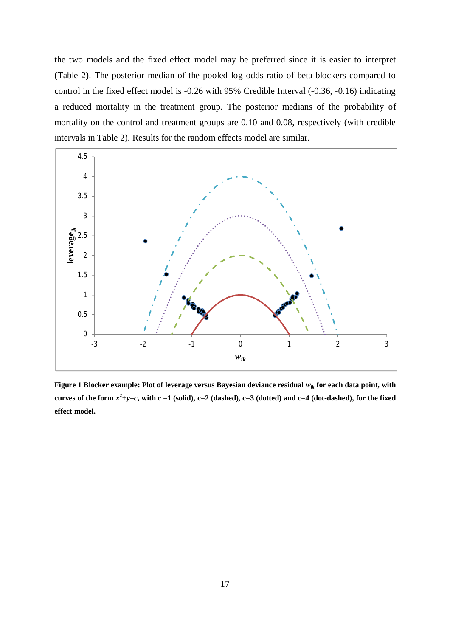the two models and the fixed effect model may be preferred since it is easier to interpret (Table 2). The posterior median of the pooled log odds ratio of beta-blockers compared to control in the fixed effect model is -0.26 with 95% Credible Interval (-0.36, -0.16) indicating a reduced mortality in the treatment group. The posterior medians of the probability of mortality on the control and treatment groups are 0.10 and 0.08, respectively (with credible intervals in Table 2). Results for the random effects model are similar.



**Figure 1 Blocker example: Plot of leverage versus Bayesian deviance residual** *wik* **for each data point, with**  curves of the form  $x^2+y=c$ , with c =1 (solid), c=2 (dashed), c=3 (dotted) and c=4 (dot-dashed), for the fixed **effect model.**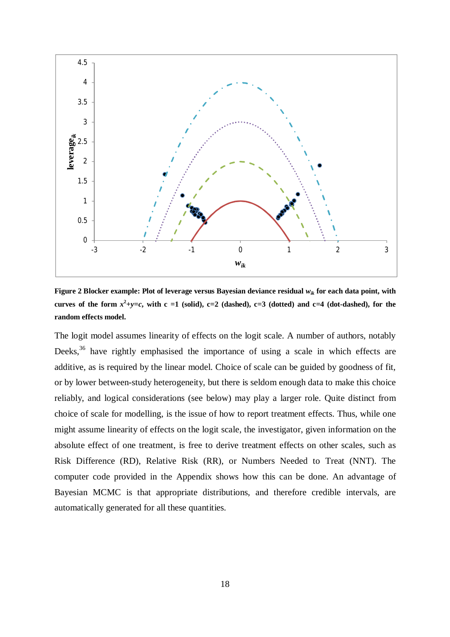

**Figure 2 Blocker example: Plot of leverage versus Bayesian deviance residual** *wik* **for each data point, with**  curves of the form  $x^2+y=c$ , with c =1 (solid), c=2 (dashed), c=3 (dotted) and c=4 (dot-dashed), for the **random effects model.**

The logit model assumes linearity of effects on the logit scale. A number of authors, notably Deeks,<sup>36</sup> have rightly emphasised the importance of using a scale in which effects are additive, as is required by the linear model. Choice of scale can be guided by goodness of fit, or by lower between-study heterogeneity, but there is seldom enough data to make this choice reliably, and logical considerations (see below) may play a larger role. Quite distinct from choice of scale for modelling, is the issue of how to report treatment effects. Thus, while one might assume linearity of effects on the logit scale, the investigator, given information on the absolute effect of one treatment, is free to derive treatment effects on other scales, such as Risk Difference (RD), Relative Risk (RR), or Numbers Needed to Treat (NNT). The computer code provided in the Appendix shows how this can be done. An advantage of Bayesian MCMC is that appropriate distributions, and therefore credible intervals, are automatically generated for all these quantities.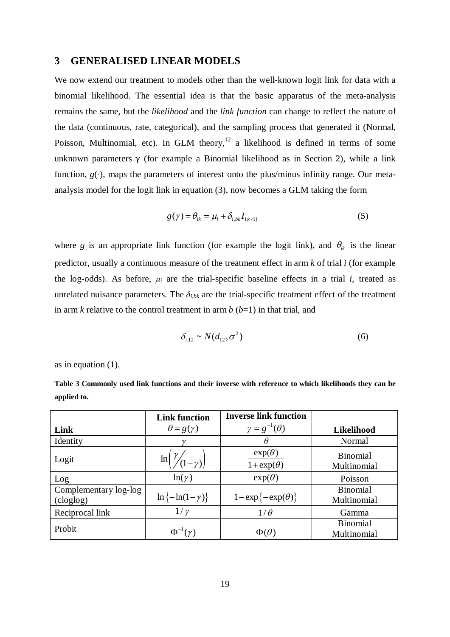#### **3 GENERALISED LINEAR MODELS**

We now extend our treatment to models other than the well-known logit link for data with a binomial likelihood. The essential idea is that the basic apparatus of the meta-analysis remains the same, but the *likelihood* and the *link function* can change to reflect the nature of the data (continuous, rate, categorical), and the sampling process that generated it (Normal, Poisson, Multinomial, etc). In GLM theory, $12$  a likelihood is defined in terms of some unknown parameters  $\gamma$  (for example a Binomial likelihood as in Section 2), while a link function, *g*(∙), maps the parameters of interest onto the plus/minus infinity range. Our metaanalysis model for the logit link in equation (3), now becomes a GLM taking the form

$$
g(\gamma) = \theta_{ik} = \mu_i + \delta_{i,bk} I_{\{k \neq 1\}}
$$
\n<sup>(5)</sup>

where *g* is an appropriate link function (for example the logit link), and  $\theta_{ik}$  is the linear predictor, usually a continuous measure of the treatment effect in arm *k* of trial *i* (for example the log-odds). As before,  $\mu_i$  are the trial-specific baseline effects in a trial *i*, treated as unrelated nuisance parameters. The  $\delta_{i,bk}$  are the trial-specific treatment effect of the treatment in arm  $k$  relative to the control treatment in arm  $b$  ( $b=1$ ) in that trial, and

$$
\delta_{i,12} \sim N(d_{12}, \sigma^2) \tag{6}
$$

as in equation (1).

|                                    | <b>Link function</b>      | <b>Inverse link function</b>        |                                |
|------------------------------------|---------------------------|-------------------------------------|--------------------------------|
| Link                               | $\theta = g(\gamma)$      | $\gamma = g^{-1}(\theta)$           | <b>Likelihood</b>              |
| Identity                           |                           | $\theta$                            | Normal                         |
| Logit                              | $\gamma_{(1-\gamma)}$     | $exp(\theta)$<br>$1 + \exp(\theta)$ | <b>Binomial</b><br>Multinomial |
| Log                                | $ln(\gamma)$              | $exp(\theta)$                       | Poisson                        |
| Complementary log-log<br>(cloglog) | $\ln \{-\ln(1-\gamma)\}\$ | $1-\exp\{-\exp(\theta)\}\$          | <b>Binomial</b><br>Multinomial |
| Reciprocal link                    | $1/\gamma$                | $1/\theta$                          | Gamma                          |
| Probit                             | $\Phi^{-1}(\gamma)$       | $\Phi(\theta)$                      | <b>Binomial</b><br>Multinomial |

**Table 3 Commonly used link functions and their inverse with reference to which likelihoods they can be applied to.**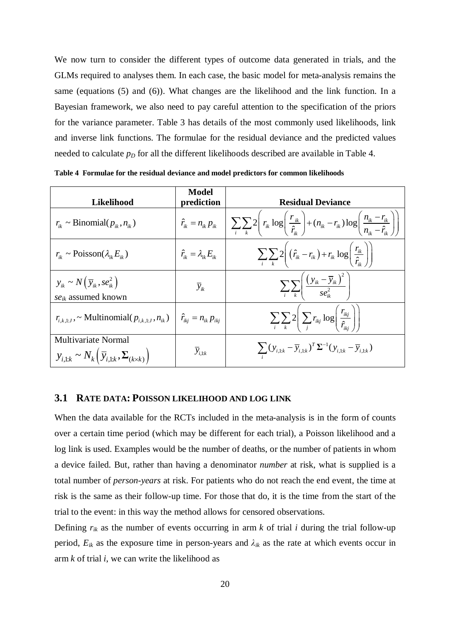We now turn to consider the different types of outcome data generated in trials, and the GLMs required to analyses them. In each case, the basic model for meta-analysis remains the same (equations (5) and (6)). What changes are the likelihood and the link function. In a Bayesian framework, we also need to pay careful attention to the specification of the priors for the variance parameter. Table 3 has details of the most commonly used likelihoods, link and inverse link functions. The formulae for the residual deviance and the predicted values needed to calculate  $p<sub>D</sub>$  for all the different likelihoods described are available in Table 4.

| Likelihood                                                                                             | Model<br>prediction                  | <b>Residual Deviance</b>                                                                                                                                                                                                      |
|--------------------------------------------------------------------------------------------------------|--------------------------------------|-------------------------------------------------------------------------------------------------------------------------------------------------------------------------------------------------------------------------------|
| $r_{ik} \sim \text{Binomial}(p_{ik}, n_{ik})$                                                          |                                      | $\hat{r}_{ik} = n_{ik} p_{ik} \left[ \sum_{i} \sum_{k} 2 \left( r_{ik} \log \left( \frac{r_{ik}}{\hat{r}_{ik}} \right) + (n_{ik} - r_{ik}) \log \left( \frac{n_{ik} - r_{ik}}{n_{ik} - \hat{r}_{ik}} \right) \right) \right]$ |
| $r_{ik} \sim \text{Poisson}(\lambda_{ik} E_{ik})$                                                      | $\hat{r}_{ik} = \lambda_{ik} E_{ik}$ | $\sum_{i}\sum_{k}2\left((\hat{r}_{ik}-r_{ik})+r_{ik}\log\left(\frac{r_{ik}}{\hat{r}_{ik}}\right)\right)$                                                                                                                      |
| $y_{ik} \sim N(\bar{y}_{ik}, s e_{ik}^2)$<br>$se_{ik}$ assumed known                                   | $\overline{y}_{ik}$                  | $\sum_{k}\sum_{k}\left(\frac{(y_{ik}-\overline{y}_{ik})^2}{se_n^2}\right)$                                                                                                                                                    |
| $r_{i,k,1:J}$ , ~ Multinomial $(p_{i,k,1:J}, n_{ik})$   $\hat{r}_{ikj} = n_{ik} p_{ikj}$               |                                      | $\sum_{i}\sum_{k}2\bigg \sum_{i}r_{ikj}\log\bigg(\frac{r_{ikj}}{\hat{r}_{ik}}\bigg)\bigg $                                                                                                                                    |
| Multivariate Normal<br>$y_{i,1:k} \sim N_k \left( \overline{y}_{i,1:k}, \Sigma_{(k \times k)} \right)$ | $\overline{y}_{i,1:k}$               | $\sum (y_{i,1:k} - \overline{y}_{i,1:k})^T \Sigma^{-1} (y_{i,1:k} - \overline{y}_{i,1:k})$                                                                                                                                    |

**Table 4 Formulae for the residual deviance and model predictors for common likelihoods**

#### **3.1 RATE DATA: POISSON LIKELIHOOD AND LOG LINK**

When the data available for the RCTs included in the meta-analysis is in the form of counts over a certain time period (which may be different for each trial), a Poisson likelihood and a log link is used. Examples would be the number of deaths, or the number of patients in whom a device failed. But, rather than having a denominator *number* at risk, what is supplied is a total number of *person-years* at risk. For patients who do not reach the end event, the time at risk is the same as their follow-up time. For those that do, it is the time from the start of the trial to the event: in this way the method allows for censored observations.

Defining  $r_{ik}$  as the number of events occurring in arm  $k$  of trial  $i$  during the trial follow-up period,  $E_{ik}$  as the exposure time in person-years and  $\lambda_{ik}$  as the rate at which events occur in arm *k* of trial *i*, we can write the likelihood as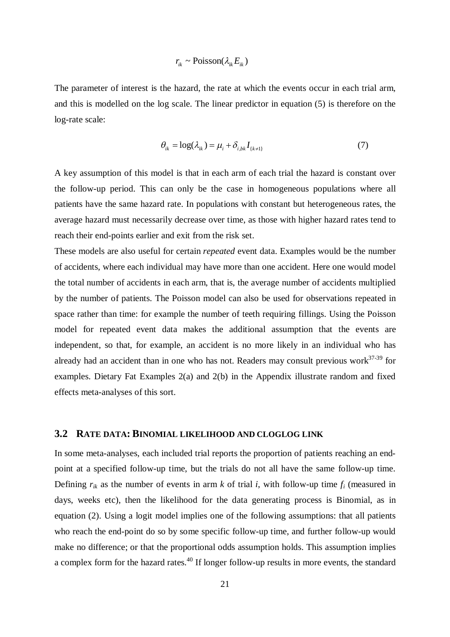# $r_{ik} \sim \text{Poisson}(\lambda_{ik} E_{ik})$

The parameter of interest is the hazard, the rate at which the events occur in each trial arm, and this is modelled on the log scale. The linear predictor in equation (5) is therefore on the log-rate scale:

$$
\theta_{ik} = \log(\lambda_{ik}) = \mu_i + \delta_{i,bk} I_{\{k \neq 1\}}
$$
\n(7)

A key assumption of this model is that in each arm of each trial the hazard is constant over the follow-up period. This can only be the case in homogeneous populations where all patients have the same hazard rate. In populations with constant but heterogeneous rates, the average hazard must necessarily decrease over time, as those with higher hazard rates tend to reach their end-points earlier and exit from the risk set.

These models are also useful for certain *repeated* event data. Examples would be the number of accidents, where each individual may have more than one accident. Here one would model the total number of accidents in each arm, that is, the average number of accidents multiplied by the number of patients. The Poisson model can also be used for observations repeated in space rather than time: for example the number of teeth requiring fillings. Using the Poisson model for repeated event data makes the additional assumption that the events are independent, so that, for example, an accident is no more likely in an individual who has already had an accident than in one who has not. Readers may consult previous work $37-39$  for examples. Dietary Fat Examples 2(a) and 2(b) in the Appendix illustrate random and fixed effects meta-analyses of this sort.

### **3.2 RATE DATA: BINOMIAL LIKELIHOOD AND CLOGLOG LINK**

In some meta-analyses, each included trial reports the proportion of patients reaching an endpoint at a specified follow-up time, but the trials do not all have the same follow-up time. Defining  $r_{ik}$  as the number of events in arm *k* of trial *i*, with follow-up time  $f_i$  (measured in days, weeks etc), then the likelihood for the data generating process is Binomial, as in equation (2). Using a logit model implies one of the following assumptions: that all patients who reach the end-point do so by some specific follow-up time, and further follow-up would make no difference; or that the proportional odds assumption holds. This assumption implies a complex form for the hazard rates.<sup>40</sup> If longer follow-up results in more events, the standard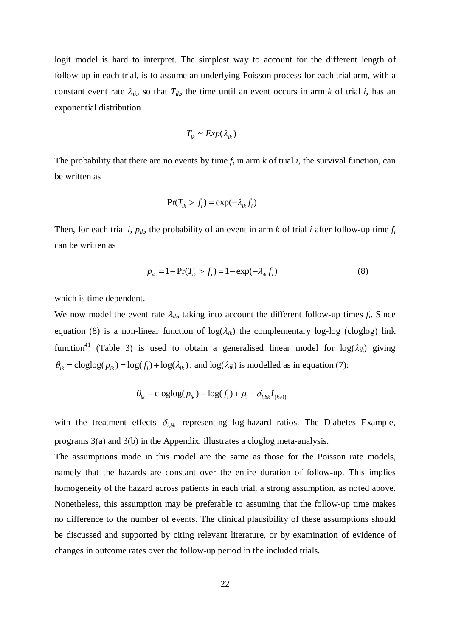logit model is hard to interpret. The simplest way to account for the different length of follow-up in each trial, is to assume an underlying Poisson process for each trial arm, with a constant event rate  $\lambda_{ik}$ , so that  $T_{ik}$ , the time until an event occurs in arm k of trial *i*, has an exponential distribution

$$
T_{ik} \sim Exp(\lambda_{ik})
$$

The probability that there are no events by time  $f_i$  in arm  $k$  of trial  $i$ , the survival function, can be written as

$$
\Pr(T_{ik} > f_i) = \exp(-\lambda_{ik} f_i)
$$

Then, for each trial *i*,  $p_{ik}$ , the probability of an event in arm *k* of trial *i* after follow-up time  $f_i$ can be written as

$$
p_{ik} = 1 - \Pr(T_{ik} > f_i) = 1 - \exp(-\lambda_{ik} f_i)
$$
\n(8)

which is time dependent.

We now model the event rate  $\lambda_{ik}$ , taking into account the different follow-up times  $f_i$ . Since equation (8) is a non-linear function of  $log(\lambda_{ik})$  the complementary log-log (cloglog) link function<sup>41</sup> (Table 3) is used to obtain a generalised linear model for  $log(\lambda_{ik})$  giving  $\theta_{ik} = \text{cloglog}( p_{ik} ) = \text{log}( f_i ) + \text{log}(\lambda_{ik})$ , and  $\text{log}(\lambda_{ik})$  is modelled as in equation (7):

$$
\theta_{ik} = \text{cloglog}(p_{ik}) = \text{log}(f_i) + \mu_i + \delta_{i,bk} I_{\{k \neq 1\}}
$$

with the treatment effects  $\delta_{i,k}$  representing log-hazard ratios. The Diabetes Example, programs 3(a) and 3(b) in the Appendix, illustrates a cloglog meta-analysis.

The assumptions made in this model are the same as those for the Poisson rate models, namely that the hazards are constant over the entire duration of follow-up. This implies homogeneity of the hazard across patients in each trial, a strong assumption, as noted above. Nonetheless, this assumption may be preferable to assuming that the follow-up time makes no difference to the number of events. The clinical plausibility of these assumptions should be discussed and supported by citing relevant literature, or by examination of evidence of changes in outcome rates over the follow-up period in the included trials.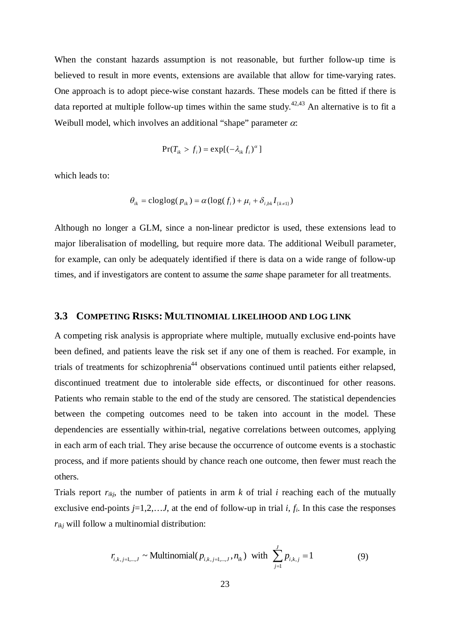When the constant hazards assumption is not reasonable, but further follow-up time is believed to result in more events, extensions are available that allow for time-varying rates. One approach is to adopt piece-wise constant hazards. These models can be fitted if there is data reported at multiple follow-up times within the same study.<sup>42,43</sup> An alternative is to fit a Weibull model, which involves an additional "shape" parameter  $\alpha$ :

$$
Pr(T_{ik} > f_i) = exp[(-\lambda_{ik} f_i)^{\alpha}]
$$

which leads to:

$$
\theta_{ik} = \text{cloglog}(p_{ik}) = \alpha(\text{log}(f_i) + \mu_i + \delta_{i,bk} I_{\{k \neq 1\}})
$$

Although no longer a GLM, since a non-linear predictor is used, these extensions lead to major liberalisation of modelling, but require more data. The additional Weibull parameter, for example, can only be adequately identified if there is data on a wide range of follow-up times, and if investigators are content to assume the *same* shape parameter for all treatments.

#### **3.3 COMPETING RISKS: MULTINOMIAL LIKELIHOOD AND LOG LINK**

A competing risk analysis is appropriate where multiple, mutually exclusive end-points have been defined, and patients leave the risk set if any one of them is reached. For example, in trials of treatments for schizophrenia<sup>44</sup> observations continued until patients either relapsed, discontinued treatment due to intolerable side effects, or discontinued for other reasons. Patients who remain stable to the end of the study are censored. The statistical dependencies between the competing outcomes need to be taken into account in the model. These dependencies are essentially within-trial, negative correlations between outcomes, applying in each arm of each trial. They arise because the occurrence of outcome events is a stochastic process, and if more patients should by chance reach one outcome, then fewer must reach the others.

Trials report  $r_{ikj}$ , the number of patients in arm  $k$  of trial  $i$  reaching each of the mutually exclusive end-points  $j=1,2,...J$ , at the end of follow-up in trial  $i, f_i$ . In this case the responses *rikj* will follow a multinomial distribution:

$$
r_{i,k,j=1,\dots,J} \sim \text{Multinomial}(p_{i,k,j=1,\dots,J}, n_{ik}) \text{ with } \sum_{j=1}^{J} p_{i,k,j} = 1
$$
 (9)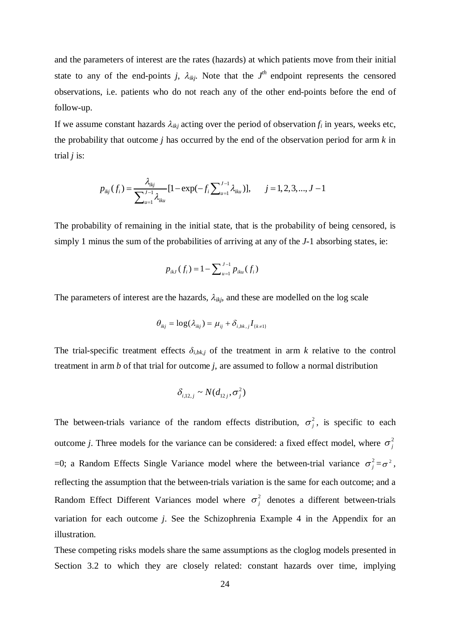and the parameters of interest are the rates (hazards) at which patients move from their initial state to any of the end-points *j*,  $\lambda_{ikj}$ . Note that the  $J<sup>th</sup>$  endpoint represents the censored observations, i.e. patients who do not reach any of the other end-points before the end of follow-up.

If we assume constant hazards  $\lambda_{ikj}$  acting over the period of observation  $f_i$  in years, weeks etc, the probability that outcome *j* has occurred by the end of the observation period for arm *k* in trial *j* is:

$$
p_{ikj}(f_i) = \frac{\lambda_{ikj}}{\sum_{u=1}^{J-1} \lambda_{iku}} [1 - \exp(-f_i \sum_{u=1}^{J-1} \lambda_{iku})], \quad j = 1, 2, 3, ..., J-1
$$

The probability of remaining in the initial state, that is the probability of being censored, is simply 1 minus the sum of the probabilities of arriving at any of the *J*-1 absorbing states, ie:

$$
p_{ikJ}(f_i) = 1 - \sum_{u=1}^{J-1} p_{iku}(f_i)
$$

The parameters of interest are the hazards,  $\lambda_{ikj}$ , and these are modelled on the log scale

$$
\theta_{ikj} = \log(\lambda_{ikj}) = \mu_{ij} + \delta_{i,bk,j} I_{\{k \neq 1\}}
$$

The trial-specific treatment effects  $\delta_{i,bk,j}$  of the treatment in arm k relative to the control treatment in arm *b* of that trial for outcome *j*, are assumed to follow a normal distribution

$$
\delta_{i,12,j} \sim N(d_{12j}, \sigma_j^2)
$$

The between-trials variance of the random effects distribution,  $\sigma_j^2$ , is specific to each outcome *j*. Three models for the variance can be considered: a fixed effect model, where  $\sigma_i^2$ =0; a Random Effects Single Variance model where the between-trial variance  $\sigma_j^2 = \sigma^2$ , reflecting the assumption that the between-trials variation is the same for each outcome; and a Random Effect Different Variances model where  $\sigma_i^2$  denotes a different between-trials variation for each outcome *j*. See the Schizophrenia Example 4 in the Appendix for an illustration.

These competing risks models share the same assumptions as the cloglog models presented in Section 3.2 to which they are closely related: constant hazards over time, implying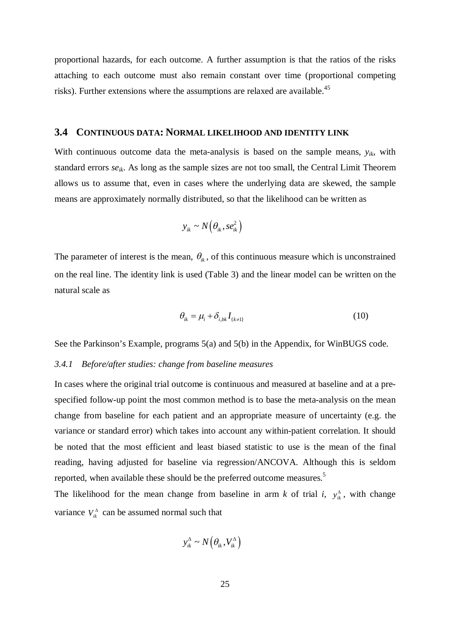proportional hazards, for each outcome. A further assumption is that the ratios of the risks attaching to each outcome must also remain constant over time (proportional competing risks). Further extensions where the assumptions are relaxed are available.<sup>45</sup>

#### **3.4 CONTINUOUS DATA: NORMAL LIKELIHOOD AND IDENTITY LINK**

With continuous outcome data the meta-analysis is based on the sample means, *yik*, with standard errors *seik*. As long as the sample sizes are not too small, the Central Limit Theorem allows us to assume that, even in cases where the underlying data are skewed, the sample means are approximately normally distributed, so that the likelihood can be written as

$$
y_{ik} \sim N(\theta_{ik}, s e_{ik}^2)
$$

The parameter of interest is the mean,  $\theta_{ik}$ , of this continuous measure which is unconstrained on the real line. The identity link is used (Table 3) and the linear model can be written on the natural scale as

$$
\theta_{ik} = \mu_i + \delta_{i,bk} I_{\{k \neq 1\}} \tag{10}
$$

See the Parkinson's Example, programs 5(a) and 5(b) in the Appendix, for WinBUGS code.

#### *3.4.1 Before/after studies: change from baseline measures*

In cases where the original trial outcome is continuous and measured at baseline and at a prespecified follow-up point the most common method is to base the meta-analysis on the mean change from baseline for each patient and an appropriate measure of uncertainty (e.g. the variance or standard error) which takes into account any within-patient correlation. It should be noted that the most efficient and least biased statistic to use is the mean of the final reading, having adjusted for baseline via regression/ANCOVA. Although this is seldom reported, when available these should be the preferred outcome measures.<sup>5</sup>

The likelihood for the mean change from baseline in arm *k* of trial *i*,  $y_{ik}^{\Delta}$ , with change variance  $V_{ik}^{\Delta}$  can be assumed normal such that

$$
y_{ik}^{\Delta} \sim N\left(\theta_{ik}, V_{ik}^{\Delta}\right)
$$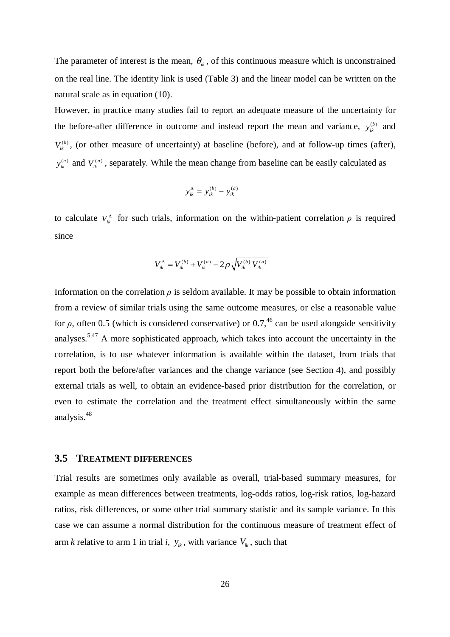The parameter of interest is the mean,  $\theta_{ik}$ , of this continuous measure which is unconstrained on the real line. The identity link is used (Table 3) and the linear model can be written on the natural scale as in equation (10).

However, in practice many studies fail to report an adequate measure of the uncertainty for the before-after difference in outcome and instead report the mean and variance,  $y_{ik}^{(b)}$  and  $V_{\mu}^{(b)}$ , (or other measure of uncertainty) at baseline (before), and at follow-up times (after),  $y_{ik}^{(a)}$  and  $V_{ik}^{(a)}$ , separately. While the mean change from baseline can be easily calculated as

$$
y_{ik}^{\Delta} = y_{ik}^{(b)} - y_{ik}^{(a)}
$$

to calculate  $V_{ik}^{\Delta}$  for such trials, information on the within-patient correlation  $\rho$  is required since

$$
V_{ik}^{\Delta} = V_{ik}^{(b)} + V_{ik}^{(a)} - 2 \rho \sqrt{V_{ik}^{(b)} V_{ik}^{(a)}}
$$

Information on the correlation  $\rho$  is seldom available. It may be possible to obtain information from a review of similar trials using the same outcome measures, or else a reasonable value for *ρ*, often 0.5 (which is considered conservative) or 0.7,<sup>46</sup> can be used alongside sensitivity analyses.<sup>5,47</sup> A more sophisticated approach, which takes into account the uncertainty in the correlation, is to use whatever information is available within the dataset, from trials that report both the before/after variances and the change variance (see Section 4), and possibly external trials as well, to obtain an evidence-based prior distribution for the correlation, or even to estimate the correlation and the treatment effect simultaneously within the same analysis. 48

#### **3.5 TREATMENT DIFFERENCES**

Trial results are sometimes only available as overall, trial-based summary measures, for example as mean differences between treatments, log-odds ratios, log-risk ratios, log-hazard ratios, risk differences, or some other trial summary statistic and its sample variance. In this case we can assume a normal distribution for the continuous measure of treatment effect of arm *k* relative to arm 1 in trial *i*,  $y_k$ , with variance  $V_k$ , such that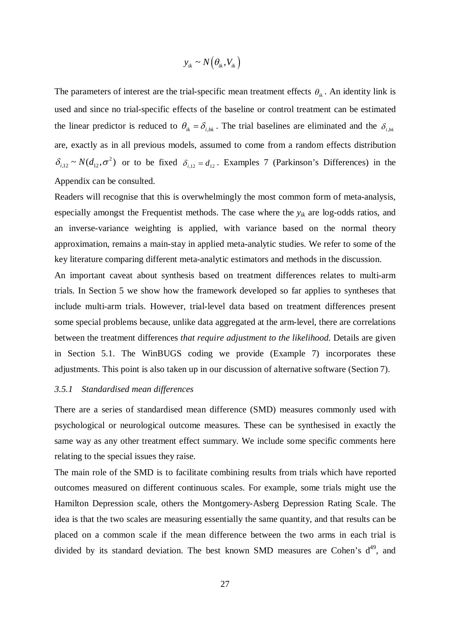$$
y_{ik} \sim N(\theta_{ik}, V_{ik})
$$

The parameters of interest are the trial-specific mean treatment effects  $\theta_{ik}$ . An identity link is used and since no trial-specific effects of the baseline or control treatment can be estimated the linear predictor is reduced to  $\theta_{ik} = \delta_{i,bk}$ . The trial baselines are eliminated and the  $\delta_{i,bk}$ are, exactly as in all previous models, assumed to come from a random effects distribution  $\delta_{i,12} \sim N(d_{12}, \sigma^2)$  or to be fixed  $\delta_{i,12} = d_{12}$ . Examples 7 (Parkinson's Differences) in the Appendix can be consulted.

Readers will recognise that this is overwhelmingly the most common form of meta-analysis, especially amongst the Frequentist methods. The case where the *yik* are log-odds ratios, and an inverse-variance weighting is applied, with variance based on the normal theory approximation, remains a main-stay in applied meta-analytic studies. We refer to some of the key literature comparing different meta-analytic estimators and methods in the discussion.

An important caveat about synthesis based on treatment differences relates to multi-arm trials. In Section 5 we show how the framework developed so far applies to syntheses that include multi-arm trials. However, trial-level data based on treatment differences present some special problems because, unlike data aggregated at the arm-level, there are correlations between the treatment differences *that require adjustment to the likelihood*. Details are given in Section 5.1. The WinBUGS coding we provide (Example 7) incorporates these adjustments. This point is also taken up in our discussion of alternative software (Section 7).

#### *3.5.1 Standardised mean differences*

There are a series of standardised mean difference (SMD) measures commonly used with psychological or neurological outcome measures. These can be synthesised in exactly the same way as any other treatment effect summary. We include some specific comments here relating to the special issues they raise.

The main role of the SMD is to facilitate combining results from trials which have reported outcomes measured on different continuous scales. For example, some trials might use the Hamilton Depression scale, others the Montgomery-Asberg Depression Rating Scale. The idea is that the two scales are measuring essentially the same quantity, and that results can be placed on a common scale if the mean difference between the two arms in each trial is divided by its standard deviation. The best known SMD measures are Cohen's  $d^{49}$ , and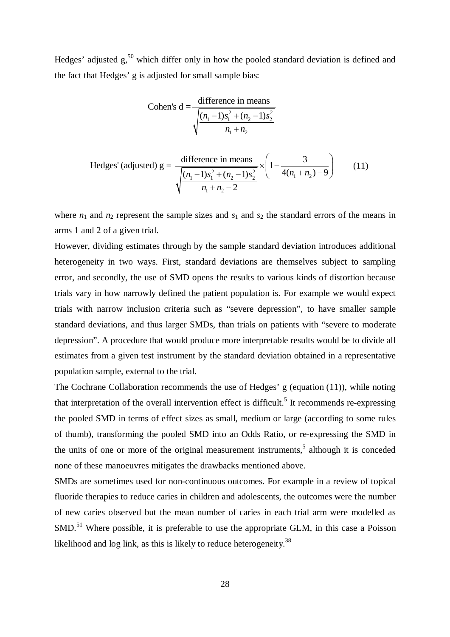Hedges' adjusted g,<sup>50</sup> which differ only in how the pooled standard deviation is defined and the fact that Hedges' g is adjusted for small sample bias:

Cohen's d = 
$$
\frac{\text{difference in means}}{\sqrt{\frac{(n_1 - 1)s_1^2 + (n_2 - 1)s_2^2}{n_1 + n_2}}}
$$
  
Hedges' (adjusted) g = 
$$
\frac{\text{difference in means}}{\sqrt{\frac{(n_1 - 1)s_1^2 + (n_2 - 1)s_2^2}{n_1 + n_2 - 2}} \times \left(1 - \frac{3}{4(n_1 + n_2) - 9}\right)
$$
(11)

where  $n_1$  and  $n_2$  represent the sample sizes and  $s_1$  and  $s_2$  the standard errors of the means in arms 1 and 2 of a given trial.

However, dividing estimates through by the sample standard deviation introduces additional heterogeneity in two ways. First, standard deviations are themselves subject to sampling error, and secondly, the use of SMD opens the results to various kinds of distortion because trials vary in how narrowly defined the patient population is. For example we would expect trials with narrow inclusion criteria such as "severe depression", to have smaller sample standard deviations, and thus larger SMDs, than trials on patients with "severe to moderate depression". A procedure that would produce more interpretable results would be to divide all estimates from a given test instrument by the standard deviation obtained in a representative population sample, external to the trial.

The Cochrane Collaboration recommends the use of Hedges' g (equation (11)), while noting that interpretation of the overall intervention effect is difficult.<sup>5</sup> It recommends re-expressing the pooled SMD in terms of effect sizes as small, medium or large (according to some rules of thumb), transforming the pooled SMD into an Odds Ratio, or re-expressing the SMD in the units of one or more of the original measurement instruments, 5 although it is conceded none of these manoeuvres mitigates the drawbacks mentioned above.

SMDs are sometimes used for non-continuous outcomes. For example in a review of topical fluoride therapies to reduce caries in children and adolescents, the outcomes were the number of new caries observed but the mean number of caries in each trial arm were modelled as SMD.<sup>51</sup> Where possible, it is preferable to use the appropriate GLM, in this case a Poisson likelihood and log link, as this is likely to reduce heterogeneity.<sup>38</sup>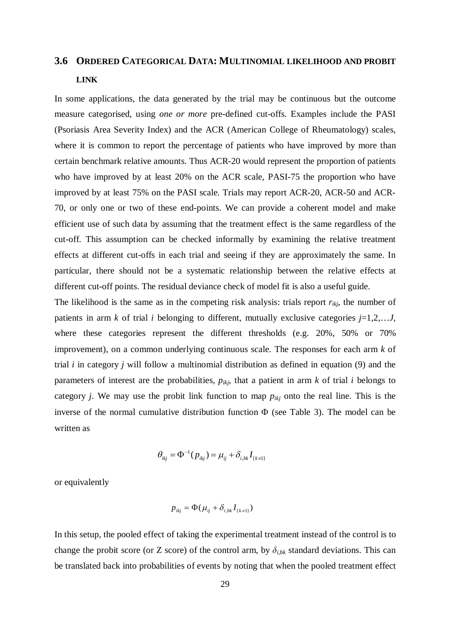# **3.6 ORDERED CATEGORICAL DATA: MULTINOMIAL LIKELIHOOD AND PROBIT LINK**

In some applications, the data generated by the trial may be continuous but the outcome measure categorised, using *one or more* pre-defined cut-offs. Examples include the PASI (Psoriasis Area Severity Index) and the ACR (American College of Rheumatology) scales, where it is common to report the percentage of patients who have improved by more than certain benchmark relative amounts. Thus ACR-20 would represent the proportion of patients who have improved by at least 20% on the ACR scale, PASI-75 the proportion who have improved by at least 75% on the PASI scale. Trials may report ACR-20, ACR-50 and ACR-70, or only one or two of these end-points. We can provide a coherent model and make efficient use of such data by assuming that the treatment effect is the same regardless of the cut-off. This assumption can be checked informally by examining the relative treatment effects at different cut-offs in each trial and seeing if they are approximately the same. In particular, there should not be a systematic relationship between the relative effects at different cut-off points. The residual deviance check of model fit is also a useful guide.

The likelihood is the same as in the competing risk analysis: trials report  $r_{ikj}$ , the number of patients in arm  $k$  of trial  $i$  belonging to different, mutually exclusive categories  $j=1,2,...J$ , where these categories represent the different thresholds (e.g. 20%, 50% or 70% improvement), on a common underlying continuous scale. The responses for each arm *k* of trial *i* in category *j* will follow a multinomial distribution as defined in equation (9) and the parameters of interest are the probabilities,  $p_{ikj}$ , that a patient in arm  $k$  of trial  $i$  belongs to category *j*. We may use the probit link function to map  $p_{ikj}$  onto the real line. This is the inverse of the normal cumulative distribution function  $\Phi$  (see Table 3). The model can be written as

$$
\theta_{ikj} = \Phi^{-1}(p_{ikj}) = \mu_{ij} + \delta_{i,bk} I_{\{k \neq 1\}}
$$

or equivalently

$$
p_{ikj} = \Phi(\mu_{ij} + \delta_{i,bk} I_{\{k \neq 1\}})
$$

In this setup, the pooled effect of taking the experimental treatment instead of the control is to change the probit score (or Z score) of the control arm, by  $\delta_{i,bk}$  standard deviations. This can be translated back into probabilities of events by noting that when the pooled treatment effect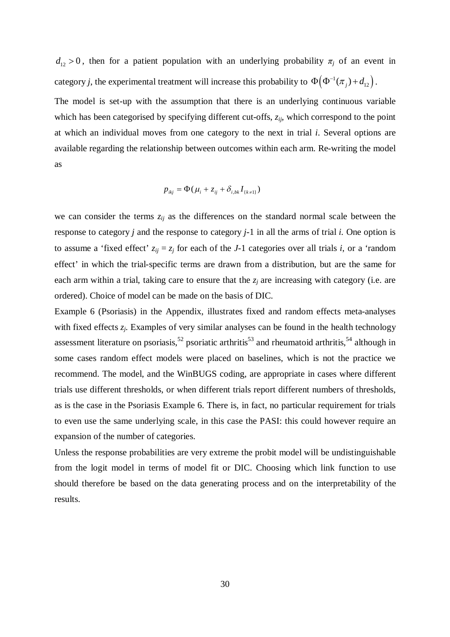$d_{12} > 0$ , then for a patient population with an underlying probability  $\pi_i$  of an event in category *j*, the experimental treatment will increase this probability to  $\Phi(\Phi^{-1}(\pi_j) + d_{12})$ .

The model is set-up with the assumption that there is an underlying continuous variable which has been categorised by specifying different cut-offs, *zij*, which correspond to the point at which an individual moves from one category to the next in trial *i*. Several options are available regarding the relationship between outcomes within each arm. Re-writing the model as

$$
p_{ikj} = \Phi(\mu_i + z_{ij} + \delta_{i,bk} I_{\{k \neq 1\}})
$$

we can consider the terms *zij* as the differences on the standard normal scale between the response to category *j* and the response to category *j-*1 in all the arms of trial *i.* One option is to assume a 'fixed effect'  $z_{ij} = z_j$  for each of the *J*-1 categories over all trials *i*, or a 'random effect' in which the trial-specific terms are drawn from a distribution, but are the same for each arm within a trial, taking care to ensure that the *z<sup>j</sup>* are increasing with category (i.e. are ordered). Choice of model can be made on the basis of DIC.

Example 6 (Psoriasis) in the Appendix, illustrates fixed and random effects meta-analyses with fixed effects  $z_i$ . Examples of very similar analyses can be found in the health technology assessment literature on psoriasis,<sup>52</sup> psoriatic arthritis<sup>53</sup> and rheumatoid arthritis,<sup>54</sup> although in some cases random effect models were placed on baselines, which is not the practice we recommend. The model, and the WinBUGS coding, are appropriate in cases where different trials use different thresholds, or when different trials report different numbers of thresholds, as is the case in the Psoriasis Example 6. There is, in fact, no particular requirement for trials to even use the same underlying scale, in this case the PASI: this could however require an expansion of the number of categories.

Unless the response probabilities are very extreme the probit model will be undistinguishable from the logit model in terms of model fit or DIC. Choosing which link function to use should therefore be based on the data generating process and on the interpretability of the results.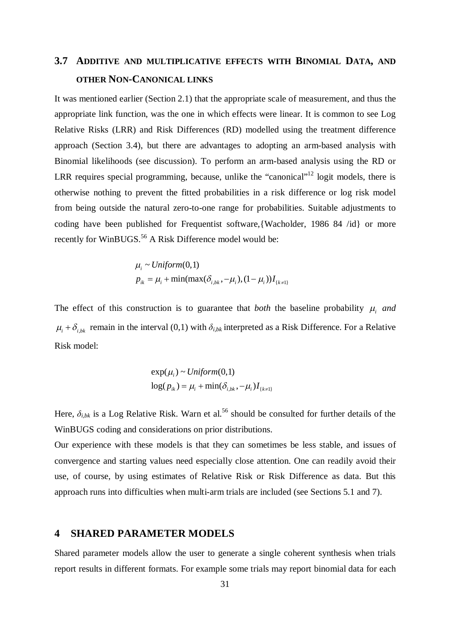# **3.7 ADDITIVE AND MULTIPLICATIVE EFFECTS WITH BINOMIAL DATA, AND OTHER NON-CANONICAL LINKS**

It was mentioned earlier (Section 2.1) that the appropriate scale of measurement, and thus the appropriate link function, was the one in which effects were linear. It is common to see Log Relative Risks (LRR) and Risk Differences (RD) modelled using the treatment difference approach (Section 3.4), but there are advantages to adopting an arm-based analysis with Binomial likelihoods (see discussion). To perform an arm-based analysis using the RD or LRR requires special programming, because, unlike the "canonical"<sup>12</sup> logit models, there is otherwise nothing to prevent the fitted probabilities in a risk difference or log risk model from being outside the natural zero-to-one range for probabilities. Suitable adjustments to coding have been published for Frequentist software,{Wacholder, 1986 84 /id} or more recently for WinBUGS.<sup>56</sup> A Risk Difference model would be:

$$
\mu_i \sim Uniform(0,1)
$$
  

$$
p_{ik} = \mu_i + \min(\max(\delta_{i,bk}, -\mu_i), (1-\mu_i))I_{\{k\neq 1\}}
$$

The effect of this construction is to guarantee that *both* the baseline probability  $\mu_i$  and  $\mu_i + \delta_{i,bk}$  remain in the interval (0,1) with  $\delta_{i,bk}$  interpreted as a Risk Difference. For a Relative Risk model:

$$
\exp(\mu_i) \sim Uniform(0,1)
$$

$$
\log(p_{ik}) = \mu_i + \min(\delta_{i,bk}, -\mu_i) I_{\{k \neq 1\}}
$$

Here,  $\delta_{i,k}$  is a Log Relative Risk. Warn et al.<sup>56</sup> should be consulted for further details of the WinBUGS coding and considerations on prior distributions.

Our experience with these models is that they can sometimes be less stable, and issues of convergence and starting values need especially close attention. One can readily avoid their use, of course, by using estimates of Relative Risk or Risk Difference as data. But this approach runs into difficulties when multi-arm trials are included (see Sections 5.1 and 7).

### **4 SHARED PARAMETER MODELS**

Shared parameter models allow the user to generate a single coherent synthesis when trials report results in different formats. For example some trials may report binomial data for each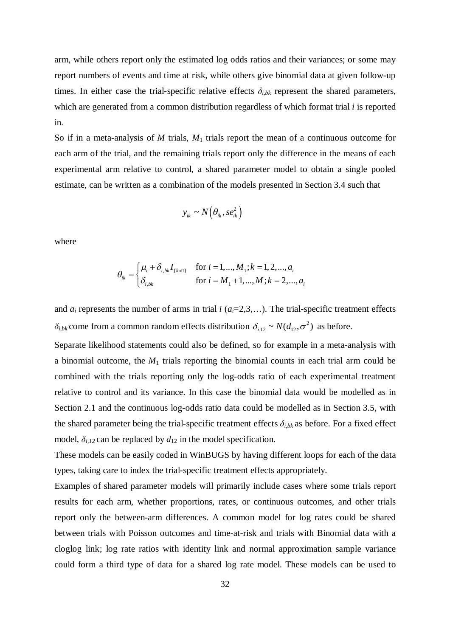arm, while others report only the estimated log odds ratios and their variances; or some may report numbers of events and time at risk, while others give binomial data at given follow-up times. In either case the trial-specific relative effects  $\delta_{i,bk}$  represent the shared parameters, which are generated from a common distribution regardless of which format trial *i* is reported in.

So if in a meta-analysis of *M* trials,  $M_1$  trials report the mean of a continuous outcome for each arm of the trial, and the remaining trials report only the difference in the means of each experimental arm relative to control, a shared parameter model to obtain a single pooled estimate, can be written as a combination of the models presented in Section 3.4 such that

$$
y_{ik} \sim N\big(\theta_{ik}, s e_{ik}^2\big)
$$

where

$$
\theta_{ik} = \begin{cases} \mu_i + \delta_{i,bk} I_{\{k \neq 1\}} & \text{for } i = 1, ..., M_1; k = 1, 2, ..., a_i \\ \delta_{i,bk} & \text{for } i = M_1 + 1, ..., M; k = 2, ..., a_i \end{cases}
$$

and  $a_i$  represents the number of arms in trial  $i$  ( $a_i=2,3,...$ ). The trial-specific treatment effects  $\delta_{i,bk}$  come from a common random effects distribution  $\delta_{i,12} \sim N(d_{12}, \sigma^2)$  as before.

Separate likelihood statements could also be defined, so for example in a meta-analysis with a binomial outcome, the *M*<sup>1</sup> trials reporting the binomial counts in each trial arm could be combined with the trials reporting only the log-odds ratio of each experimental treatment relative to control and its variance. In this case the binomial data would be modelled as in Section 2.1 and the continuous log-odds ratio data could be modelled as in Section 3.5, with the shared parameter being the trial-specific treatment effects  $\delta_{i,bk}$  as before. For a fixed effect model,  $\delta_{i,l2}$  can be replaced by  $d_{12}$  in the model specification.

These models can be easily coded in WinBUGS by having different loops for each of the data types, taking care to index the trial-specific treatment effects appropriately.

Examples of shared parameter models will primarily include cases where some trials report results for each arm, whether proportions, rates, or continuous outcomes, and other trials report only the between-arm differences. A common model for log rates could be shared between trials with Poisson outcomes and time-at-risk and trials with Binomial data with a cloglog link; log rate ratios with identity link and normal approximation sample variance could form a third type of data for a shared log rate model. These models can be used to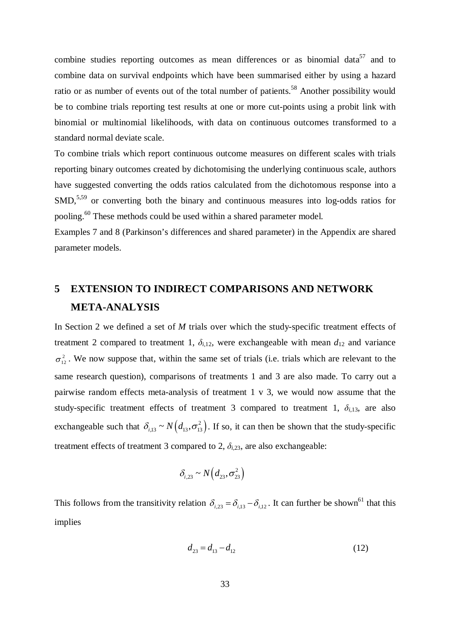combine studies reporting outcomes as mean differences or as binomial data<sup>57</sup> and to combine data on survival endpoints which have been summarised either by using a hazard ratio or as number of events out of the total number of patients.<sup>58</sup> Another possibility would be to combine trials reporting test results at one or more cut-points using a probit link with binomial or multinomial likelihoods, with data on continuous outcomes transformed to a standard normal deviate scale.

To combine trials which report continuous outcome measures on different scales with trials reporting binary outcomes created by dichotomising the underlying continuous scale, authors have suggested converting the odds ratios calculated from the dichotomous response into a SMD,<sup>5,59</sup> or converting both the binary and continuous measures into log-odds ratios for pooling.<sup>60</sup> These methods could be used within a shared parameter model.

Examples 7 and 8 (Parkinson's differences and shared parameter) in the Appendix are shared parameter models.

# **5 EXTENSION TO INDIRECT COMPARISONS AND NETWORK META-ANALYSIS**

In Section 2 we defined a set of *M* trials over which the study-specific treatment effects of treatment 2 compared to treatment 1,  $\delta_{i,12}$ , were exchangeable with mean  $d_{12}$  and variance  $\sigma_{12}^2$ . We now suppose that, within the same set of trials (i.e. trials which are relevant to the same research question), comparisons of treatments 1 and 3 are also made. To carry out a pairwise random effects meta-analysis of treatment 1 v 3, we would now assume that the study-specific treatment effects of treatment 3 compared to treatment 1,  $\delta_{i,13}$ , are also exchangeable such that  $\delta_{i,13} \sim N(d_{13}, \sigma_{13}^2)$ . If so, it can then be shown that the study-specific treatment effects of treatment 3 compared to 2,  $\delta_{i,23}$ , are also exchangeable:

$$
\delta_{i,23} \sim N\left(d_{23}, \sigma_{23}^2\right)
$$

This follows from the transitivity relation  $\delta_{i,23} = \delta_{i,13} - \delta_{i,12}$ . It can further be shown<sup>61</sup> that this implies

$$
d_{23} = d_{13} - d_{12} \tag{12}
$$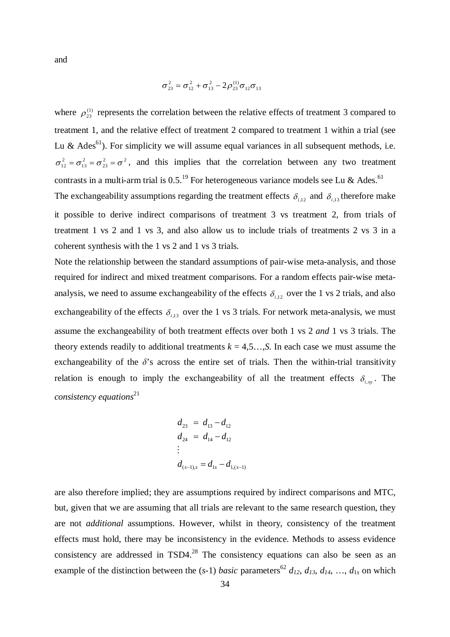and

$$
\sigma_{23}^2 = \sigma_{12}^2 + \sigma_{13}^2 - 2\rho_{23}^{(1)}\sigma_{12}\sigma_{13}
$$

where  $\rho_{23}^{(1)}$  represents the correlation between the relative effects of treatment 3 compared to treatment 1, and the relative effect of treatment 2 compared to treatment 1 within a trial (see Lu & Ades<sup>61</sup>). For simplicity we will assume equal variances in all subsequent methods, i.e.  $\sigma_{12}^2 = \sigma_{13}^2 = \sigma_{23}^2 = \sigma^2$ , and this implies that the correlation between any two treatment contrasts in a multi-arm trial is 0.5.<sup>19</sup> For heterogeneous variance models see Lu & Ades.<sup>61</sup>

The exchangeability assumptions regarding the treatment effects  $\delta_{i,12}$  and  $\delta_{i,13}$  therefore make it possible to derive indirect comparisons of treatment 3 vs treatment 2, from trials of treatment 1 vs 2 and 1 vs 3, and also allow us to include trials of treatments 2 vs 3 in a coherent synthesis with the 1 vs 2 and 1 vs 3 trials.

Note the relationship between the standard assumptions of pair-wise meta-analysis, and those required for indirect and mixed treatment comparisons. For a random effects pair-wise metaanalysis, we need to assume exchangeability of the effects  $\delta_{i,12}$  over the 1 vs 2 trials, and also exchangeability of the effects  $\delta_{i,13}$  over the 1 vs 3 trials. For network meta-analysis, we must assume the exchangeability of both treatment effects over both 1 vs 2 *and* 1 vs 3 trials. The theory extends readily to additional treatments  $k = 4,5, \ldots, S$ . In each case we must assume the exchangeability of the  $\delta$ 's across the entire set of trials. Then the within-trial transitivity relation is enough to imply the exchangeability of all the treatment effects  $\delta_{i,x}$ . The *consistency equations*<sup>21</sup>

$$
d_{23} = d_{13} - d_{12}
$$
  
\n
$$
d_{24} = d_{14} - d_{12}
$$
  
\n
$$
\vdots
$$
  
\n
$$
d_{(s-1),s} = d_{1s} - d_{1,(s-1)}
$$

are also therefore implied; they are assumptions required by indirect comparisons and MTC, but, given that we are assuming that all trials are relevant to the same research question, they are not *additional* assumptions. However, whilst in theory, consistency of the treatment effects must hold, there may be inconsistency in the evidence. Methods to assess evidence consistency are addressed in TSD4.<sup>28</sup> The consistency equations can also be seen as an example of the distinction between the (*s*-1) *basic* parameters<sup>62</sup>  $d_{12}$ ,  $d_{13}$ ,  $d_{14}$ , ...,  $d_{1s}$  on which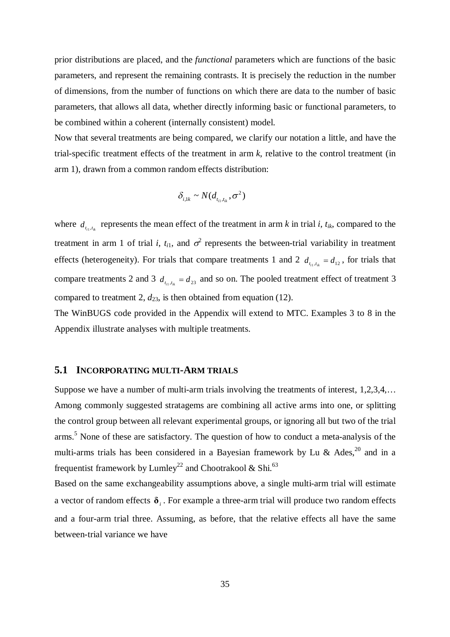prior distributions are placed, and the *functional* parameters which are functions of the basic parameters, and represent the remaining contrasts. It is precisely the reduction in the number of dimensions, from the number of functions on which there are data to the number of basic parameters, that allows all data, whether directly informing basic or functional parameters, to be combined within a coherent (internally consistent) model.

Now that several treatments are being compared, we clarify our notation a little, and have the trial-specific treatment effects of the treatment in arm *k*, relative to the control treatment (in arm 1), drawn from a common random effects distribution:

$$
\delta_{i,1k} \sim N(d_{t_{i1},t_{ik}}, \sigma^2)
$$

where  $d_{t_i, t_k}$  represents the mean effect of the treatment in arm *k* in trial *i*,  $t_{ik}$ , compared to the treatment in arm 1 of trial *i*,  $t_{i1}$ , and  $\sigma^2$  represents the between-trial variability in treatment effects (heterogeneity). For trials that compare treatments 1 and 2  $d_{t_i,t_k} = d_{12}$ , for trials that compare treatments 2 and 3  $d_{t_i,t_k} = d_{23}$  and so on. The pooled treatment effect of treatment 3 compared to treatment 2,  $d_{23}$ , is then obtained from equation (12).

The WinBUGS code provided in the Appendix will extend to MTC. Examples 3 to 8 in the Appendix illustrate analyses with multiple treatments.

### **5.1 INCORPORATING MULTI-ARM TRIALS**

Suppose we have a number of multi-arm trials involving the treatments of interest, 1,2,3,4,… Among commonly suggested stratagems are combining all active arms into one, or splitting the control group between all relevant experimental groups, or ignoring all but two of the trial arms.<sup>5</sup> None of these are satisfactory. The question of how to conduct a meta-analysis of the multi-arms trials has been considered in a Bayesian framework by Lu & Ades,<sup>20</sup> and in a frequentist framework by Lumley<sup>22</sup> and Chootrakool & Shi.<sup>63</sup>

Based on the same exchangeability assumptions above, a single multi-arm trial will estimate a vector of random effects  $\delta$ <sub>i</sub>. For example a three-arm trial will produce two random effects and a four-arm trial three. Assuming, as before, that the relative effects all have the same between-trial variance we have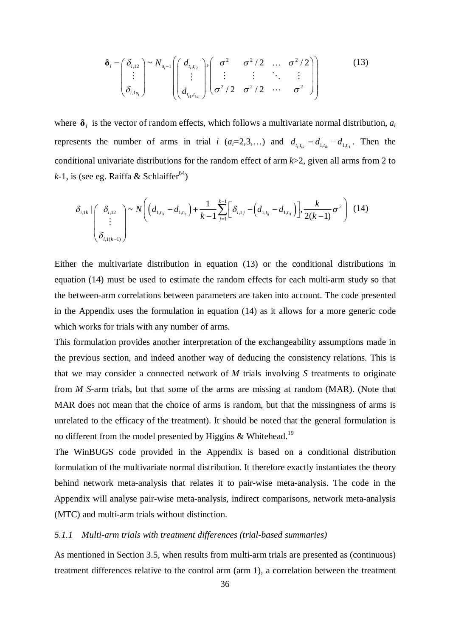$$
\delta_i = \begin{pmatrix} \delta_{i,12} \\ \vdots \\ \delta_{i,1a_i} \end{pmatrix} \sim N_{a_i-1} \begin{pmatrix} d_{t_{i_1t_{i_2}}} \\ \vdots \\ d_{t_{i_1,t_{i_a}}} \end{pmatrix}, \begin{pmatrix} \sigma^2 & \sigma^2/2 & \dots & \sigma^2/2 \\ \vdots & \vdots & \ddots & \vdots \\ \sigma^2/2 & \sigma^2/2 & \dots & \sigma^2 \end{pmatrix}
$$
 (13)

where  $\delta$ <sub>*i*</sub> is the vector of random effects, which follows a multivariate normal distribution,  $a_i$ represents the number of arms in trial *i*  $(a_i=2,3,...)$  and  $d_{t_{i_1}t_{i_k}} = d_{1,t_{i_k}} - d_{1,t_{i_1}}$ . Then the conditional univariate distributions for the random effect of arm *k*>2, given all arms from 2 to  $k-1$ , is (see eg. Raiffa & Schlaiffer<sup>64</sup>)

$$
\delta_{i,1k} \left| \begin{pmatrix} \delta_{i,12} \\ \vdots \\ \delta_{i,1(k-1)} \end{pmatrix} \right| \sim N \left( \left( d_{1,t_{ik}} - d_{1,t_{i1}} \right) + \frac{1}{k-1} \sum_{j=1}^{k-1} \left[ \delta_{i,1j} - \left( d_{1,t_{ij}} - d_{1,t_{i1}} \right) \right], \frac{k}{2(k-1)} \sigma^2 \right) (14)
$$

Either the multivariate distribution in equation (13) or the conditional distributions in equation (14) must be used to estimate the random effects for each multi-arm study so that the between-arm correlations between parameters are taken into account. The code presented in the Appendix uses the formulation in equation (14) as it allows for a more generic code which works for trials with any number of arms.

This formulation provides another interpretation of the exchangeability assumptions made in the previous section, and indeed another way of deducing the consistency relations. This is that we may consider a connected network of *M* trials involving *S* treatments to originate from *M S*-arm trials, but that some of the arms are missing at random (MAR). (Note that MAR does not mean that the choice of arms is random, but that the missingness of arms is unrelated to the efficacy of the treatment). It should be noted that the general formulation is no different from the model presented by Higgins & Whitehead.<sup>19</sup>

The WinBUGS code provided in the Appendix is based on a conditional distribution formulation of the multivariate normal distribution. It therefore exactly instantiates the theory behind network meta-analysis that relates it to pair-wise meta-analysis. The code in the Appendix will analyse pair-wise meta-analysis, indirect comparisons, network meta-analysis (MTC) and multi-arm trials without distinction.

#### *5.1.1 Multi-arm trials with treatment differences (trial-based summaries)*

As mentioned in Section 3.5, when results from multi-arm trials are presented as (continuous) treatment differences relative to the control arm (arm 1), a correlation between the treatment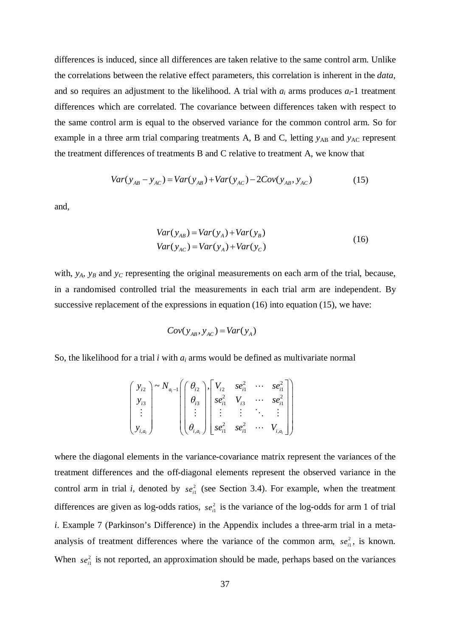differences is induced, since all differences are taken relative to the same control arm. Unlike the correlations between the relative effect parameters, this correlation is inherent in the *data*, and so requires an adjustment to the likelihood. A trial with  $a_i$  arms produces  $a_i$ -1 treatment differences which are correlated. The covariance between differences taken with respect to the same control arm is equal to the observed variance for the common control arm. So for example in a three arm trial comparing treatments A, B and C, letting  $y_{AB}$  and  $y_{AC}$  represent the treatment differences of treatments B and C relative to treatment A, we know that

$$
Var(y_{AB} - y_{AC}) = Var(y_{AB}) + Var(y_{AC}) - 2Cov(y_{AB}, y_{AC})
$$
 (15)

and,

$$
Var(y_{AB}) = Var(y_A) + Var(y_B)
$$
  
\n
$$
Var(y_{AC}) = Var(y_A) + Var(y_C)
$$
\n(16)

with, *y<sub>A</sub>*, *y<sub>B</sub>* and *y<sub>C</sub>* representing the original measurements on each arm of the trial, because, in a randomised controlled trial the measurements in each trial arm are independent. By successive replacement of the expressions in equation (16) into equation (15), we have:

$$
Cov(y_{AB}, y_{AC}) = Var(y_A)
$$

So, the likelihood for a trial *i* with *a<sup>i</sup>* arms would be defined as multivariate normal

$$
\begin{pmatrix}\ny_{i2} \\
y_{i3} \\
\vdots \\
y_{i,a_i}\n\end{pmatrix} \sim N_{a_i-1} \begin{pmatrix}\n\theta_{i2} \\
\theta_{i3} \\
\vdots \\
\theta_{i,a_i}\n\end{pmatrix},\n\begin{bmatrix}\nV_{i2} & se_{i1}^2 & \cdots & se_{i1}^2 \\
se_{i1}^2 & V_{i3} & \cdots & se_{i1}^2 \\
\vdots & \vdots & \ddots & \vdots \\
se_{i1}^2 & se_{i1}^2 & \cdots & V_{i,a_i}\n\end{bmatrix}
$$

where the diagonal elements in the variance-covariance matrix represent the variances of the treatment differences and the off-diagonal elements represent the observed variance in the control arm in trial *i*, denoted by  $se<sub>i1</sub><sup>2</sup>$  (see Section 3.4). For example, when the treatment differences are given as log-odds ratios,  $se_{i}^2$  is the variance of the log-odds for arm 1 of trial *i*. Example 7 (Parkinson's Difference) in the Appendix includes a three-arm trial in a metaanalysis of treatment differences where the variance of the common arm,  $se_{i}^2$ , is known. When  $se_{i}^2$  is not reported, an approximation should be made, perhaps based on the variances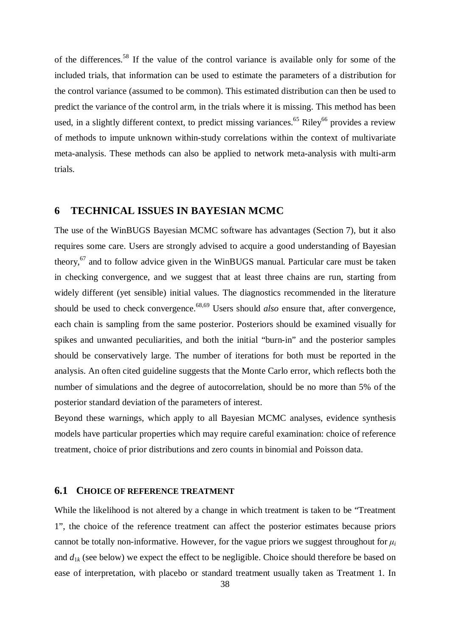of the differences.<sup>58</sup> If the value of the control variance is available only for some of the included trials, that information can be used to estimate the parameters of a distribution for the control variance (assumed to be common). This estimated distribution can then be used to predict the variance of the control arm, in the trials where it is missing. This method has been used, in a slightly different context, to predict missing variances.<sup>65</sup> Riley<sup>66</sup> provides a review of methods to impute unknown within-study correlations within the context of multivariate meta-analysis. These methods can also be applied to network meta-analysis with multi-arm trials.

## **6 TECHNICAL ISSUES IN BAYESIAN MCMC**

The use of the WinBUGS Bayesian MCMC software has advantages (Section 7), but it also requires some care. Users are strongly advised to acquire a good understanding of Bayesian theory,<sup>67</sup> and to follow advice given in the WinBUGS manual. Particular care must be taken in checking convergence, and we suggest that at least three chains are run, starting from widely different (yet sensible) initial values. The diagnostics recommended in the literature should be used to check convergence. 68,69 Users should *also* ensure that, after convergence, each chain is sampling from the same posterior. Posteriors should be examined visually for spikes and unwanted peculiarities, and both the initial "burn-in" and the posterior samples should be conservatively large. The number of iterations for both must be reported in the analysis. An often cited guideline suggests that the Monte Carlo error, which reflects both the number of simulations and the degree of autocorrelation, should be no more than 5% of the posterior standard deviation of the parameters of interest.

Beyond these warnings, which apply to all Bayesian MCMC analyses, evidence synthesis models have particular properties which may require careful examination: choice of reference treatment, choice of prior distributions and zero counts in binomial and Poisson data.

#### **6.1 CHOICE OF REFERENCE TREATMENT**

While the likelihood is not altered by a change in which treatment is taken to be "Treatment 1", the choice of the reference treatment can affect the posterior estimates because priors cannot be totally non-informative. However, for the vague priors we suggest throughout for  $\mu_i$ and  $d_{1k}$  (see below) we expect the effect to be negligible. Choice should therefore be based on ease of interpretation, with placebo or standard treatment usually taken as Treatment 1. In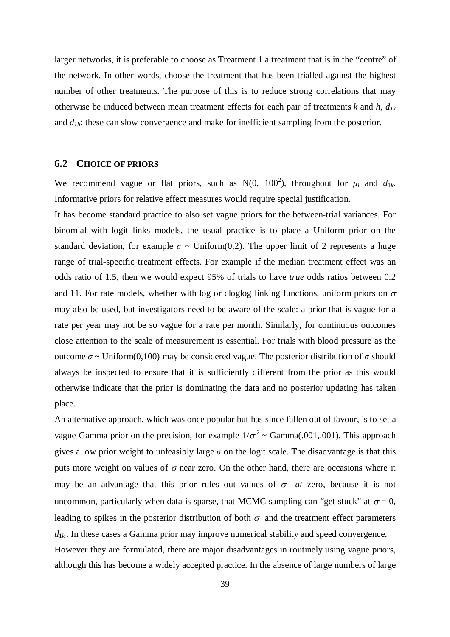larger networks, it is preferable to choose as Treatment 1 a treatment that is in the "centre" of the network. In other words, choose the treatment that has been trialled against the highest number of other treatments. The purpose of this is to reduce strong correlations that may otherwise be induced between mean treatment effects for each pair of treatments *k* and *h*, *d1k* and  $d_{1h}$ : these can slow convergence and make for inefficient sampling from the posterior.

## **6.2 CHOICE OF PRIORS**

We recommend vague or flat priors, such as  $N(0, 100^2)$ , throughout for  $\mu_i$  and  $d_{1k}$ . Informative priors for relative effect measures would require special justification.

It has become standard practice to also set vague priors for the between-trial variances. For binomial with logit links models, the usual practice is to place a Uniform prior on the standard deviation, for example  $\sigma \sim$  Uniform(0,2). The upper limit of 2 represents a huge range of trial-specific treatment effects. For example if the median treatment effect was an odds ratio of 1.5, then we would expect 95% of trials to have *true* odds ratios between 0.2 and 11. For rate models, whether with log or cloglog linking functions, uniform priors on  $\sigma$ may also be used, but investigators need to be aware of the scale: a prior that is vague for a rate per year may not be so vague for a rate per month. Similarly, for continuous outcomes close attention to the scale of measurement is essential. For trials with blood pressure as the outcome *σ* ~ Uniform(0,100) may be considered vague. The posterior distribution of *σ* should always be inspected to ensure that it is sufficiently different from the prior as this would otherwise indicate that the prior is dominating the data and no posterior updating has taken place.

An alternative approach, which was once popular but has since fallen out of favour, is to set a vague Gamma prior on the precision, for example  $1/\sigma^2 \sim \text{Gamma}(0.001, 0.001)$ . This approach gives a low prior weight to unfeasibly large  $\sigma$  on the logit scale. The disadvantage is that this puts more weight on values of  $\sigma$  near zero. On the other hand, there are occasions where it may be an advantage that this prior rules out values of  $\sigma$  *at* zero, because it is not uncommon, particularly when data is sparse, that MCMC sampling can "get stuck" at  $\sigma = 0$ , leading to spikes in the posterior distribution of both  $\sigma$  and the treatment effect parameters  $d_{1k}$ . In these cases a Gamma prior may improve numerical stability and speed convergence. However they are formulated, there are major disadvantages in routinely using vague priors, although this has become a widely accepted practice. In the absence of large numbers of large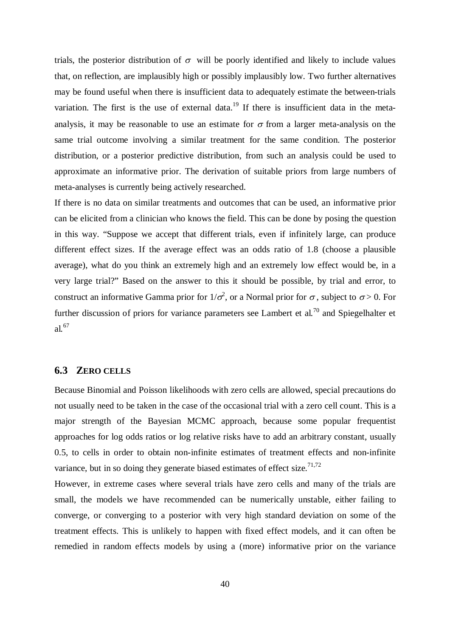trials, the posterior distribution of  $\sigma$  will be poorly identified and likely to include values that, on reflection, are implausibly high or possibly implausibly low. Two further alternatives may be found useful when there is insufficient data to adequately estimate the between-trials variation. The first is the use of external data.<sup>19</sup> If there is insufficient data in the metaanalysis, it may be reasonable to use an estimate for  $\sigma$  from a larger meta-analysis on the same trial outcome involving a similar treatment for the same condition. The posterior distribution, or a posterior predictive distribution, from such an analysis could be used to approximate an informative prior. The derivation of suitable priors from large numbers of meta-analyses is currently being actively researched.

If there is no data on similar treatments and outcomes that can be used, an informative prior can be elicited from a clinician who knows the field. This can be done by posing the question in this way. "Suppose we accept that different trials, even if infinitely large, can produce different effect sizes. If the average effect was an odds ratio of 1.8 (choose a plausible average), what do you think an extremely high and an extremely low effect would be, in a very large trial?" Based on the answer to this it should be possible, by trial and error, to construct an informative Gamma prior for  $1/\sigma^2$ , or a Normal prior for  $\sigma$ , subject to  $\sigma > 0$ . For further discussion of priors for variance parameters see Lambert et al*.* <sup>70</sup> and Spiegelhalter et al*.* 67

## **6.3 ZERO CELLS**

Because Binomial and Poisson likelihoods with zero cells are allowed, special precautions do not usually need to be taken in the case of the occasional trial with a zero cell count. This is a major strength of the Bayesian MCMC approach, because some popular frequentist approaches for log odds ratios or log relative risks have to add an arbitrary constant, usually 0.5, to cells in order to obtain non-infinite estimates of treatment effects and non-infinite variance, but in so doing they generate biased estimates of effect size.<sup>71,72</sup>

However, in extreme cases where several trials have zero cells and many of the trials are small, the models we have recommended can be numerically unstable, either failing to converge, or converging to a posterior with very high standard deviation on some of the treatment effects. This is unlikely to happen with fixed effect models, and it can often be remedied in random effects models by using a (more) informative prior on the variance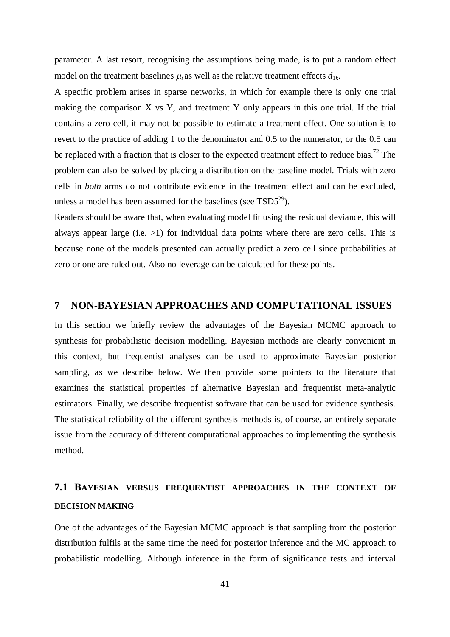parameter. A last resort, recognising the assumptions being made, is to put a random effect model on the treatment baselines  $\mu_i$  as well as the relative treatment effects  $d_{1k}$ .

A specific problem arises in sparse networks, in which for example there is only one trial making the comparison X vs Y, and treatment Y only appears in this one trial. If the trial contains a zero cell, it may not be possible to estimate a treatment effect. One solution is to revert to the practice of adding 1 to the denominator and 0.5 to the numerator, or the 0.5 can be replaced with a fraction that is closer to the expected treatment effect to reduce bias.<sup>72</sup> The problem can also be solved by placing a distribution on the baseline model. Trials with zero cells in *both* arms do not contribute evidence in the treatment effect and can be excluded, unless a model has been assumed for the baselines (see  $TSD5^{29}$ ).

Readers should be aware that, when evaluating model fit using the residual deviance, this will always appear large (i.e. >1) for individual data points where there are zero cells. This is because none of the models presented can actually predict a zero cell since probabilities at zero or one are ruled out. Also no leverage can be calculated for these points.

## **7 NON-BAYESIAN APPROACHES AND COMPUTATIONAL ISSUES**

In this section we briefly review the advantages of the Bayesian MCMC approach to synthesis for probabilistic decision modelling. Bayesian methods are clearly convenient in this context, but frequentist analyses can be used to approximate Bayesian posterior sampling, as we describe below. We then provide some pointers to the literature that examines the statistical properties of alternative Bayesian and frequentist meta-analytic estimators. Finally, we describe frequentist software that can be used for evidence synthesis. The statistical reliability of the different synthesis methods is, of course, an entirely separate issue from the accuracy of different computational approaches to implementing the synthesis method.

# **7.1 BAYESIAN VERSUS FREQUENTIST APPROACHES IN THE CONTEXT OF DECISION MAKING**

One of the advantages of the Bayesian MCMC approach is that sampling from the posterior distribution fulfils at the same time the need for posterior inference and the MC approach to probabilistic modelling. Although inference in the form of significance tests and interval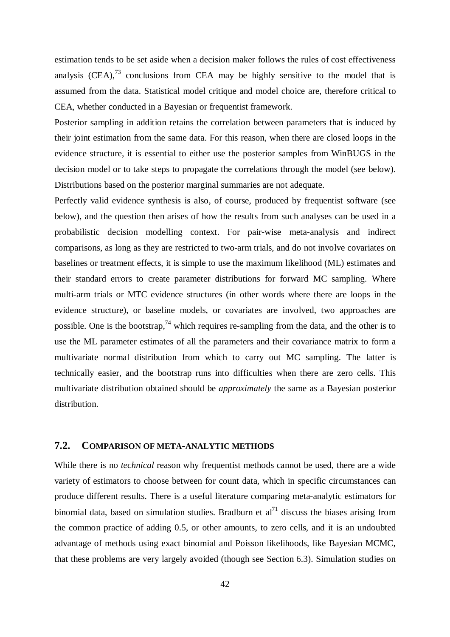estimation tends to be set aside when a decision maker follows the rules of cost effectiveness analysis  $(CEA)$ ,<sup>73</sup> conclusions from CEA may be highly sensitive to the model that is assumed from the data. Statistical model critique and model choice are, therefore critical to CEA, whether conducted in a Bayesian or frequentist framework.

Posterior sampling in addition retains the correlation between parameters that is induced by their joint estimation from the same data. For this reason, when there are closed loops in the evidence structure, it is essential to either use the posterior samples from WinBUGS in the decision model or to take steps to propagate the correlations through the model (see below). Distributions based on the posterior marginal summaries are not adequate.

Perfectly valid evidence synthesis is also, of course, produced by frequentist software (see below), and the question then arises of how the results from such analyses can be used in a probabilistic decision modelling context. For pair-wise meta-analysis and indirect comparisons, as long as they are restricted to two-arm trials, and do not involve covariates on baselines or treatment effects, it is simple to use the maximum likelihood (ML) estimates and their standard errors to create parameter distributions for forward MC sampling. Where multi-arm trials or MTC evidence structures (in other words where there are loops in the evidence structure), or baseline models, or covariates are involved, two approaches are possible. One is the bootstrap,<sup>74</sup> which requires re-sampling from the data, and the other is to use the ML parameter estimates of all the parameters and their covariance matrix to form a multivariate normal distribution from which to carry out MC sampling. The latter is technically easier, and the bootstrap runs into difficulties when there are zero cells. This multivariate distribution obtained should be *approximately* the same as a Bayesian posterior distribution.

## **7.2. COMPARISON OF META-ANALYTIC METHODS**

While there is no *technical* reason why frequentist methods cannot be used, there are a wide variety of estimators to choose between for count data, which in specific circumstances can produce different results. There is a useful literature comparing meta-analytic estimators for binomial data, based on simulation studies. Bradburn et  $al<sup>71</sup>$  discuss the biases arising from the common practice of adding 0.5, or other amounts, to zero cells, and it is an undoubted advantage of methods using exact binomial and Poisson likelihoods, like Bayesian MCMC, that these problems are very largely avoided (though see Section 6.3). Simulation studies on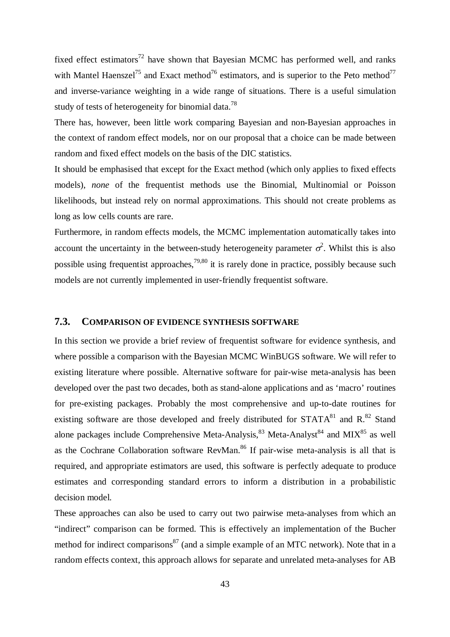fixed effect estimators<sup>72</sup> have shown that Bayesian MCMC has performed well, and ranks with Mantel Haenszel<sup>75</sup> and Exact method<sup>76</sup> estimators, and is superior to the Peto method<sup>77</sup> and inverse-variance weighting in a wide range of situations. There is a useful simulation study of tests of heterogeneity for binomial data.<sup>78</sup>

There has, however, been little work comparing Bayesian and non-Bayesian approaches in the context of random effect models, nor on our proposal that a choice can be made between random and fixed effect models on the basis of the DIC statistics.

It should be emphasised that except for the Exact method (which only applies to fixed effects models), *none* of the frequentist methods use the Binomial, Multinomial or Poisson likelihoods, but instead rely on normal approximations. This should not create problems as long as low cells counts are rare.

Furthermore, in random effects models, the MCMC implementation automatically takes into account the uncertainty in the between-study heterogeneity parameter  $\sigma^2$ . Whilst this is also possible using frequentist approaches,<sup>79,80</sup> it is rarely done in practice, possibly because such models are not currently implemented in user-friendly frequentist software.

## **7.3. COMPARISON OF EVIDENCE SYNTHESIS SOFTWARE**

In this section we provide a brief review of frequentist software for evidence synthesis, and where possible a comparison with the Bayesian MCMC WinBUGS software. We will refer to existing literature where possible. Alternative software for pair-wise meta-analysis has been developed over the past two decades, both as stand-alone applications and as 'macro' routines for pre-existing packages. Probably the most comprehensive and up-to-date routines for existing software are those developed and freely distributed for  $STATA^{81}$  and  $R.^{82}$  Stand alone packages include Comprehensive Meta-Analysis,  $83$  Meta-Analyst $84$  and MIX $85$  as well as the Cochrane Collaboration software RevMan. <sup>86</sup> If pair-wise meta-analysis is all that is required, and appropriate estimators are used, this software is perfectly adequate to produce estimates and corresponding standard errors to inform a distribution in a probabilistic decision model.

These approaches can also be used to carry out two pairwise meta-analyses from which an "indirect" comparison can be formed. This is effectively an implementation of the Bucher method for indirect comparisons<sup>87</sup> (and a simple example of an MTC network). Note that in a random effects context, this approach allows for separate and unrelated meta-analyses for AB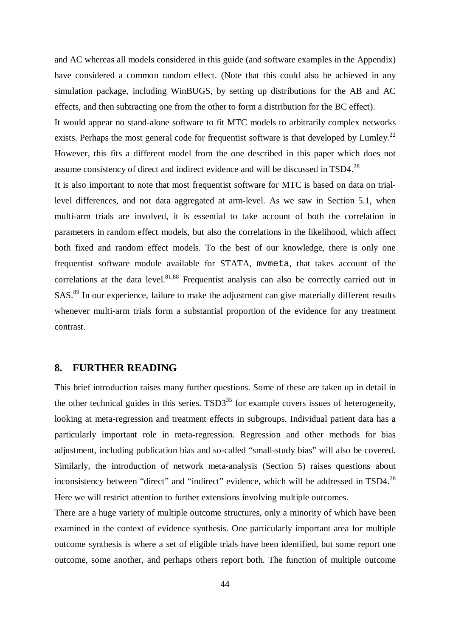and AC whereas all models considered in this guide (and software examples in the Appendix) have considered a common random effect. (Note that this could also be achieved in any simulation package, including WinBUGS, by setting up distributions for the AB and AC effects, and then subtracting one from the other to form a distribution for the BC effect).

It would appear no stand-alone software to fit MTC models to arbitrarily complex networks exists. Perhaps the most general code for frequentist software is that developed by Lumley.<sup>22</sup> However, this fits a different model from the one described in this paper which does not assume consistency of direct and indirect evidence and will be discussed in TSD4.<sup>28</sup>

It is also important to note that most frequentist software for MTC is based on data on triallevel differences, and not data aggregated at arm-level. As we saw in Section 5.1, when multi-arm trials are involved, it is essential to take account of both the correlation in parameters in random effect models, but also the correlations in the likelihood, which affect both fixed and random effect models. To the best of our knowledge, there is only one frequentist software module available for STATA, mvmeta, that takes account of the correlations at the data level.<sup>81,88</sup> Frequentist analysis can also be correctly carried out in SAS.<sup>89</sup> In our experience, failure to make the adjustment can give materially different results whenever multi-arm trials form a substantial proportion of the evidence for any treatment contrast.

## **8. FURTHER READING**

This brief introduction raises many further questions. Some of these are taken up in detail in the other technical guides in this series.  $TSD3^{35}$  for example covers issues of heterogeneity, looking at meta-regression and treatment effects in subgroups. Individual patient data has a particularly important role in meta-regression. Regression and other methods for bias adjustment, including publication bias and so-called "small-study bias" will also be covered. Similarly, the introduction of network meta-analysis (Section 5) raises questions about inconsistency between "direct" and "indirect" evidence, which will be addressed in TSD4.<sup>28</sup> Here we will restrict attention to further extensions involving multiple outcomes.

There are a huge variety of multiple outcome structures, only a minority of which have been examined in the context of evidence synthesis. One particularly important area for multiple outcome synthesis is where a set of eligible trials have been identified, but some report one outcome, some another, and perhaps others report both. The function of multiple outcome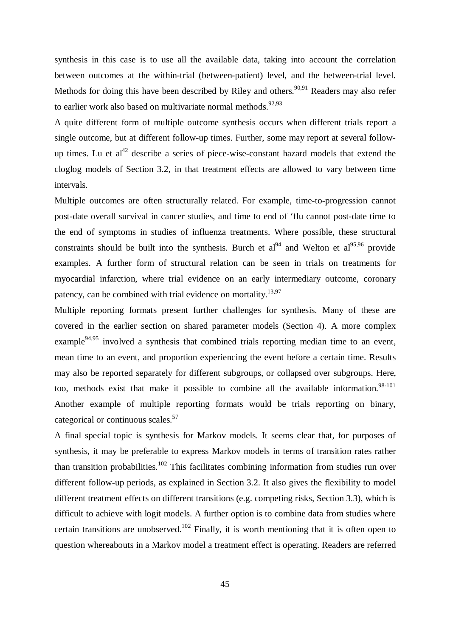synthesis in this case is to use all the available data, taking into account the correlation between outcomes at the within-trial (between-patient) level, and the between-trial level. Methods for doing this have been described by Riley and others.<sup>90,91</sup> Readers may also refer to earlier work also based on multivariate normal methods.<sup>92,93</sup>

A quite different form of multiple outcome synthesis occurs when different trials report a single outcome, but at different follow-up times. Further, some may report at several followup times. Lu et  $al^{42}$  describe a series of piece-wise-constant hazard models that extend the cloglog models of Section 3.2, in that treatment effects are allowed to vary between time intervals.

Multiple outcomes are often structurally related. For example, time-to-progression cannot post-date overall survival in cancer studies, and time to end of 'flu cannot post-date time to the end of symptoms in studies of influenza treatments. Where possible, these structural constraints should be built into the synthesis. Burch et al<sup>94</sup> and Welton et al<sup>95,96</sup> provide examples. A further form of structural relation can be seen in trials on treatments for myocardial infarction, where trial evidence on an early intermediary outcome, coronary patency, can be combined with trial evidence on mortality.<sup>13,97</sup>

Multiple reporting formats present further challenges for synthesis. Many of these are covered in the earlier section on shared parameter models (Section 4). A more complex example<sup>94,95</sup> involved a synthesis that combined trials reporting median time to an event, mean time to an event, and proportion experiencing the event before a certain time. Results may also be reported separately for different subgroups, or collapsed over subgroups. Here, too, methods exist that make it possible to combine all the available information. 98-101 Another example of multiple reporting formats would be trials reporting on binary, categorical or continuous scales.<sup>57</sup>

A final special topic is synthesis for Markov models. It seems clear that, for purposes of synthesis, it may be preferable to express Markov models in terms of transition rates rather than transition probabilities.<sup>102</sup> This facilitates combining information from studies run over different follow-up periods, as explained in Section 3.2. It also gives the flexibility to model different treatment effects on different transitions (e.g. competing risks, Section 3.3), which is difficult to achieve with logit models. A further option is to combine data from studies where certain transitions are unobserved.<sup>102</sup> Finally, it is worth mentioning that it is often open to question whereabouts in a Markov model a treatment effect is operating. Readers are referred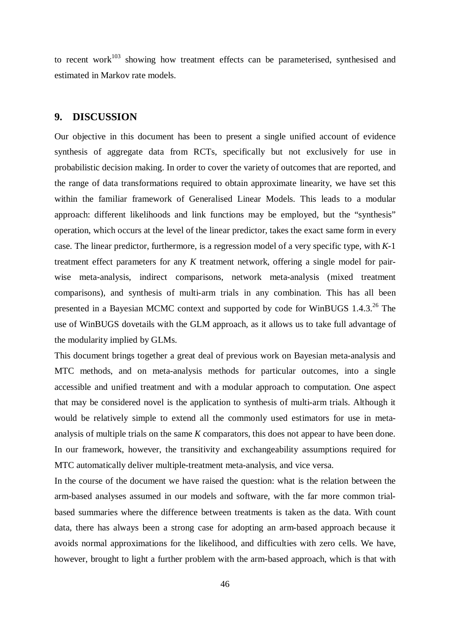to recent work $103$  showing how treatment effects can be parameterised, synthesised and estimated in Markov rate models.

## **9. DISCUSSION**

Our objective in this document has been to present a single unified account of evidence synthesis of aggregate data from RCTs, specifically but not exclusively for use in probabilistic decision making. In order to cover the variety of outcomes that are reported, and the range of data transformations required to obtain approximate linearity, we have set this within the familiar framework of Generalised Linear Models. This leads to a modular approach: different likelihoods and link functions may be employed, but the "synthesis" operation, which occurs at the level of the linear predictor, takes the exact same form in every case. The linear predictor, furthermore, is a regression model of a very specific type, with *K*-1 treatment effect parameters for any *K* treatment network, offering a single model for pairwise meta-analysis, indirect comparisons, network meta-analysis (mixed treatment comparisons), and synthesis of multi-arm trials in any combination. This has all been presented in a Bayesian MCMC context and supported by code for WinBUGS 1.4.3.<sup>26</sup> The use of WinBUGS dovetails with the GLM approach, as it allows us to take full advantage of the modularity implied by GLMs.

This document brings together a great deal of previous work on Bayesian meta-analysis and MTC methods, and on meta-analysis methods for particular outcomes, into a single accessible and unified treatment and with a modular approach to computation. One aspect that may be considered novel is the application to synthesis of multi-arm trials. Although it would be relatively simple to extend all the commonly used estimators for use in metaanalysis of multiple trials on the same *K* comparators, this does not appear to have been done. In our framework, however, the transitivity and exchangeability assumptions required for MTC automatically deliver multiple-treatment meta-analysis, and vice versa.

In the course of the document we have raised the question: what is the relation between the arm-based analyses assumed in our models and software, with the far more common trialbased summaries where the difference between treatments is taken as the data. With count data, there has always been a strong case for adopting an arm-based approach because it avoids normal approximations for the likelihood, and difficulties with zero cells. We have, however, brought to light a further problem with the arm-based approach, which is that with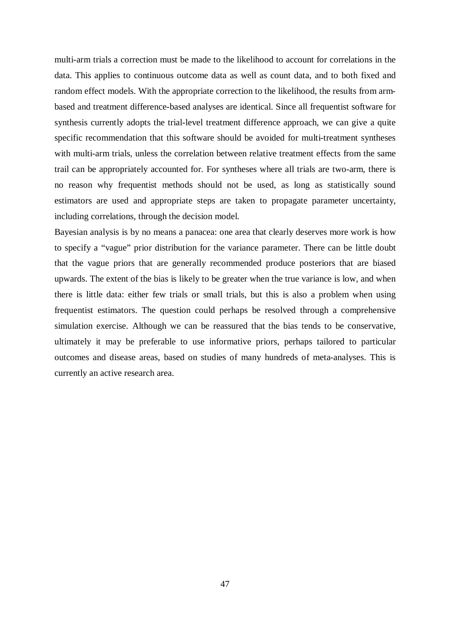multi-arm trials a correction must be made to the likelihood to account for correlations in the data. This applies to continuous outcome data as well as count data, and to both fixed and random effect models. With the appropriate correction to the likelihood, the results from armbased and treatment difference-based analyses are identical. Since all frequentist software for synthesis currently adopts the trial-level treatment difference approach, we can give a quite specific recommendation that this software should be avoided for multi-treatment syntheses with multi-arm trials, unless the correlation between relative treatment effects from the same trail can be appropriately accounted for. For syntheses where all trials are two-arm, there is no reason why frequentist methods should not be used, as long as statistically sound estimators are used and appropriate steps are taken to propagate parameter uncertainty, including correlations, through the decision model.

Bayesian analysis is by no means a panacea: one area that clearly deserves more work is how to specify a "vague" prior distribution for the variance parameter. There can be little doubt that the vague priors that are generally recommended produce posteriors that are biased upwards. The extent of the bias is likely to be greater when the true variance is low, and when there is little data: either few trials or small trials, but this is also a problem when using frequentist estimators. The question could perhaps be resolved through a comprehensive simulation exercise. Although we can be reassured that the bias tends to be conservative, ultimately it may be preferable to use informative priors, perhaps tailored to particular outcomes and disease areas, based on studies of many hundreds of meta-analyses. This is currently an active research area.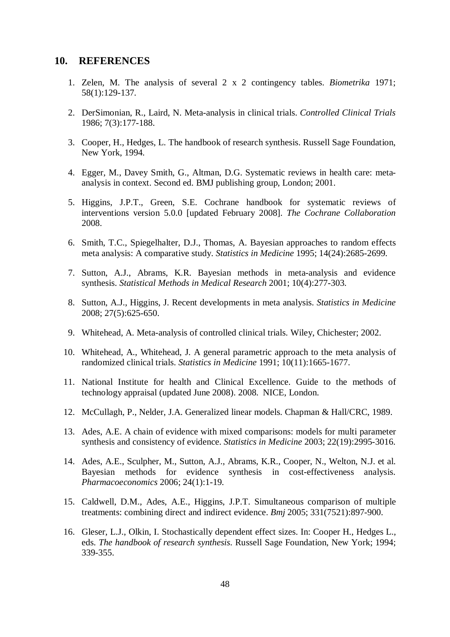#### **10. REFERENCES**

- 1. Zelen, M. The analysis of several 2 x 2 contingency tables. *Biometrika* 1971; 58(1):129-137.
- 2. DerSimonian, R., Laird, N. Meta-analysis in clinical trials. *Controlled Clinical Trials* 1986; 7(3):177-188.
- 3. Cooper, H., Hedges, L. The handbook of research synthesis. Russell Sage Foundation, New York, 1994.
- 4. Egger, M., Davey Smith, G., Altman, D.G. Systematic reviews in health care: metaanalysis in context. Second ed. BMJ publishing group, London; 2001.
- 5. Higgins, J.P.T., Green, S.E. Cochrane handbook for systematic reviews of interventions version 5.0.0 [updated February 2008]. *The Cochrane Collaboration* 2008.
- 6. Smith, T.C., Spiegelhalter, D.J., Thomas, A. Bayesian approaches to random effects meta analysis: A comparative study. *Statistics in Medicine* 1995; 14(24):2685-2699.
- 7. Sutton, A.J., Abrams, K.R. Bayesian methods in meta-analysis and evidence synthesis. *Statistical Methods in Medical Research* 2001; 10(4):277-303.
- 8. Sutton, A.J., Higgins, J. Recent developments in meta analysis. *Statistics in Medicine* 2008; 27(5):625-650.
- 9. Whitehead, A. Meta-analysis of controlled clinical trials. Wiley, Chichester; 2002.
- 10. Whitehead, A., Whitehead, J. A general parametric approach to the meta analysis of randomized clinical trials. *Statistics in Medicine* 1991; 10(11):1665-1677.
- 11. National Institute for health and Clinical Excellence. Guide to the methods of technology appraisal (updated June 2008). 2008. NICE, London.
- 12. McCullagh, P., Nelder, J.A. Generalized linear models. Chapman & Hall/CRC, 1989.
- 13. Ades, A.E. A chain of evidence with mixed comparisons: models for multi parameter synthesis and consistency of evidence. *Statistics in Medicine* 2003; 22(19):2995-3016.
- 14. Ades, A.E., Sculpher, M., Sutton, A.J., Abrams, K.R., Cooper, N., Welton, N.J. et al. Bayesian methods for evidence synthesis in cost-effectiveness analysis. *Pharmacoeconomics* 2006; 24(1):1-19.
- 15. Caldwell, D.M., Ades, A.E., Higgins, J.P.T. Simultaneous comparison of multiple treatments: combining direct and indirect evidence. *Bmj* 2005; 331(7521):897-900.
- 16. Gleser, L.J., Olkin, I. Stochastically dependent effect sizes. In: Cooper H., Hedges L., eds. *The handbook of research synthesis*. Russell Sage Foundation, New York; 1994; 339-355.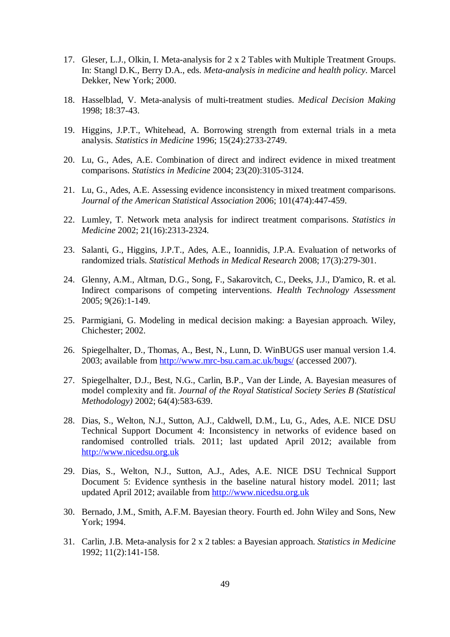- 17. Gleser, L.J., Olkin, I. Meta-analysis for 2 x 2 Tables with Multiple Treatment Groups. In: Stangl D.K., Berry D.A., eds. *Meta-analysis in medicine and health policy*. Marcel Dekker, New York; 2000.
- 18. Hasselblad, V. Meta-analysis of multi-treatment studies. *Medical Decision Making* 1998; 18:37-43.
- 19. Higgins, J.P.T., Whitehead, A. Borrowing strength from external trials in a meta analysis. *Statistics in Medicine* 1996; 15(24):2733-2749.
- 20. Lu, G., Ades, A.E. Combination of direct and indirect evidence in mixed treatment comparisons. *Statistics in Medicine* 2004; 23(20):3105-3124.
- 21. Lu, G., Ades, A.E. Assessing evidence inconsistency in mixed treatment comparisons. *Journal of the American Statistical Association* 2006; 101(474):447-459.
- 22. Lumley, T. Network meta analysis for indirect treatment comparisons. *Statistics in Medicine* 2002; 21(16):2313-2324.
- 23. Salanti, G., Higgins, J.P.T., Ades, A.E., Ioannidis, J.P.A. Evaluation of networks of randomized trials. *Statistical Methods in Medical Research* 2008; 17(3):279-301.
- 24. Glenny, A.M., Altman, D.G., Song, F., Sakarovitch, C., Deeks, J.J., D'amico, R. et al. Indirect comparisons of competing interventions. *Health Technology Assessment* 2005; 9(26):1-149.
- 25. Parmigiani, G. Modeling in medical decision making: a Bayesian approach. Wiley, Chichester; 2002.
- 26. Spiegelhalter, D., Thomas, A., Best, N., Lunn, D. WinBUGS user manual version 1.4. 2003; available from http://www.mrc-bsu.cam.ac.uk/bugs/ (accessed 2007).
- 27. Spiegelhalter, D.J., Best, N.G., Carlin, B.P., Van der Linde, A. Bayesian measures of model complexity and fit. *Journal of the Royal Statistical Society Series B (Statistical Methodology)* 2002; 64(4):583-639.
- 28. Dias, S., Welton, N.J., Sutton, A.J., Caldwell, D.M., Lu, G., Ades, A.E. NICE DSU Technical Support Document 4: Inconsistency in networks of evidence based on randomised controlled trials. 2011; last updated April 2012; available from http://www.nicedsu.org.uk
- 29. Dias, S., Welton, N.J., Sutton, A.J., Ades, A.E. NICE DSU Technical Support Document 5: Evidence synthesis in the baseline natural history model. 2011; last updated April 2012; available from http://www.nicedsu.org.uk
- 30. Bernado, J.M., Smith, A.F.M. Bayesian theory. Fourth ed. John Wiley and Sons, New York; 1994.
- 31. Carlin, J.B. Meta-analysis for 2 x 2 tables: a Bayesian approach. *Statistics in Medicine* 1992; 11(2):141-158.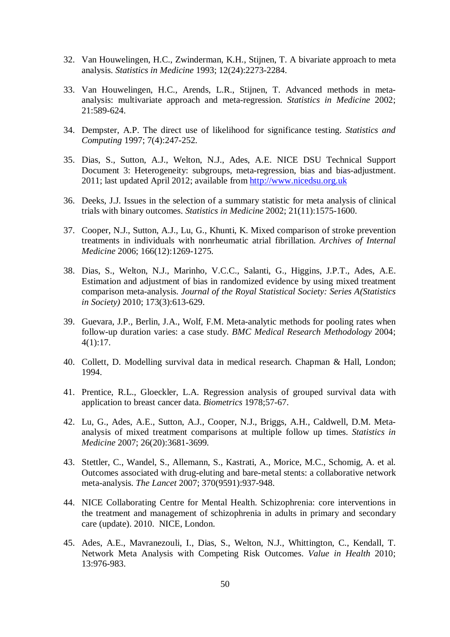- 32. Van Houwelingen, H.C., Zwinderman, K.H., Stijnen, T. A bivariate approach to meta analysis. *Statistics in Medicine* 1993; 12(24):2273-2284.
- 33. Van Houwelingen, H.C., Arends, L.R., Stijnen, T. Advanced methods in metaanalysis: multivariate approach and meta-regression. *Statistics in Medicine* 2002; 21:589-624.
- 34. Dempster, A.P. The direct use of likelihood for significance testing. *Statistics and Computing* 1997; 7(4):247-252.
- 35. Dias, S., Sutton, A.J., Welton, N.J., Ades, A.E. NICE DSU Technical Support Document 3: Heterogeneity: subgroups, meta-regression, bias and bias-adjustment. 2011; last updated April 2012; available from http://www.nicedsu.org.uk
- 36. Deeks, J.J. Issues in the selection of a summary statistic for meta analysis of clinical trials with binary outcomes. *Statistics in Medicine* 2002; 21(11):1575-1600.
- 37. Cooper, N.J., Sutton, A.J., Lu, G., Khunti, K. Mixed comparison of stroke prevention treatments in individuals with nonrheumatic atrial fibrillation. *Archives of Internal Medicine* 2006; 166(12):1269-1275.
- 38. Dias, S., Welton, N.J., Marinho, V.C.C., Salanti, G., Higgins, J.P.T., Ades, A.E. Estimation and adjustment of bias in randomized evidence by using mixed treatment comparison meta-analysis. *Journal of the Royal Statistical Society: Series A(Statistics in Society)* 2010; 173(3):613-629.
- 39. Guevara, J.P., Berlin, J.A., Wolf, F.M. Meta-analytic methods for pooling rates when follow-up duration varies: a case study. *BMC Medical Research Methodology* 2004; 4(1):17.
- 40. Collett, D. Modelling survival data in medical research. Chapman & Hall, London; 1994.
- 41. Prentice, R.L., Gloeckler, L.A. Regression analysis of grouped survival data with application to breast cancer data. *Biometrics* 1978;57-67.
- 42. Lu, G., Ades, A.E., Sutton, A.J., Cooper, N.J., Briggs, A.H., Caldwell, D.M. Metaanalysis of mixed treatment comparisons at multiple follow up times. *Statistics in Medicine* 2007; 26(20):3681-3699.
- 43. Stettler, C., Wandel, S., Allemann, S., Kastrati, A., Morice, M.C., Schomig, A. et al. Outcomes associated with drug-eluting and bare-metal stents: a collaborative network meta-analysis. *The Lancet* 2007; 370(9591):937-948.
- 44. NICE Collaborating Centre for Mental Health. Schizophrenia: core interventions in the treatment and management of schizophrenia in adults in primary and secondary care (update). 2010. NICE, London.
- 45. Ades, A.E., Mavranezouli, I., Dias, S., Welton, N.J., Whittington, C., Kendall, T. Network Meta Analysis with Competing Risk Outcomes. *Value in Health* 2010; 13:976-983.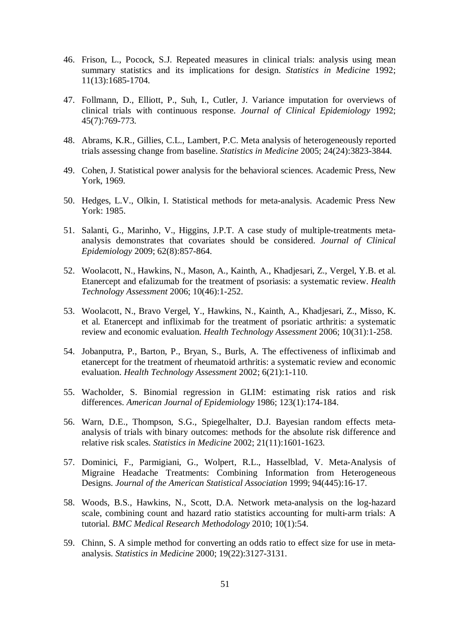- 46. Frison, L., Pocock, S.J. Repeated measures in clinical trials: analysis using mean summary statistics and its implications for design. *Statistics in Medicine* 1992; 11(13):1685-1704.
- 47. Follmann, D., Elliott, P., Suh, I., Cutler, J. Variance imputation for overviews of clinical trials with continuous response. *Journal of Clinical Epidemiology* 1992; 45(7):769-773.
- 48. Abrams, K.R., Gillies, C.L., Lambert, P.C. Meta analysis of heterogeneously reported trials assessing change from baseline. *Statistics in Medicine* 2005; 24(24):3823-3844.
- 49. Cohen, J. Statistical power analysis for the behavioral sciences. Academic Press, New York, 1969.
- 50. Hedges, L.V., Olkin, I. Statistical methods for meta-analysis. Academic Press New York: 1985.
- 51. Salanti, G., Marinho, V., Higgins, J.P.T. A case study of multiple-treatments metaanalysis demonstrates that covariates should be considered. *Journal of Clinical Epidemiology* 2009; 62(8):857-864.
- 52. Woolacott, N., Hawkins, N., Mason, A., Kainth, A., Khadjesari, Z., Vergel, Y.B. et al. Etanercept and efalizumab for the treatment of psoriasis: a systematic review. *Health Technology Assessment* 2006; 10(46):1-252.
- 53. Woolacott, N., Bravo Vergel, Y., Hawkins, N., Kainth, A., Khadjesari, Z., Misso, K. et al. Etanercept and infliximab for the treatment of psoriatic arthritis: a systematic review and economic evaluation. *Health Technology Assessment* 2006; 10(31):1-258.
- 54. Jobanputra, P., Barton, P., Bryan, S., Burls, A. The effectiveness of infliximab and etanercept for the treatment of rheumatoid arthritis: a systematic review and economic evaluation. *Health Technology Assessment* 2002; 6(21):1-110.
- 55. Wacholder, S. Binomial regression in GLIM: estimating risk ratios and risk differences. *American Journal of Epidemiology* 1986; 123(1):174-184.
- 56. Warn, D.E., Thompson, S.G., Spiegelhalter, D.J. Bayesian random effects metaanalysis of trials with binary outcomes: methods for the absolute risk difference and relative risk scales. *Statistics in Medicine* 2002; 21(11):1601-1623.
- 57. Dominici, F., Parmigiani, G., Wolpert, R.L., Hasselblad, V. Meta-Analysis of Migraine Headache Treatments: Combining Information from Heterogeneous Designs. *Journal of the American Statistical Association* 1999; 94(445):16-17.
- 58. Woods, B.S., Hawkins, N., Scott, D.A. Network meta-analysis on the log-hazard scale, combining count and hazard ratio statistics accounting for multi-arm trials: A tutorial. *BMC Medical Research Methodology* 2010; 10(1):54.
- 59. Chinn, S. A simple method for converting an odds ratio to effect size for use in metaanalysis. *Statistics in Medicine* 2000; 19(22):3127-3131.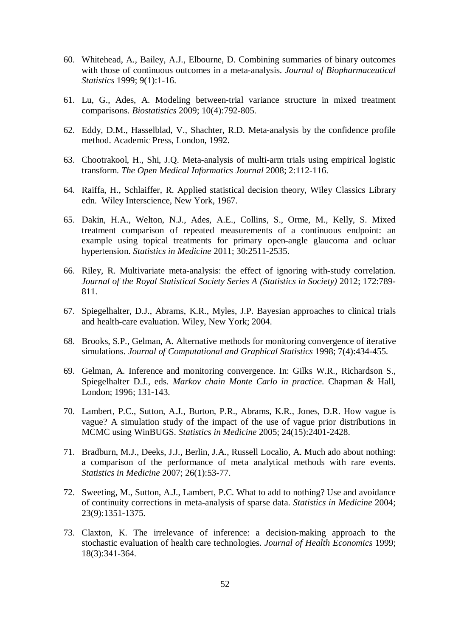- 60. Whitehead, A., Bailey, A.J., Elbourne, D. Combining summaries of binary outcomes with those of continuous outcomes in a meta-analysis. *Journal of Biopharmaceutical Statistics* 1999; 9(1):1-16.
- 61. Lu, G., Ades, A. Modeling between-trial variance structure in mixed treatment comparisons. *Biostatistics* 2009; 10(4):792-805.
- 62. Eddy, D.M., Hasselblad, V., Shachter, R.D. Meta-analysis by the confidence profile method. Academic Press, London, 1992.
- 63. Chootrakool, H., Shi, J.Q. Meta-analysis of multi-arm trials using empirical logistic transform. *The Open Medical Informatics Journal* 2008; 2:112-116.
- 64. Raiffa, H., Schlaiffer, R. Applied statistical decision theory, Wiley Classics Library edn. Wiley Interscience, New York, 1967.
- 65. Dakin, H.A., Welton, N.J., Ades, A.E., Collins, S., Orme, M., Kelly, S. Mixed treatment comparison of repeated measurements of a continuous endpoint: an example using topical treatments for primary open-angle glaucoma and ocluar hypertension. *Statistics in Medicine* 2011; 30:2511-2535.
- 66. Riley, R. Multivariate meta-analysis: the effect of ignoring with-study correlation. *Journal of the Royal Statistical Society Series A (Statistics in Society)* 2012; 172:789- 811.
- 67. Spiegelhalter, D.J., Abrams, K.R., Myles, J.P. Bayesian approaches to clinical trials and health-care evaluation. Wiley, New York; 2004.
- 68. Brooks, S.P., Gelman, A. Alternative methods for monitoring convergence of iterative simulations. *Journal of Computational and Graphical Statistics* 1998; 7(4):434-455.
- 69. Gelman, A. Inference and monitoring convergence. In: Gilks W.R., Richardson S., Spiegelhalter D.J., eds. *Markov chain Monte Carlo in practice*. Chapman & Hall, London; 1996; 131-143.
- 70. Lambert, P.C., Sutton, A.J., Burton, P.R., Abrams, K.R., Jones, D.R. How vague is vague? A simulation study of the impact of the use of vague prior distributions in MCMC using WinBUGS. *Statistics in Medicine* 2005; 24(15):2401-2428.
- 71. Bradburn, M.J., Deeks, J.J., Berlin, J.A., Russell Localio, A. Much ado about nothing: a comparison of the performance of meta analytical methods with rare events. *Statistics in Medicine* 2007; 26(1):53-77.
- 72. Sweeting, M., Sutton, A.J., Lambert, P.C. What to add to nothing? Use and avoidance of continuity corrections in meta-analysis of sparse data. *Statistics in Medicine* 2004; 23(9):1351-1375.
- 73. Claxton, K. The irrelevance of inference: a decision-making approach to the stochastic evaluation of health care technologies. *Journal of Health Economics* 1999; 18(3):341-364.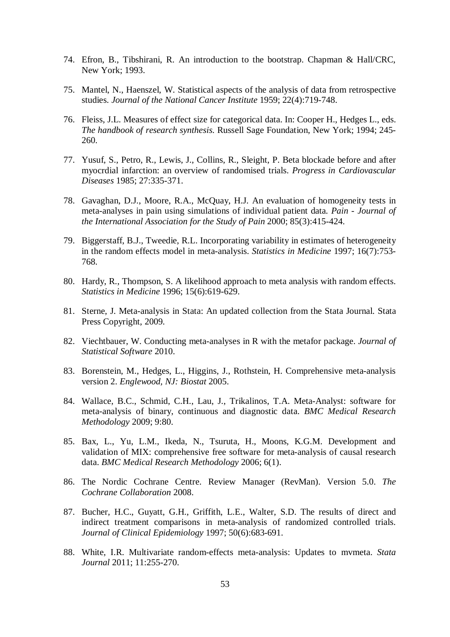- 74. Efron, B., Tibshirani, R. An introduction to the bootstrap. Chapman & Hall/CRC, New York; 1993.
- 75. Mantel, N., Haenszel, W. Statistical aspects of the analysis of data from retrospective studies. *Journal of the National Cancer Institute* 1959; 22(4):719-748.
- 76. Fleiss, J.L. Measures of effect size for categorical data. In: Cooper H., Hedges L., eds. *The handbook of research synthesis*. Russell Sage Foundation, New York; 1994; 245- 260.
- 77. Yusuf, S., Petro, R., Lewis, J., Collins, R., Sleight, P. Beta blockade before and after myocrdial infarction: an overview of randomised trials. *Progress in Cardiovascular Diseases* 1985; 27:335-371.
- 78. Gavaghan, D.J., Moore, R.A., McQuay, H.J. An evaluation of homogeneity tests in meta-analyses in pain using simulations of individual patient data. *Pain - Journal of the International Association for the Study of Pain* 2000; 85(3):415-424.
- 79. Biggerstaff, B.J., Tweedie, R.L. Incorporating variability in estimates of heterogeneity in the random effects model in meta-analysis. *Statistics in Medicine* 1997; 16(7):753- 768.
- 80. Hardy, R., Thompson, S. A likelihood approach to meta analysis with random effects. *Statistics in Medicine* 1996; 15(6):619-629.
- 81. Sterne, J. Meta-analysis in Stata: An updated collection from the Stata Journal. Stata Press Copyright, 2009.
- 82. Viechtbauer, W. Conducting meta-analyses in R with the metafor package. *Journal of Statistical Software* 2010.
- 83. Borenstein, M., Hedges, L., Higgins, J., Rothstein, H. Comprehensive meta-analysis version 2. *Englewood, NJ: Biostat* 2005.
- 84. Wallace, B.C., Schmid, C.H., Lau, J., Trikalinos, T.A. Meta-Analyst: software for meta-analysis of binary, continuous and diagnostic data. *BMC Medical Research Methodology* 2009; 9:80.
- 85. Bax, L., Yu, L.M., Ikeda, N., Tsuruta, H., Moons, K.G.M. Development and validation of MIX: comprehensive free software for meta-analysis of causal research data. *BMC Medical Research Methodology* 2006; 6(1).
- 86. The Nordic Cochrane Centre. Review Manager (RevMan). Version 5.0. *The Cochrane Collaboration* 2008.
- 87. Bucher, H.C., Guyatt, G.H., Griffith, L.E., Walter, S.D. The results of direct and indirect treatment comparisons in meta-analysis of randomized controlled trials. *Journal of Clinical Epidemiology* 1997; 50(6):683-691.
- 88. White, I.R. Multivariate random-effects meta-analysis: Updates to mvmeta. *Stata Journal* 2011; 11:255-270.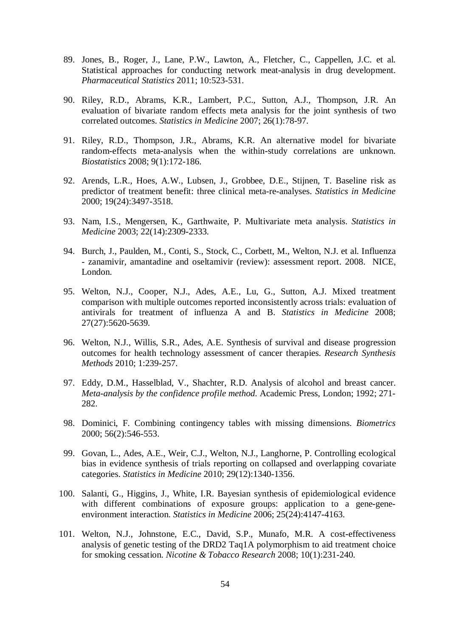- 89. Jones, B., Roger, J., Lane, P.W., Lawton, A., Fletcher, C., Cappellen, J.C. et al. Statistical approaches for conducting network meat-analysis in drug development. *Pharmaceutical Statistics* 2011; 10:523-531.
- 90. Riley, R.D., Abrams, K.R., Lambert, P.C., Sutton, A.J., Thompson, J.R. An evaluation of bivariate random effects meta analysis for the joint synthesis of two correlated outcomes. *Statistics in Medicine* 2007; 26(1):78-97.
- 91. Riley, R.D., Thompson, J.R., Abrams, K.R. An alternative model for bivariate random-effects meta-analysis when the within-study correlations are unknown. *Biostatistics* 2008; 9(1):172-186.
- 92. Arends, L.R., Hoes, A.W., Lubsen, J., Grobbee, D.E., Stijnen, T. Baseline risk as predictor of treatment benefit: three clinical meta-re-analyses. *Statistics in Medicine* 2000; 19(24):3497-3518.
- 93. Nam, I.S., Mengersen, K., Garthwaite, P. Multivariate meta analysis. *Statistics in Medicine* 2003; 22(14):2309-2333.
- 94. Burch, J., Paulden, M., Conti, S., Stock, C., Corbett, M., Welton, N.J. et al. Influenza - zanamivir, amantadine and oseltamivir (review): assessment report. 2008. NICE, London.
- 95. Welton, N.J., Cooper, N.J., Ades, A.E., Lu, G., Sutton, A.J. Mixed treatment comparison with multiple outcomes reported inconsistently across trials: evaluation of antivirals for treatment of influenza A and B. *Statistics in Medicine* 2008; 27(27):5620-5639.
- 96. Welton, N.J., Willis, S.R., Ades, A.E. Synthesis of survival and disease progression outcomes for health technology assessment of cancer therapies. *Research Synthesis Methods* 2010; 1:239-257.
- 97. Eddy, D.M., Hasselblad, V., Shachter, R.D. Analysis of alcohol and breast cancer. *Meta-analysis by the confidence profile method*. Academic Press, London; 1992; 271- 282.
- 98. Dominici, F. Combining contingency tables with missing dimensions. *Biometrics* 2000; 56(2):546-553.
- 99. Govan, L., Ades, A.E., Weir, C.J., Welton, N.J., Langhorne, P. Controlling ecological bias in evidence synthesis of trials reporting on collapsed and overlapping covariate categories. *Statistics in Medicine* 2010; 29(12):1340-1356.
- 100. Salanti, G., Higgins, J., White, I.R. Bayesian synthesis of epidemiological evidence with different combinations of exposure groups: application to a gene-geneenvironment interaction. *Statistics in Medicine* 2006; 25(24):4147-4163.
- 101. Welton, N.J., Johnstone, E.C., David, S.P., Munafo, M.R. A cost-effectiveness analysis of genetic testing of the DRD2 Taq1A polymorphism to aid treatment choice for smoking cessation. *Nicotine & Tobacco Research* 2008; 10(1):231-240.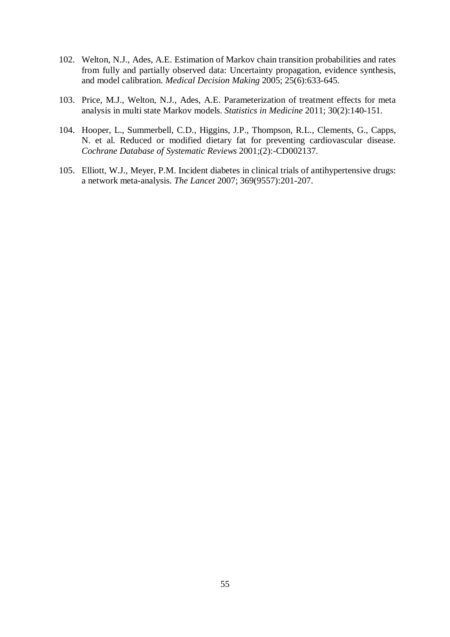- 102. Welton, N.J., Ades, A.E. Estimation of Markov chain transition probabilities and rates from fully and partially observed data: Uncertainty propagation, evidence synthesis, and model calibration. *Medical Decision Making* 2005; 25(6):633-645.
- 103. Price, M.J., Welton, N.J., Ades, A.E. Parameterization of treatment effects for meta analysis in multi state Markov models. *Statistics in Medicine* 2011; 30(2):140-151.
- 104. Hooper, L., Summerbell, C.D., Higgins, J.P., Thompson, R.L., Clements, G., Capps, N. et al. Reduced or modified dietary fat for preventing cardiovascular disease. *Cochrane Database of Systematic Reviews* 2001;(2):-CD002137.
- 105. Elliott, W.J., Meyer, P.M. Incident diabetes in clinical trials of antihypertensive drugs: a network meta-analysis. *The Lancet* 2007; 369(9557):201-207.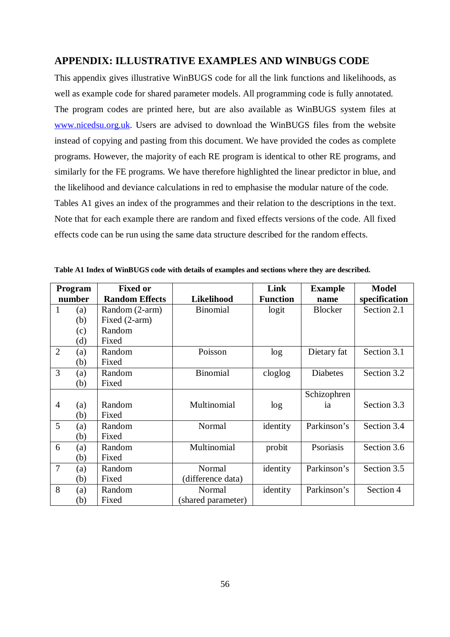## **APPENDIX: ILLUSTRATIVE EXAMPLES AND WINBUGS CODE**

This appendix gives illustrative WinBUGS code for all the link functions and likelihoods, as well as example code for shared parameter models. All programming code is fully annotated. The program codes are printed here, but are also available as WinBUGS system files at www.nicedsu.org.uk. Users are advised to download the WinBUGS files from the website instead of copying and pasting from this document. We have provided the codes as complete programs. However, the majority of each RE program is identical to other RE programs, and similarly for the FE programs. We have therefore highlighted the linear predictor in blue, and the likelihood and deviance calculations in red to emphasise the modular nature of the code. Tables A1 gives an index of the programmes and their relation to the descriptions in the text. Note that for each example there are random and fixed effects versions of the code. All fixed effects code can be run using the same data structure described for the random effects.

|                | Program | <b>Fixed or</b>       |                    | Link            | <b>Example</b>  | <b>Model</b>  |
|----------------|---------|-----------------------|--------------------|-----------------|-----------------|---------------|
|                | number  | <b>Random Effects</b> | Likelihood         | <b>Function</b> | name            | specification |
| 1              | (a)     | Random (2-arm)        | <b>Binomial</b>    | logit           | <b>Blocker</b>  | Section 2.1   |
|                | (b)     | Fixed (2-arm)         |                    |                 |                 |               |
|                | (c)     | Random                |                    |                 |                 |               |
|                | (d)     | Fixed                 |                    |                 |                 |               |
| $\overline{2}$ | (a)     | Random                | Poisson            | log             | Dietary fat     | Section 3.1   |
|                | (b)     | Fixed                 |                    |                 |                 |               |
| 3              | (a)     | Random                | <b>Binomial</b>    | cloglog         | <b>Diabetes</b> | Section 3.2   |
|                | (b)     | Fixed                 |                    |                 |                 |               |
|                |         |                       |                    |                 | Schizophren     |               |
| $\overline{4}$ | (a)     | Random                | Multinomial        | log             | ia              | Section 3.3   |
|                | (b)     | Fixed                 |                    |                 |                 |               |
| 5              | (a)     | Random                | Normal             | identity        | Parkinson's     | Section 3.4   |
|                | (b)     | Fixed                 |                    |                 |                 |               |
| 6              | (a)     | Random                | Multinomial        | probit          | Psoriasis       | Section 3.6   |
|                | (b)     | Fixed                 |                    |                 |                 |               |
| $\overline{7}$ | (a)     | Random                | Normal             | identity        | Parkinson's     | Section 3.5   |
|                | (b)     | Fixed                 | (difference data)  |                 |                 |               |
| 8              | (a)     | Random                | Normal             | identity        | Parkinson's     | Section 4     |
|                | (b)     | Fixed                 | (shared parameter) |                 |                 |               |

**Table A1 Index of WinBUGS code with details of examples and sections where they are described.**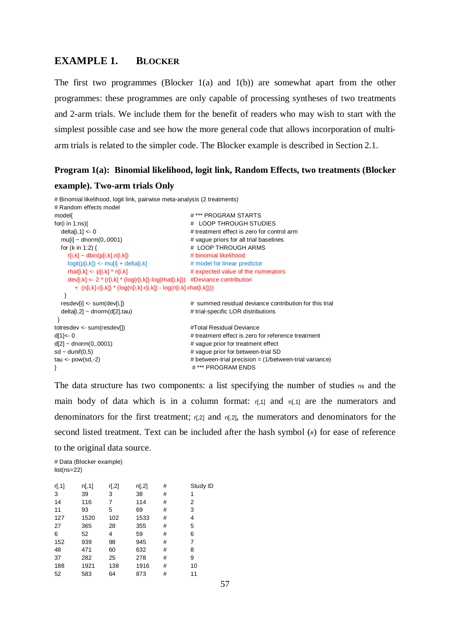#### **EXAMPLE 1. BLOCKER**

The first two programmes (Blocker  $1(a)$  and  $1(b)$ ) are somewhat apart from the other programmes: these programmes are only capable of processing syntheses of two treatments and 2-arm trials. We include them for the benefit of readers who may wish to start with the simplest possible case and see how the more general code that allows incorporation of multiarm trials is related to the simpler code. The Blocker example is described in Section 2.1.

## **Program 1(a): Binomial likelihood, logit link, Random Effects, two treatments (Blocker example). Two-arm trials Only**

```
# Binomial likelihood, logit link, pairwise meta-analysis (2 treatments)
# Random effects model
model{ # *** PROGRAM STARTS
for(i in 1:ns){ # LOOP THROUGH STUDIES
 delta[i,1] \lt 0 \lt 0 \lt + treatment effect is zero for control arm
 mu[i] \sim \text{donom}(0,0001) # vague priors for all trial baselines
 for (k in 1:2) { \qquad # LOOP THROUGH ARMS
   r[i,k] \sim \text{dbin}(p[i,k],n[i,k]) # binomial likelihood
   \text{logit}(p[i,k]) \leq \text{logit} + \text{delta}[k,k] # model for linear predictor
   rhat[i,k] \leq p[i,k] * n[i,k] \qquad \qquad \qquad \# expected value of the numerators
    dev[i,k] <- 2 * (r[i,k] * (log(r[i,k])-log(rhat[i,k])) #Deviance contribution
      + (n[i,k]-r[i,k]) * (log(n[i,k]-r[i,k]) - log(n[i,k]-rhat[i,k])))
   }
  resdev[i] <- sum(dev[i,]) # summed residual deviance contribution for this trial
 delta[i,2] ~ dnorm(d[2],tau) \qquad \qquad \qquad # trial-specific LOR distributions
 } 
totresdev <- sum(resdev[1] #Total Residual Devianced[1] <- 0 \# treatment effect is zero for reference treatment
d[2] \sim \text{dnorm}(0, 0001) # vague prior for treatment effect
sd \sim dunif(0,5) \qquad \qquad # vague prior for between-trial SD
tau <- pow(sd,-2) \qquad \qquad \qquad \qquad # between-trial precision = (1/between-trial variance)
} # *** PROGRAM ENDS
```
The data structure has two components: a list specifying the number of studies ns and the main body of data which is in a column format:  $r<sub>[,1]</sub>$  and  $r<sub>[,1]</sub>$  are the numerators and denominators for the first treatment;  $r<sub>[,2]</sub>$  and  $r<sub>[,2]</sub>$ , the numerators and denominators for the second listed treatment. Text can be included after the hash symbol (#) for ease of reference to the original data source.

# Data (Blocker example) list(ns=22)

| r[, 1] | n[, 1] | r[,2] | n[,2] | # | Study ID |
|--------|--------|-------|-------|---|----------|
| 3      | 39     | 3     | 38    | # | 1        |
| 14     | 116    | 7     | 114   | # | 2        |
| 11     | 93     | 5     | 69    | # | 3        |
| 127    | 1520   | 102   | 1533  | # | 4        |
| 27     | 365    | 28    | 355   | # | 5        |
| 6      | 52     | 4     | 59    | # | 6        |
| 152    | 939    | 98    | 945   | # | 7        |
| 48     | 471    | 60    | 632   | # | 8        |
| 37     | 282    | 25    | 278   | # | 9        |
| 188    | 1921   | 138   | 1916  | # | 10       |
| 52     | 583    | 64    | 873   | # | 11       |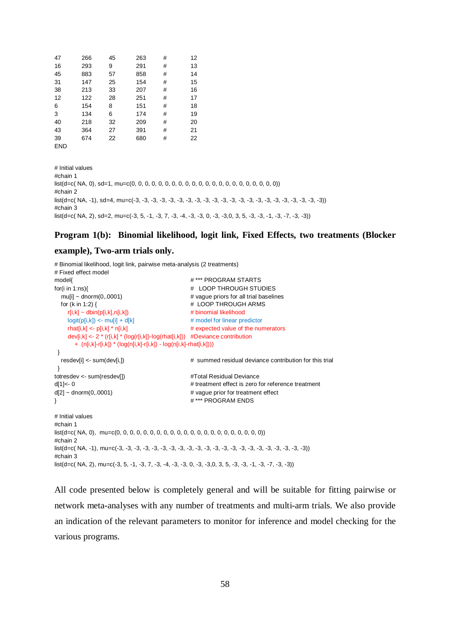| 47         | 266 | 45 | 263 | # | 12 |
|------------|-----|----|-----|---|----|
| 16         | 293 | 9  | 291 | # | 13 |
| 45         | 883 | 57 | 858 | # | 14 |
| 31         | 147 | 25 | 154 | # | 15 |
| 38         | 213 | 33 | 207 | # | 16 |
| 12         | 122 | 28 | 251 | # | 17 |
| 6          | 154 | 8  | 151 | # | 18 |
| 3          | 134 | 6  | 174 | # | 19 |
| 40         | 218 | 32 | 209 | # | 20 |
| 43         | 364 | 27 | 391 | # | 21 |
| 39         | 674 | 22 | 680 | # | 22 |
| <b>END</b> |     |    |     |   |    |

# Initial values #chain 1 list(d=c( NA, 0), sd=1, mu=c(0, 0, 0, 0, 0, 0, 0, 0, 0, 0, 0, 0, 0, 0, 0, 0, 0, 0, 0, 0, 0, 0)) #chain 2 list(d=c( NA, -1), sd=4, mu=c(-3, -3, -3, -3, -3, -3, -3, -3, -3, -3, -3, -3, -3, -3, -3, -3, -3, -3, -3, -3, -3, -3)) #chain 3  $list(d=c(NA, 2), sd=2, muc=1, 5, -1, -3, 7, -3, -4, -3, -3, 0, -3, -3, 0, 3, 5, -3, -3, -1, -3, -7, -3, -3))$ 

#### **Program 1(b): Binomial likelihood, logit link, Fixed Effects, two treatments (Blocker**

#### **example), Two-arm trials only.**

# Binomial likelihood, logit link, pairwise meta-analysis (2 treatments)

```
# Fixed effect model
model{ # *** PROGRAM STARTS
for(i in 1:ns){ # LOOP THROUGH STUDIES
                                         # vague priors for all trial baselines
  for (k in 1:2) { # LOOP THROUGH ARMS
    r[i,k] \sim \text{dbin}(p[i,k],n[i,k]) # binomial likelihood
    logit(p[i,k]) \leq mul[i] + d[k] # model for linear predictor
     rhat[i,k] <- p[i,k] * n[i,k] # expected value of the numerators 
     dev[i,k] <- 2 * (r[i,k] * (log(r[i,k])-log(rhat[i,k])) #Deviance contribution
       + (n[i,k]-r[i,k]) * (log(n[i,k]-r[i,k]) - log(n[i,k]-rhat[i,k]))) 
  }
   resdev[i] <- sum(dev[i,]) # summed residual deviance contribution for this trial
  } 
totresdev <- sum(resdev[]) #Total Residual Devianced[1]<- 0 # treatment effect is zero for reference treatment
d[2] \sim \text{dnorm}(0, 0001) # vague prior for treatment effect
} # *** PROGRAM ENDS 
# Initial values
#chain 1
list(d=c( NA, 0), mu=c(0, 0, 0, 0, 0, 0, 0, 0, 0, 0, 0, 0, 0, 0, 0, 0, 0, 0, 0, 0, 0, 0))
#chain 2
list(d=c( NA, -1), mu=c(-3, -3, -3, -3, -3, -3, -3, -3, -3, -3, -3, -3, -3, -3, -3, -3, -3, -3, -3, -3, -3, -3))
#chain 3
list(d=c(NA, 2), mu=c(-3, 5, -1, -3, 7, -3, -4, -3, -3, 0, -3, -3, 0, 3, 5, -3, -3, -1, -3, -7, -3, -3))
```
All code presented below is completely general and will be suitable for fitting pairwise or network meta-analyses with any number of treatments and multi-arm trials. We also provide an indication of the relevant parameters to monitor for inference and model checking for the various programs.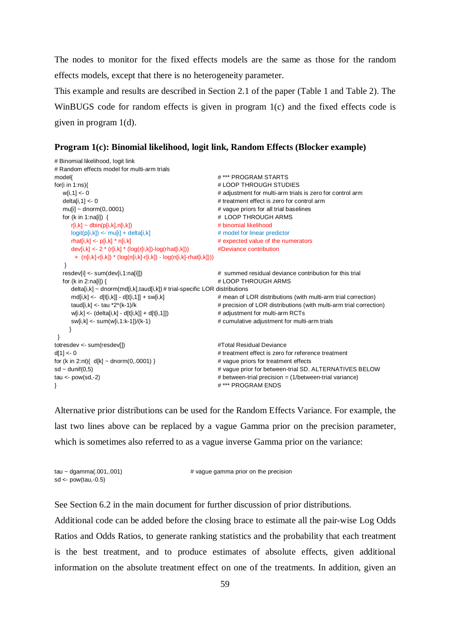The nodes to monitor for the fixed effects models are the same as those for the random effects models, except that there is no heterogeneity parameter.

This example and results are described in Section 2.1 of the paper (Table 1 and Table 2). The WinBUGS code for random effects is given in program 1(c) and the fixed effects code is given in program 1(d).

**Program 1(c): Binomial likelihood, logit link, Random Effects (Blocker example)**

```
# Binomial likelihood, logit link
# Random effects model for multi-arm trials
model{<br>
\#*** PROGRAM STARTS
for(i in 1:ns){ # LOOP THROUGH STUDIES
  w[i,1] <- 0 \blacksquare \blacksquare # adjustment for multi-arm trials is zero for control arm
  delta[i,1] <- 0 \neq treatment effect is zero for control arm
  mu[i] ~ dnorm(0,.0001) \qquad \qquad # vague priors for all trial baselines
  for (k in 1:na[i]) { \qquad # LOOP THROUGH ARMS
     r[i,k] \sim \text{dbin}(p[i,k],n[i,k]) # binomial likelihood
     logit(p[i,k]) <- mu[i] + delta[i,k] # model for linear predictor
     rhat[i,k] <- p[i,k] * n[i,k] \qquad \qquad # expected value of the numerators
     dev[i,k] <- 2 * (r[i,k] * (log(r[i,k])-log(rhat[i,k])) #Deviance contribution
       + (n[i,k]-r[i,k]) * (log(n[i,k]-r[i,k]) - log(n[i,k]-rhat[i,k]))) 
   }
   resdev[i] <- sum(dev[i,1:na[i]]) # summed residual deviance contribution for this trial
  for (k in 2:na[i]) { \# LOOP THROUGH ARMS
      delta[i,k] ~ dnorm(md[i,k],taud[i,k]) # trial-specific LOR distributions
     md[i,k] <- d[t[i,k]] - d[t[i,1]] + sw[i,k] \# mean of LOR distributions (with multi-arm trial correction)
     taud[i,k] <- tau *2*(k-1)/k * * precision of LOR distributions (with multi-arm trial correction)
     w[i,k] <- (delta[i,k] - d[t[i,k]] + d[t[i,1]]) # adjustment for multi-arm RCTs
     sw[i,k] <- sum(w[i,1:k-1])/(k-1) \# cumulative adjustment for multi-arm trials
     }
 } 
totresdev <- sum(resdev[]) #Total Residual Devianced[1] <- 0 \leq 0
for (k \text{ in } 2\text{ in } k] \sim \text{dnorm}(0.0001) } \qquad \qquad \text{#} \text{ value priors for treatment effects}sd ~ dunif(0,5) \qquad \qquad \qquad \qquad \qquad \qquad \qquad \qquad \qquad \qquad \qquad \qquad \qquad \qquad \qquad \qquad \qquad \qquad \qquad \qquad \qquad \qquad \qquad \qquad \qquad \qquad \qquad \qquad \qquad \qquad \qquad \qquad \qquad \qquad \tau <- pow(sd,-2) example and the two method of the two methods with the term in the term in the two methods of the term in the term in the two methods of the term in the term in the term in the term in the term in the ter
} # *** PROGRAM ENDS
```
Alternative prior distributions can be used for the Random Effects Variance. For example, the last two lines above can be replaced by a vague Gamma prior on the precision parameter, which is sometimes also referred to as a vague inverse Gamma prior on the variance:

| $tau \sim$ dgamma $(.001, .001)$ | # vague gamma prior on the precision |
|----------------------------------|--------------------------------------|
| sd $\lt$ - pow(tau,-0.5)         |                                      |

See Section 6.2 in the main document for further discussion of prior distributions.

Additional code can be added before the closing brace to estimate all the pair-wise Log Odds Ratios and Odds Ratios, to generate ranking statistics and the probability that each treatment is the best treatment, and to produce estimates of absolute effects, given additional information on the absolute treatment effect on one of the treatments. In addition, given an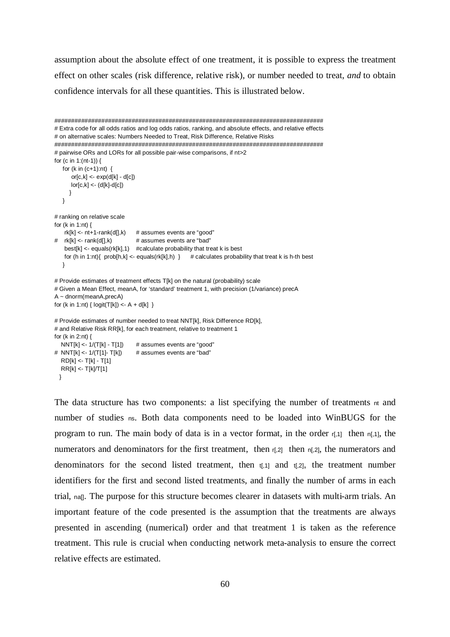assumption about the absolute effect of one treatment, it is possible to express the treatment effect on other scales (risk difference, relative risk), or number needed to treat, *and* to obtain confidence intervals for all these quantities. This is illustrated below.

```
################################################################################
# Extra code for all odds ratios and log odds ratios, ranking, and absolute effects, and relative effects
# on alternative scales: Numbers Needed to Treat, Risk Difference, Relative Risks
################################################################################
# pairwise ORs and LORs for all possible pair-wise comparisons, if nt>2
for (c in 1:(nt-1)) { 
  for (k \text{ in } (c+1):nt) {
      or[c,k] < \exp(d[k] - d[c])|or[c,k] < (d[k]-d[c]) } 
   }
# ranking on relative scale
for (k in 1:nt) { 
   rk[k] \leq nt+1-rank(d[], k) # assumes events are "good"
# rk[k] <- rank(d[],k) # assumes events are "bad"
   best[k] \lt- equals(rk[k], 1) #calculate probability that treat k is best
   for (h in 1:nt){ prob[h,k] < - equals(rk[k],h) } # calculates probability that treat k is h-th best
   }
# Provide estimates of treatment effects T[k] on the natural (probability) scale 
# Given a Mean Effect, meanA, for 'standard' treatment 1, with precision (1/variance) precA
A \sim dnorm(meanA,precA)
for (k in 1:nt) { logit(T[k]) < -A + d[k] }
# Provide estimates of number needed to treat NNT[k], Risk Difference RD[k], 
# and Relative Risk RR[k], for each treatment, relative to treatment 1
for (k in 2:nt) { 
  NNT[k] < -1/(T[k] - T[1]) # assumes events are "good"
# NNT[k] <- 1/(T[1]-T[k]) # assumes events are "bad"
  RD[k] < T[k] - T[1] RR[k] <- T[k]/T[1]
```
}

The data structure has two components: a list specifying the number of treatments nt and number of studies ns. Both data components need to be loaded into WinBUGS for the program to run. The main body of data is in a vector format, in the order  $r<sub>1</sub>,11$  then  $r<sub>1</sub>,11$ , the numerators and denominators for the first treatment, then  $r<sub>1</sub>,2$  then  $r<sub>1</sub>,2$ , the numerators and denominators for the second listed treatment, then  $t<sub>1</sub>$ , and  $t<sub>1</sub>$ , and  $t<sub>2</sub>$ , the treatment number identifiers for the first and second listed treatments, and finally the number of arms in each trial, na[]. The purpose for this structure becomes clearer in datasets with multi-arm trials. An important feature of the code presented is the assumption that the treatments are always presented in ascending (numerical) order and that treatment 1 is taken as the reference treatment. This rule is crucial when conducting network meta-analysis to ensure the correct relative effects are estimated.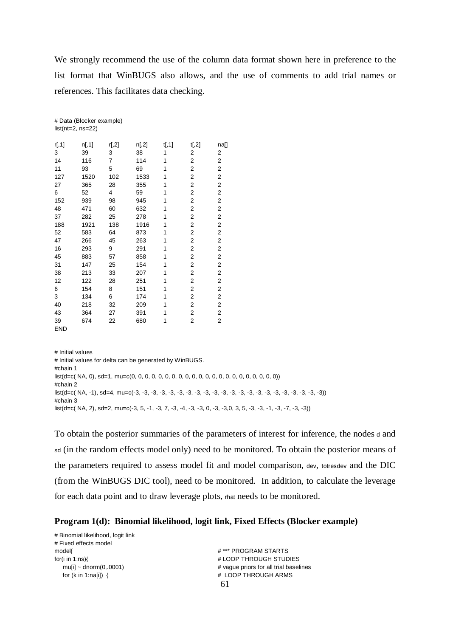We strongly recommend the use of the column data format shown here in preference to the list format that WinBUGS also allows, and the use of comments to add trial names or references. This facilitates data checking.

|            | $list(nt=2, ns=22)$ |                |       |        |       |      |
|------------|---------------------|----------------|-------|--------|-------|------|
| r[, 1]     | n[, 1]              | r[,2]          | n[,2] | t[, 1] | t[,2] | na[] |
| 3          | 39                  | 3              | 38    | 1      | 2     | 2    |
| 14         | 116                 | $\overline{7}$ | 114   | 1      | 2     | 2    |
| 11         | 93                  | 5              | 69    | 1      | 2     | 2    |
| 127        | 1520                | 102            | 1533  | 1      | 2     | 2    |
| 27         | 365                 | 28             | 355   | 1      | 2     | 2    |
| 6          | 52                  | 4              | 59    | 1      | 2     | 2    |
| 152        | 939                 | 98             | 945   | 1      | 2     | 2    |
| 48         | 471                 | 60             | 632   | 1      | 2     | 2    |
| 37         | 282                 | 25             | 278   | 1      | 2     | 2    |
| 188        | 1921                | 138            | 1916  | 1      | 2     | 2    |
| 52         | 583                 | 64             | 873   | 1      | 2     | 2    |
| 47         | 266                 | 45             | 263   | 1      | 2     | 2    |
| 16         | 293                 | 9              | 291   | 1      | 2     | 2    |
| 45         | 883                 | 57             | 858   | 1      | 2     | 2    |
| 31         | 147                 | 25             | 154   | 1      | 2     | 2    |
| 38         | 213                 | 33             | 207   | 1      | 2     | 2    |
| 12         | 122                 | 28             | 251   | 1      | 2     | 2    |
| 6          | 154                 | 8              | 151   | 1      | 2     | 2    |
| 3          | 134                 | 6              | 174   | 1      | 2     | 2    |
| 40         | 218                 | 32             | 209   | 1      | 2     | 2    |
| 43         | 364                 | 27             | 391   | 1      | 2     | 2    |
| 39         | 674                 | 22             | 680   | 1      | 2     | 2    |
| <b>FND</b> |                     |                |       |        |       |      |

# Data (Blocker example)

# Initial values # Initial values for delta can be generated by WinBUGS. #chain 1 list(d=c( NA, 0), sd=1, mu=c(0, 0, 0, 0, 0, 0, 0, 0, 0, 0, 0, 0, 0, 0, 0, 0, 0, 0, 0, 0, 0, 0)) #chain 2 list(d=c( NA, -1), sd=4, mu=c(-3, -3, -3, -3, -3, -3, -3, -3, -3, -3, -3, -3, -3, -3, -3, -3, -3, -3, -3, -3, -3, -3)) #chain 3 list(d=c( NA, 2), sd=2, mu=c(-3, 5, -1, -3, 7, -3, -4, -3, -3, 0, -3, -3,0, 3, 5, -3, -3, -1, -3, -7, -3, -3))

To obtain the posterior summaries of the parameters of interest for inference, the nodes <sup>d</sup> and sd (in the random effects model only) need to be monitored. To obtain the posterior means of the parameters required to assess model fit and model comparison, dev, totresdev and the DIC (from the WinBUGS DIC tool), need to be monitored. In addition, to calculate the leverage for each data point and to draw leverage plots, rhat needs to be monitored.

## **Program 1(d): Binomial likelihood, logit link, Fixed Effects (Blocker example)**

| # Binomial likelihood, logit link |                                        |
|-----------------------------------|----------------------------------------|
| # Fixed effects model             |                                        |
| model{                            | # *** PROGRAM STARTS                   |
| for(i in $1:ns$ ){                | # LOOP THROUGH STUDIES                 |
| muli $\sim$ dnorm(0,.0001)        | # vague priors for all trial baselines |
| for $(k \in \{1:n   \in \{1\} \}$ | # LOOP THROUGH ARMS                    |
|                                   | 61                                     |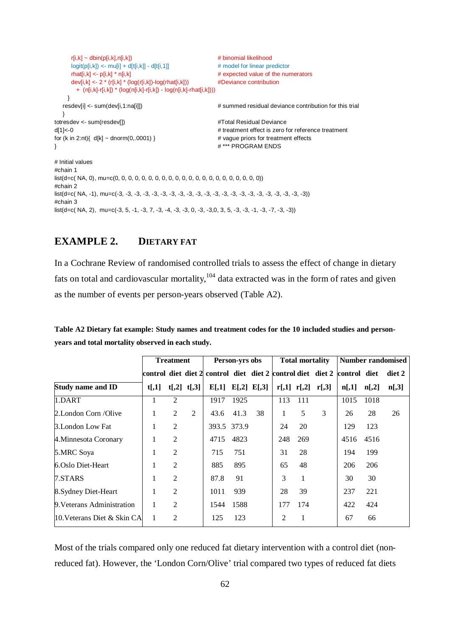```
r[i,k] \sim \text{dbin}(p[i,k],n[i,k]) # binomial likelihood
     logit(p[i,k]) \leq muf[i] + d[t[i,k]] - d[t[i,1]] # model for linear predictor
     rhat[i,k] <- p[i,k] * n[i,k] \qquad \qquad # expected value of the numerators
      dev[i,k] <- 2 * (r[i,k] * (log(r[i,k])-log(rhat[i,k])) #Deviance contribution
        + (n[i,k]-r[i,k]) * (log(n[i,k]-r[i,k]) - log(n[i,k]-rhat[i,k]))) 
     }
  resdev[i] <- sum(dev[i,1:na[i]]) \qquad # summed residual deviance contribution for this trial
   } 
totresdev <- sum(resdev[]) #Total Residual Devianced[1]<-0 # treatment effect is zero for reference treatment
for (k \text{ in } 2\text{ :}nt) \{ \text{ d}[k] \sim \text{dnorm}(0.0001) \} # vague priors for treatment effects
} # *** PROGRAM ENDS 
# Initial values
#chain 1
list(d=c( NA, 0), mu=c(0, 0, 0, 0, 0, 0, 0, 0, 0, 0, 0, 0, 0, 0, 0, 0, 0, 0, 0, 0, 0, 0))
#chain 2
list(d=c( NA, -1), mu=c(-3, -3, -3, -3, -3, -3, -3, -3, -3, -3, -3, -3, -3, -3, -3, -3, -3, -3, -3, -3, -3, -3))
#chain 3
list(d=c(NA, 2), mu=c(-3, 5, -1, -3, 7, -3, -4, -3, -3, 0, -3, -3, 0, 3, 5, -3, -3, -3, -7, -3, -3))
```
## **EXAMPLE 2. DIETARY FAT**

In a Cochrane Review of randomised controlled trials to assess the effect of change in dietary fats on total and cardiovascular mortality,  $104$  data extracted was in the form of rates and given as the number of events per person-years observed (Table A2).

|                              |                | <b>Treatment</b> |                 |                                                                               | Person-yrs obs |                         |     | <b>Total mortality</b> |                         | <b>Number randomised</b> |       |          |
|------------------------------|----------------|------------------|-----------------|-------------------------------------------------------------------------------|----------------|-------------------------|-----|------------------------|-------------------------|--------------------------|-------|----------|
|                              |                |                  |                 | control_diet_diet 2  control_diet_diet 2   control diet_diet 2   control_diet |                |                         |     |                        |                         |                          |       | diet 2   |
| <b>Study name and ID</b>     | t <sub>1</sub> |                  | $t[,2]$ $t[,3]$ |                                                                               |                | $E[,1]$ $E[,2]$ $E[,3]$ |     |                        | $r[,1]$ $r[,2]$ $r[,3]$ | n[,1]                    | n[,2] | $n[$ ,3] |
| 1.DART                       | Ι.             | $\overline{c}$   |                 | 1917                                                                          | 1925           |                         | 113 | 111                    |                         | 1015                     | 1018  |          |
| 2. London Corn /Olive        | $\mathbf{I}$   | 2                | $\overline{2}$  | 43.6                                                                          | 41.3           | 38                      | 1   | 5                      | 3                       | 26                       | 28    | 26       |
| 3.London Low Fat             |                | 2                |                 | 393.5 373.9                                                                   |                |                         | 24  | 20                     |                         | 129                      | 123   |          |
| 4. Minnesota Coronary        |                | $\overline{2}$   |                 | 4715                                                                          | 4823           |                         | 248 | 269                    |                         | 4516                     | 4516  |          |
| 5.MRC Soya                   |                | $\overline{2}$   |                 | 715                                                                           | 751            |                         | 31  | 28                     |                         | 194                      | 199   |          |
| 6.Oslo Diet-Heart            |                | $\overline{2}$   |                 | 885                                                                           | 895            |                         | 65  | 48                     |                         | 206                      | 206   |          |
| 7.STARS                      |                | $\overline{2}$   |                 | 87.8                                                                          | 91             |                         | 3   | 1                      |                         | 30                       | 30    |          |
| 8. Sydney Diet-Heart         | 1              | $\overline{2}$   |                 | 1011                                                                          | 939            |                         | 28  | 39                     |                         | 237                      | 221   |          |
| 9. Veterans Administration   |                | 2                |                 | 1544                                                                          | 1588           |                         | 177 | 174                    |                         | 422                      | 424   |          |
| 10. Veterans Diet & Skin CAI |                | $\overline{c}$   |                 | 125                                                                           | 123            |                         | 2   | 1                      |                         | 67                       | 66    |          |

**Table A2 Dietary fat example: Study names and treatment codes for the 10 included studies and personyears and total mortality observed in each study.**

Most of the trials compared only one reduced fat dietary intervention with a control diet (nonreduced fat). However, the 'London Corn/Olive' trial compared two types of reduced fat diets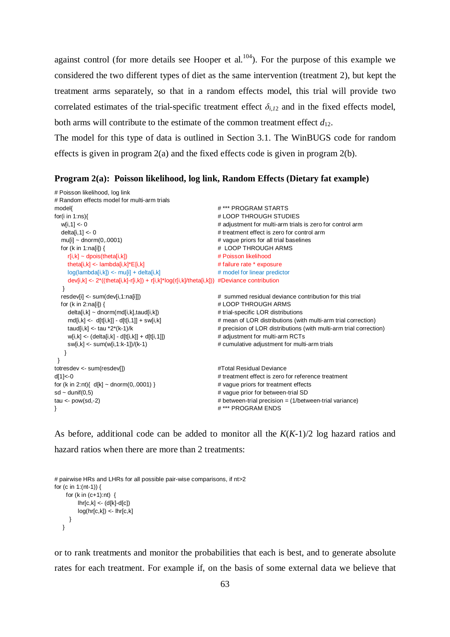against control (for more details see Hooper et al.<sup>104</sup>). For the purpose of this example we considered the two different types of diet as the same intervention (treatment 2), but kept the treatment arms separately, so that in a random effects model, this trial will provide two correlated estimates of the trial-specific treatment effect  $\delta_{i,j}$  and in the fixed effects model, both arms will contribute to the estimate of the common treatment effect  $d_{12}$ .

The model for this type of data is outlined in Section 3.1. The WinBUGS code for random effects is given in program 2(a) and the fixed effects code is given in program 2(b).

#### **Program 2(a): Poisson likelihood, log link, Random Effects (Dietary fat example)**

```
# Poisson likelihood, log link
# Random effects model for multi-arm trials
model{<br>
#*** PROGRAM STARTS
for(i in 1:ns){ # LOOP THROUGH STUDIES
   w[i,1] <- 0 # adjustment for multi-arm trials is zero for control arm
  delta[i,1] <- 0 \# treatment effect is zero for control arm
  muli\alpha - dnorm(0..0001) \alpha + \alpha + \alpha + \alpha + \alpha + \alpha + \alpha + \alpha + \alpha + \alpha + \alpha + \alpha + \alpha + \alpha + \alpha + \alpha + \alpha + \alpha + \alpha + \alpha + \alpha + \alpha + \alpha + \alpha + \alpha + \alpha + \alpha + \alpha +
  for (k in 1:na[i]) { \qquad # LOOP THROUGH ARMS
    r[i,k] \sim dpois(theta[i,k]) \qquad # Poisson likelihood
    theta[i,k] <- lambda[i,k]*E[i,k] \# failure rate * exposure
    log(lambda[i,k]) \leq mu[i] + delta[i,k] # model for linear predictor
      dev[i,k] <- 2*((theta[i,k]-r[i,k]) + r[i,k]*log(r[i,k]/theta[i,k])) #Deviance contribution
 }
  resdev[i] <- sum(dev[i,1:na[i]]) <br>for (k in 2:na[i]) \frac{1}{4} summed residual deviance contribution for this trial<br>for (k in 2:na[i]) {
                                                         # LOOP THROUGH ARMS
    delta[i,k] \sim \text{dnorm}(m d[i,k], \text{taud}[i,k]) # trial-specific LOR distributions
     md[i,k] <- d[t[i,k]] - d[t[i,1]] + sw[i,k] \qquad # mean of LOR distributions (with multi-arm trial correction)
     taud[i,k] <- tau *2*(k-1)/k # precision of LOR distributions (with multi-arm trial correction)
    w[i,k] <- (delta[i,k] - d[t[i,k]] + d[t[i,1]]) \qquad \qquad \qquad \qquad \qquad \qquad \qquad \qquad \qquad \qquad \qquad adjustment for multi-arm RCTs
    sw[i,k] <- sum(w[i,1:k-1])/(k-1) \qquad # cumulative adjustment for multi-arm trials
    }
  } 
totresdev <- sum(resdev[]) #Total Residual Devianced[1]<-0 # treatment effect is zero for reference treatment
for (k in 2:nt){ d[k] ~ dnorm(0,.0001) } # vague priors for treatment effects
sd \sim dunif(0,5) \qquad \qquad # vague prior for between-trial SD
tau <- pow(sd,-2) example and the term of the term of the term of the term of the term of the term of the term of the term of the term of the term of term of the term of the term of term of term of term of term of term of 
} # *** PROGRAM ENDS
```
As before, additional code can be added to monitor all the *K*(*K*-1)/2 log hazard ratios and hazard ratios when there are more than 2 treatments:

```
# pairwise HRs and LHRs for all possible pair-wise comparisons, if nt>2
for (c in 1:(nt-1)) { 
    for (k \text{ in } (c+1):nt) {
          \ln(c, k] < (d[k]-d[c])log(hr[c,k]) \leftarrow hr[c,k] } 
    }
```
or to rank treatments and monitor the probabilities that each is best, and to generate absolute rates for each treatment. For example if, on the basis of some external data we believe that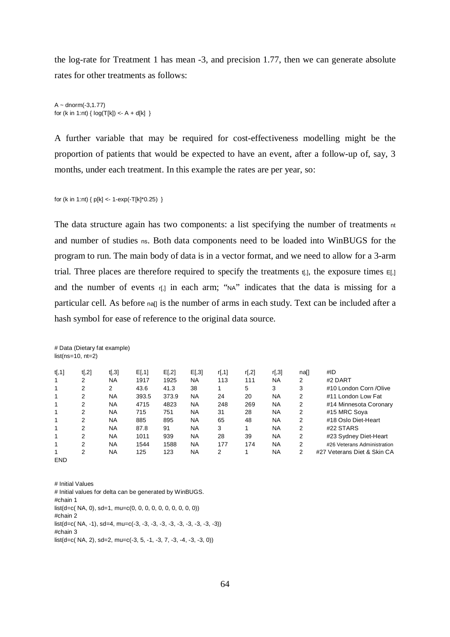the log-rate for Treatment 1 has mean -3, and precision 1.77, then we can generate absolute rates for other treatments as follows:

 $A - \text{dnorm}(-3, 1.77)$ for (k in 1:nt) {  $log(T[k]) < -A + d[k]$  }

A further variable that may be required for cost-effectiveness modelling might be the proportion of patients that would be expected to have an event, after a follow-up of, say, 3 months, under each treatment. In this example the rates are per year, so:

for (k in 1:nt) {  $p[k] < -1$ -exp(-T[k]\*0.25) }

# Data (Dietary fat example)

The data structure again has two components: a list specifying the number of treatments nt and number of studies ns. Both data components need to be loaded into WinBUGS for the program to run. The main body of data is in a vector format, and we need to allow for a 3-arm trial. Three places are therefore required to specify the treatments  $t_{i,j}$ , the exposure times  $E_{i,j}$ and the number of events r[,] in each arm; "NA" indicates that the data is missing for a particular cell. As before nall is the number of arms in each study. Text can be included after a hash symbol for ease of reference to the original data source.

|            | $list(ns=10, nt=2)$ |           |        |       |           |        |        |           |                |                             |
|------------|---------------------|-----------|--------|-------|-----------|--------|--------|-----------|----------------|-----------------------------|
| t[, 1]     | t[, 2]              | t[,3]     | E[, 1] | E[,2] | E[,3]     | r[, 1] | r[, 2] | r[,3]     | na[]           | #ID                         |
| 1          | 2                   | <b>NA</b> | 1917   | 1925  | <b>NA</b> | 113    | 111    | <b>NA</b> | 2              | #2 DART                     |
| 1          | 2                   | 2         | 43.6   | 41.3  | 38        |        | 5      | 3         | 3              | #10 London Corn /Olive      |
| 1          | 2                   | <b>NA</b> | 393.5  | 373.9 | <b>NA</b> | 24     | 20     | <b>NA</b> | 2              | #11 London Low Fat          |
| 1          | $\overline{2}$      | <b>NA</b> | 4715   | 4823  | <b>NA</b> | 248    | 269    | <b>NA</b> | 2              | #14 Minnesota Coronary      |
| 1          | 2                   | NA        | 715    | 751   | <b>NA</b> | 31     | 28     | <b>NA</b> | 2              | #15 MRC Soya                |
| 1          | 2                   | NA        | 885    | 895   | <b>NA</b> | 65     | 48     | <b>NA</b> | 2              | #18 Oslo Diet-Heart         |
| 1          | 2                   | NA        | 87.8   | 91    | <b>NA</b> | 3      | 1      | <b>NA</b> | 2              | #22 STARS                   |
| 1          | 2                   | <b>NA</b> | 1011   | 939   | <b>NA</b> | 28     | 39     | <b>NA</b> | $\overline{2}$ | #23 Sydney Diet-Heart       |
| 1          | 2                   | <b>NA</b> | 1544   | 1588  | <b>NA</b> | 177    | 174    | <b>NA</b> | 2              | #26 Veterans Administration |
| <b>END</b> | 2                   | NA        | 125    | 123   | <b>NA</b> | 2      | 1      | <b>NA</b> | 2              | #27 Veterans Diet & Skin CA |

# Initial Values # Initial values for delta can be generated by WinBUGS. #chain 1  $list(d=c(NA, 0), sd=1, mu=c(0, 0, 0, 0, 0, 0, 0, 0, 0))$ #chain 2  $list(d=c(NA, -1), sd=4, mu=c(-3, -3, -3, -3, -3, -3, -3, -3, -3, -3))$ #chain 3  $list(d=c(NA, 2), sd=2, mu=c(-3, 5, -1, -3, 7, -3, -4, -3, -3, 0))$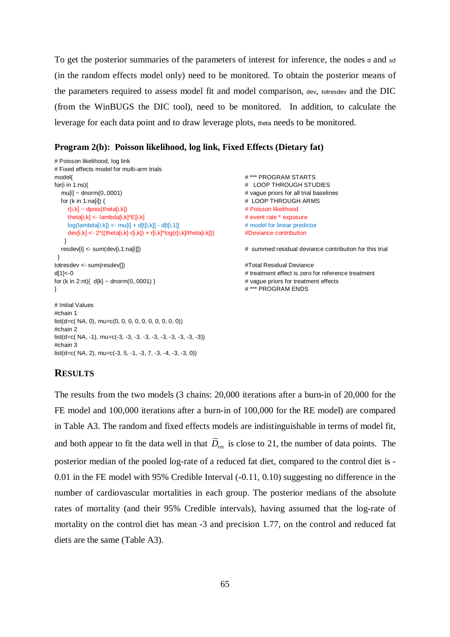To get the posterior summaries of the parameters of interest for inference, the nodes <sup>d</sup> and sd (in the random effects model only) need to be monitored. To obtain the posterior means of the parameters required to assess model fit and model comparison, dev, totresdev and the DIC (from the WinBUGS the DIC tool), need to be monitored. In addition, to calculate the leverage for each data point and to draw leverage plots, theta needs to be monitored.

## **Program 2(b): Poisson likelihood, log link, Fixed Effects (Dietary fat)**

```
# Poisson likelihood, log link
# Fixed effects model for multi-arm trials
model{ # *** PROGRAM STARTS
for(i in 1:ns){ # LOOP THROUGH STUDIES
  mu[i] ~ dnorm(0,.0001) example and the multiple of the multiple of the multiple of the multiple of the multiple of the multiple of the multiple of the multiple of the multiple of the multiple of the multiple of the multipl
   for (k in 1:na[i]) { # LOOP THROUGH ARMS
     r[i,k] \sim dpois(theta[i,k]) \# Poisson likelihood
     theta[i,k] <- lambda[i,k]*E[i,k] # event rate * exposure
     log(lambda[i,k]) \leq mult[i,k]] + d[t[i,k]] - d[t[i,1]] # model for linear predictor
      dev[i,k] <- 2*((theta[i,k]-r[i,k]) + r[i,k]*log(r[i,k]/theta[i,k])) #Deviance contribution
    }
   resdev[i] <- sum(dev[i,1:na[i]]) # summed residual deviance contribution for this trial
  } 
totresdev <- sum(resdev[]) \qquad \qquad \qquad \qquad #Total Residual Deviance
d[1]<-0 # treatment effect is zero for reference treatment
for (k in 2:nt){ d[k] \sim dnorm(0,.0001) } # vague priors for treatment effects
\mathcal{H} \rightarrow \mathcal{H} \rightarrow \mathcal{H} \rightarrow \mathcal{H} \rightarrow \mathcal{H} \rightarrow \mathcal{H} \rightarrow \mathcal{H} \rightarrow \mathcal{H} \rightarrow \mathcal{H} \rightarrow \mathcal{H} \rightarrow \mathcal{H} \rightarrow \mathcal{H} \rightarrow \mathcal{H} \rightarrow \mathcal{H} \rightarrow \mathcal{H} \rightarrow \mathcal{H} \rightarrow \mathcal{H} \rightarrow \mathcal{H} \rightarrow \mathcal{H} \rightarrow \mathcal{H} \rightarrow # Initial Values
#chain 1
list(d=c(NA, 0), mu=c(0, 0, 0, 0, 0, 0, 0, 0, 0))#chain 2
```
## **RESULTS**

#chain 3

 $list(d=c(NA, -1), mu=c(-3, -3, -3, -3, -3, -3, -3, -3, -3, -3))$ 

 $list(d=c(NA, 2), mu=c(-3, 5, -1, -3, 7, -3, -4, -3, -3, 0))$ 

The results from the two models (3 chains: 20,000 iterations after a burn-in of 20,000 for the FE model and 100,000 iterations after a burn-in of 100,000 for the RE model) are compared in Table A3. The random and fixed effects models are indistinguishable in terms of model fit, and both appear to fit the data well in that *Dres* is close to 21, the number of data points. The posterior median of the pooled log-rate of a reduced fat diet, compared to the control diet is - 0.01 in the FE model with 95% Credible Interval (-0.11, 0.10) suggesting no difference in the number of cardiovascular mortalities in each group. The posterior medians of the absolute rates of mortality (and their 95% Credible intervals), having assumed that the log-rate of mortality on the control diet has mean -3 and precision 1.77, on the control and reduced fat diets are the same (Table A3).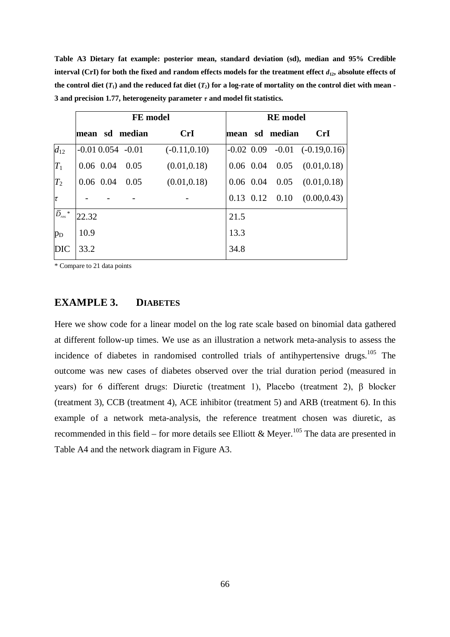**Table A3 Dietary fat example: posterior mean, standard deviation (sd), median and 95% Credible interval (CrI) for both the fixed and random effects models for the treatment effect**  $d_{12}$ **, absolute effects of the control diet**  $(T_1)$  **and the reduced fat diet**  $(T_2)$  **for a log-rate of mortality on the control diet with mean -3 and precision 1.77, heterogeneity parameter** *τ* **and model fit statistics.**

|                                        |       | <b>FE</b> model         |                 | <b>RE</b> model |  |                      |                                      |  |  |  |
|----------------------------------------|-------|-------------------------|-----------------|-----------------|--|----------------------|--------------------------------------|--|--|--|
|                                        |       | mean sd median          | <b>CrI</b>      |                 |  | mean sd median       | <b>CrI</b>                           |  |  |  |
| $d_{12}$                               |       | $-0.01$ $0.054$ $-0.01$ | $(-0.11, 0.10)$ |                 |  |                      | $-0.02$ 0.09 $-0.01$ $(-0.19, 0.16)$ |  |  |  |
| $T_1$                                  |       | $0.06$ $0.04$ $0.05$    | (0.01, 0.18)    |                 |  | $0.06$ 0.04 0.05     | (0.01, 0.18)                         |  |  |  |
| $T_2$                                  |       | $0.06$ $0.04$ $0.05$    | (0.01, 0.18)    | $0.06$ 0.04     |  | 0.05                 | (0.01, 0.18)                         |  |  |  |
| $\tau$                                 |       |                         |                 |                 |  | $0.13$ $0.12$ $0.10$ | (0.00, 0.43)                         |  |  |  |
| $\bar{D}_{\scriptscriptstyle res}{}^*$ | 22.32 |                         |                 | 21.5            |  |                      |                                      |  |  |  |
| $p_D$                                  | 10.9  |                         |                 | 13.3            |  |                      |                                      |  |  |  |
| <b>DIC</b>                             | 33.2  |                         |                 | 34.8            |  |                      |                                      |  |  |  |

\* Compare to 21 data points

## **EXAMPLE 3. DIABETES**

Here we show code for a linear model on the log rate scale based on binomial data gathered at different follow-up times. We use as an illustration a network meta-analysis to assess the incidence of diabetes in randomised controlled trials of antihypertensive drugs.<sup>105</sup> The outcome was new cases of diabetes observed over the trial duration period (measured in years) for 6 different drugs: Diuretic (treatment 1), Placebo (treatment 2), β blocker (treatment 3), CCB (treatment 4), ACE inhibitor (treatment 5) and ARB (treatment 6). In this example of a network meta-analysis, the reference treatment chosen was diuretic, as recommended in this field – for more details see Elliott & Meyer.<sup>105</sup> The data are presented in Table A4 and the network diagram in Figure A3.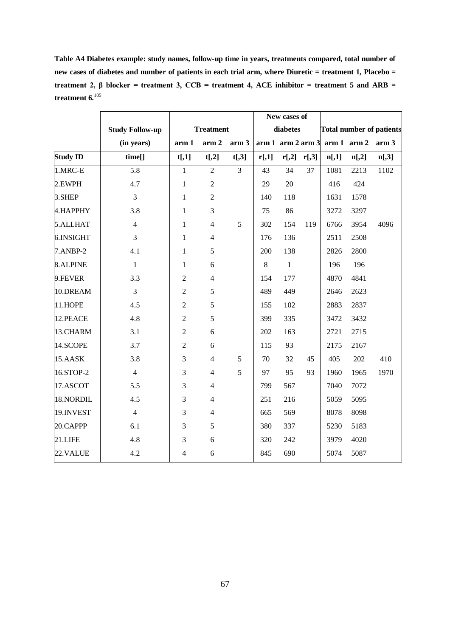**Table A4 Diabetes example: study names, follow-up time in years, treatments compared, total number of new cases of diabetes and number of patients in each trial arm, where Diuretic = treatment 1, Placebo =**  treatment 2, β blocker = treatment 3,  $CCB$  = treatment 4,  $ACE$  inhibitor = treatment 5 and  $ARB$  = **treatment 6.**<sup>105</sup>

|                 |                        |                |                  |                  | New cases of            |              |       |       |                     |                                 |
|-----------------|------------------------|----------------|------------------|------------------|-------------------------|--------------|-------|-------|---------------------|---------------------------------|
|                 | <b>Study Follow-up</b> |                | <b>Treatment</b> |                  |                         | diabetes     |       |       |                     | <b>Total number of patients</b> |
|                 | (in years)             | arm 1          | arm <sub>2</sub> | arm <sub>3</sub> | $arm 1$ arm $2$ arm $3$ |              |       |       | $arm 1$ arm 2 arm 3 |                                 |
| <b>Study ID</b> | time[]                 | t[,1]          | t[,2]            | $t[$ ,3]         | r[,1]                   | r[,2]        | r[,3] | n[,1] | n[,2]               | $n[$ ,3]                        |
| 1.MRC-E         | $\overline{5.8}$       | $\mathbf{1}$   | $\overline{2}$   | $\overline{3}$   | 43                      | 34           | 37    | 1081  | 2213                | 1102                            |
| 2.EWPH          | 4.7                    | $\,1\,$        | $\sqrt{2}$       |                  | 29                      | 20           |       | 416   | 424                 |                                 |
| 3.SHEP          | 3                      | $\mathbf{1}$   | $\overline{2}$   |                  | 140                     | 118          |       | 1631  | 1578                |                                 |
| 4.HAPPHY        | 3.8                    | $\mathbf{1}$   | 3                |                  | 75                      | 86           |       | 3272  | 3297                |                                 |
| 5.ALLHAT        | $\overline{4}$         | $\mathbf{1}$   | $\overline{4}$   | 5                | 302                     | 154          | 119   | 6766  | 3954                | 4096                            |
| 6.INSIGHT       | 3                      | $\mathbf{1}$   | $\overline{4}$   |                  | 176                     | 136          |       | 2511  | 2508                |                                 |
| 7.ANBP-2        | 4.1                    | $\mathbf{1}$   | $\sqrt{5}$       |                  | 200                     | 138          |       | 2826  | 2800                |                                 |
| 8.ALPINE        | $\mathbf{1}$           | $\mathbf{1}$   | 6                |                  | $\,8\,$                 | $\mathbf{1}$ |       | 196   | 196                 |                                 |
| 9.FEVER         | 3.3                    | $\sqrt{2}$     | $\overline{4}$   |                  | 154                     | 177          |       | 4870  | 4841                |                                 |
| 10.DREAM        | 3                      | $\sqrt{2}$     | $\mathfrak s$    |                  | 489                     | 449          |       | 2646  | 2623                |                                 |
| 11.HOPE         | 4.5                    | $\overline{2}$ | 5                |                  | 155                     | 102          |       | 2883  | 2837                |                                 |
| 12.PEACE        | 4.8                    | $\sqrt{2}$     | $\mathfrak s$    |                  | 399                     | 335          |       | 3472  | 3432                |                                 |
| 13.CHARM        | 3.1                    | $\sqrt{2}$     | 6                |                  | 202                     | 163          |       | 2721  | 2715                |                                 |
| 14.SCOPE        | 3.7                    | $\sqrt{2}$     | 6                |                  | 115                     | 93           |       | 2175  | 2167                |                                 |
| 15.AASK         | 3.8                    | 3              | $\overline{4}$   | 5                | 70                      | 32           | 45    | 405   | 202                 | 410                             |
| 16.STOP-2       | $\overline{4}$         | 3              | $\overline{4}$   | 5                | 97                      | 95           | 93    | 1960  | 1965                | 1970                            |
| 17.ASCOT        | 5.5                    | $\mathfrak{Z}$ | $\overline{4}$   |                  | 799                     | 567          |       | 7040  | 7072                |                                 |
| 18.NORDIL       | 4.5                    | 3              | $\overline{4}$   |                  | 251                     | 216          |       | 5059  | 5095                |                                 |
| 19.INVEST       | $\overline{4}$         | $\mathfrak{Z}$ | $\overline{4}$   |                  | 665                     | 569          |       | 8078  | 8098                |                                 |
| 20.CAPPP        | 6.1                    | $\mathfrak{Z}$ | $\mathfrak s$    |                  | 380                     | 337          |       | 5230  | 5183                |                                 |
| 21.LIFE         | 4.8                    | $\mathfrak{Z}$ | 6                |                  | 320                     | 242          |       | 3979  | 4020                |                                 |
| 22.VALUE        | 4.2                    | $\overline{4}$ | 6                |                  | 845                     | 690          |       | 5074  | 5087                |                                 |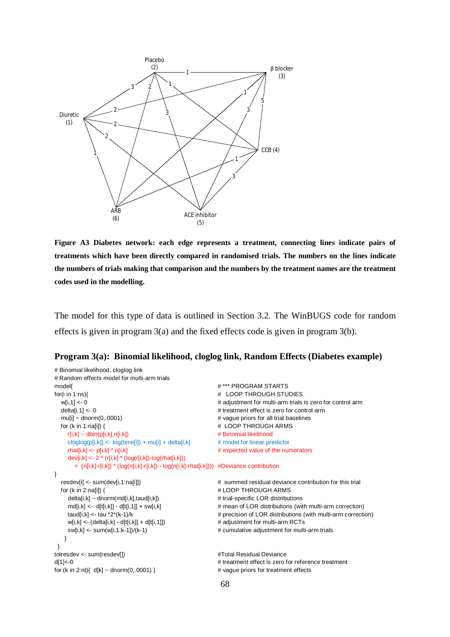

**Figure A3 Diabetes network: each edge represents a treatment, connecting lines indicate pairs of treatments which have been directly compared in randomised trials. The numbers on the lines indicate the numbers of trials making that comparison and the numbers by the treatment names are the treatment codes used in the modelling.**

The model for this type of data is outlined in Section 3.2. The WinBUGS code for random effects is given in program 3(a) and the fixed effects code is given in program 3(b).

```
Program 3(a): Binomial likelihood, cloglog link, Random Effects (Diabetes example)
```

```
# Binomial likelihood, cloglog link
# Random effects model for multi-arm trials
model{ # *** PROGRAM STARTS
for(i in 1:ns){ # LOOP THROUGH STUDIES
  w[i,1] <- 0 \blacksquare + adjustment for multi-arm trials is zero for control arm
  delta[i,1] <- 0 \blacksquare = 1 treatment effect is zero for control arm
  mu[i] ~ dnorm(0,.0001) # vague priors for all trial baselines
  for (k in 1:na[i]) { \qquad # LOOP THROUGH ARMS
    r[i,k] \sim \text{dbin}(p[i,k],n[i,k]) # Binomial likelihood
    c\text{loglog}(p[i,k]) \leq -\text{log}(time[i]) + mu[i] + delta[i,k] # model for linear predictor
     rhat[i,k] <- p[i,k] * n[i,k] # expected value of the numerators 
    dev[i,k] <- 2 * (r[i,k] * (log(r[i,k])-log(rhat[i,k]))
       + (n[i,k]-r[i,k]) * (log(n[i,k]-r[i,k]) - log(n[i,k]-rhat[i,k]))) #Deviance contribution
}
  resdev[i] <- sum(dev[i,1:na[i]]) \qquad \qquad \qquad \qquad \qquad summed residual deviance contribution for this trial
  for (k in 2:na[i]) { \qquad # LOOP THROUGH ARMS
    delta[i,k] ~ dnorm(md[i,k],taud[i,k]) \qquad # trial-specific LOR distributions
    md[i,k] <- d[t[i,k]] - d[t[i,1]] + sw[i,k] \# mean of LOR distributions (with multi-arm correction)
    taud[i,k] <- tau *2*(k-1)/k \qquad # precision of LOR distributions (with multi-arm correction)
     w[i,k] <- (delta[i,k] - d[t[i,k]] + d[t[i,1]]) # adjustment for multi-arm RCTs
    sw[i,k] <- sum(w[i,1:k-1])/(k-1) \qquad # cumulative adjustment for multi-arm trials
    }
  } 
totresdev <- sum(resdev[]) \qquad \qquad \qquad #Total Residual Deviance
d[1]<-0 # treatment effect is zero for reference treatment
for (k \text{ in } 2\text{ :}nt) \{ d[k] \sim \text{dnorm}(0, 0001) \} # vague priors for treatment effects
```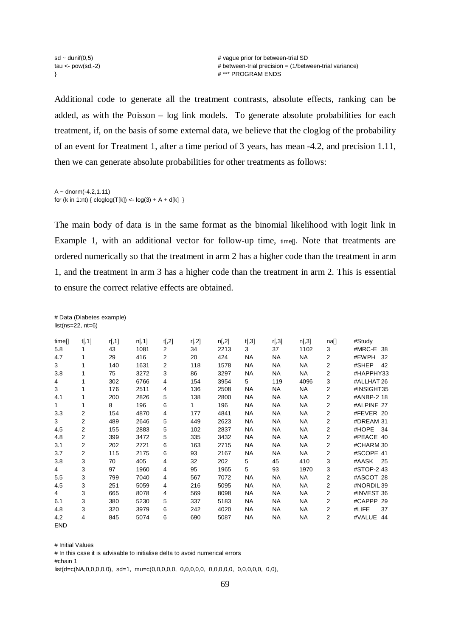Additional code to generate all the treatment contrasts, absolute effects, ranking can be added, as with the Poisson – log link models. To generate absolute probabilities for each treatment, if, on the basis of some external data, we believe that the cloglog of the probability of an event for Treatment 1, after a time period of 3 years, has mean -4.2, and precision 1.11, then we can generate absolute probabilities for other treatments as follows:

 $A -$  dnorm(-4.2,1.11) for (k in 1:nt) {  $cloglog(T[k]) < -log(3) + A + d[k]$  }

# Data (Diabetes example)

The main body of data is in the same format as the binomial likelihood with logit link in Example 1, with an additional vector for follow-up time, times Note that treatments are ordered numerically so that the treatment in arm 2 has a higher code than the treatment in arm 1, and the treatment in arm 3 has a higher code than the treatment in arm 2. This is essential to ensure the correct relative effects are obtained.

|              | $list(ns=22, nt=6)$     |        |        |                |       |       |           |           |           |                |               |
|--------------|-------------------------|--------|--------|----------------|-------|-------|-----------|-----------|-----------|----------------|---------------|
| time[]       | t[, 1]                  | r[, 1] | n[, 1] | t[,2]          | r[,2] | n[,2] | t[,3]     | r[,3]     | n[,3]     | na[]           | #Study        |
| 5.8          | 1                       | 43     | 1081   | 2              | 34    | 2213  | 3         | 37        | 1102      | 3              | #MRC-E 38     |
| 4.7          | 1                       | 29     | 416    | $\overline{2}$ | 20    | 424   | <b>NA</b> | <b>NA</b> | NA        | $\overline{2}$ | #EWPH<br>-32  |
| 3            | 1                       | 140    | 1631   | 2              | 118   | 1578  | <b>NA</b> | <b>NA</b> | <b>NA</b> | 2              | #SHEP<br>42   |
| 3.8          | 1                       | 75     | 3272   | 3              | 86    | 3297  | <b>NA</b> | <b>NA</b> | <b>NA</b> | 2              | #HAPPHY33     |
| 4            | 1                       | 302    | 6766   | 4              | 154   | 3954  | 5         | 119       | 4096      | 3              | #ALLHAT 26    |
| 3            | 1                       | 176    | 2511   | 4              | 136   | 2508  | <b>NA</b> | <b>NA</b> | <b>NA</b> | 2              | #INSIGHT35    |
| 4.1          | 1                       | 200    | 2826   | 5              | 138   | 2800  | <b>NA</b> | <b>NA</b> | <b>NA</b> | $\overline{2}$ | #ANBP-2 18    |
| $\mathbf{1}$ | 1                       | 8      | 196    | 6              | 1     | 196   | <b>NA</b> | <b>NA</b> | <b>NA</b> | 2              | #ALPINE 27    |
| 3.3          | 2                       | 154    | 4870   | 4              | 177   | 4841  | <b>NA</b> | <b>NA</b> | <b>NA</b> | $\overline{2}$ | #FEVER 20     |
| 3            | $\overline{2}$          | 489    | 2646   | 5              | 449   | 2623  | <b>NA</b> | <b>NA</b> | <b>NA</b> | $\overline{2}$ | #DREAM 31     |
| 4.5          | $\overline{\mathbf{c}}$ | 155    | 2883   | 5              | 102   | 2837  | <b>NA</b> | <b>NA</b> | <b>NA</b> | $\overline{2}$ | #HOPE<br>- 34 |
| 4.8          | 2                       | 399    | 3472   | 5              | 335   | 3432  | <b>NA</b> | <b>NA</b> | <b>NA</b> | 2              | #PEACE 40     |
| 3.1          | 2                       | 202    | 2721   | 6              | 163   | 2715  | <b>NA</b> | <b>NA</b> | <b>NA</b> | 2              | #CHARM 30     |
| 3.7          | 2                       | 115    | 2175   | 6              | 93    | 2167  | <b>NA</b> | <b>NA</b> | <b>NA</b> | 2              | #SCOPE 41     |
| 3.8          | 3                       | 70     | 405    | 4              | 32    | 202   | 5         | 45        | 410       | 3              | #AASK<br>- 25 |
| 4            | 3                       | 97     | 1960   | 4              | 95    | 1965  | 5         | 93        | 1970      | 3              | #STOP-2 43    |
| 5.5          | 3                       | 799    | 7040   | 4              | 567   | 7072  | <b>NA</b> | <b>NA</b> | NA        | $\overline{2}$ | #ASCOT 28     |
| 4.5          | 3                       | 251    | 5059   | 4              | 216   | 5095  | <b>NA</b> | <b>NA</b> | <b>NA</b> | $\overline{2}$ | #NORDIL 39    |
| 4            | 3                       | 665    | 8078   | 4              | 569   | 8098  | <b>NA</b> | <b>NA</b> | <b>NA</b> | $\overline{2}$ | #INVEST 36    |
| 6.1          | 3                       | 380    | 5230   | 5              | 337   | 5183  | NA        | <b>NA</b> | <b>NA</b> | 2              | #CAPPP 29     |
| 4.8          | 3                       | 320    | 3979   | 6              | 242   | 4020  | <b>NA</b> | <b>NA</b> | <b>NA</b> | $\overline{2}$ | 37<br>#LIFE   |
| 4.2          | 4                       | 845    | 5074   | 6              | 690   | 5087  | NA        | <b>NA</b> | <b>NA</b> | 2              | #VALUE 44     |
| <b>FND</b>   |                         |        |        |                |       |       |           |           |           |                |               |

# Initial Values # In this case it is advisable to initialise delta to avoid numerical errors #chain 1 list(d=c(NA,0,0,0,0,0), sd=1, mu=c(0,0,0,0,0, 0,0,0,0,0, 0,0,0,0,0, 0,0,0,0,0, 0,0),

69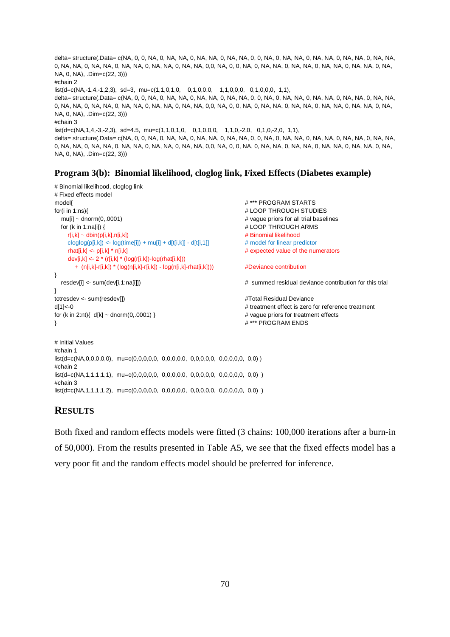```
delta= structure(.Data= c(NA, 0, 0, NA, 0, NA, NA, 0, NA, NA, 0, NA, NA, 0, 0, NA, 0, NA, NA, 0, NA, NA, 0, NA, NA, 0, NA, NA, 
0, NA, NA, 0, NA, NA, 0, NA, NA, 0, NA, NA, 0, NA, NA, 0,0, NA, 0, 0, NA, 0, NA, NA, 0, NA, NA, 0, NA, NA, 0, NA, NA, 0, NA, 
NA, 0, NA), .Dim=c(22, 3)))
#chain 2
list(d=c(NA,-1,4,-1,2,3), sd=3, mu=c(1,1,0,1,0,0,0,1,0,0,0,0,1,1,0,0,0,0,1,1),delta= structure(.Data= c(NA, 0, 0, NA, 0, NA, NA, 0, NA, NA, 0, NA, NA, 0, 0, NA, 0, NA, NA, 0, NA, NA, 0, NA, NA, 0, NA, NA, 
0, NA, NA, 0, NA, NA, 0, NA, NA, 0, NA, NA, 0, NA, NA, 0,0, NA, 0, 0, NA, 0, NA, NA, 0, NA, NA, 0, NA, NA, 0, NA, NA, 0, NA, 
NA, 0, NA), .Dim=c(22, 3)))
#chain 3
list(d=c(NA, 1, 4, -3, -2, 3), sd=4.5, mu=c(1, 1, 0, 1, 0, 0, 0, 1, 1, 0, 0, 0, 1, 1, 0, -2, 0, 0, 1, 1),delta= structure(.Data= c(NA, 0, 0, NA, 0, NA, NA, 0, NA, NA, 0, NA, NA, 0, 0, NA, 0, NA, NA, 0, NA, NA, 0, NA, NA, 0, NA, NA, 
0, NA, NA, 0, NA, NA, 0, NA, NA, 0, NA, NA, 0, NA, NA, 0,0, NA, 0, 0, NA, 0, NA, NA, 0, NA, NA, 0, NA, NA, 0, NA, NA, 0, NA, 
NA, 0, NA), .Dim=c(22, 3)))
```
#### **Program 3(b): Binomial likelihood, cloglog link, Fixed Effects (Diabetes example)**

```
# Binomial likelihood, cloglog link
# Fixed effects model 
model{ # *** PROGRAM STARTS
for(i in 1:ns){ # LOOP THROUGH STUDIES
  mu[i] ~ dnorm(0,.0001)  4 vague priors for all trial baselines
  for (k in 1:na[i]) { \# LOOP THROUGH ARMS
     r[i,k] ~ dbin(p[i,k],n[i,k]) # Binomial likelihood
    cloglog(p[i,k]) \le log(time[i]) + mu[i] + d[t[i,k]] - d[t[i,1]] # model for linear predictor
     rhat[i,k] <- p[i,k] * n[i,k] # expected value of the numerators 
    dev[i,k] <- 2 * (r[i,k] * (log(r[i,k])-log(rhat[i,k]))
       + (n[i,k]-r[i,k]) * (log(n[i,k]-r[i,k]) - log(n[i,k]-rhat[i,k]))) #Deviance contribution
}
   resdev[i] <- sum(dev[i,1:na[i]]) # summed residual deviance contribution for this trial
} 
totresdev <- sum(resdev[]) \qquad \qquad \qquad \qquad #Total Residual Deviance
d[1]<-0 \blacksquarefor (k in 2:nt){ d[k] ~ dnorm(0,.0001) } # vague priors for treatment effects
\frac{1}{2} \frac{1}{2} \frac{1}{2} \frac{1}{2} \frac{1}{2} \frac{1}{2} \frac{1}{2} \frac{1}{2} \frac{1}{2} \frac{1}{2} \frac{1}{2} \frac{1}{2} \frac{1}{2} \frac{1}{2} \frac{1}{2} \frac{1}{2} \frac{1}{2} \frac{1}{2} \frac{1}{2} \frac{1}{2} \frac{1}{2} \frac{1}{2} # Initial Values 
#chain 1
list(d=c(NA,0,0,0,0,0), mu=c(0,0,0,0,0, 0,0,0,0,0, 0,0,0,0,0, 0,0,0,0,0, 0,0) )
#chain 2
list(d=c(NA,1,1,1,1,1), mu=c(0,0,0,0,0, 0,0,0,0,0, 0,0,0,0,0, 0,0,0,0,0, 0,0) )
#chain 3
```
## **RESULTS**

Both fixed and random effects models were fitted (3 chains: 100,000 iterations after a burn-in of 50,000). From the results presented in Table A5, we see that the fixed effects model has a very poor fit and the random effects model should be preferred for inference.

list(d=c(NA,1,1,1,1,2), mu=c(0,0,0,0,0, 0,0,0,0,0, 0,0,0,0,0, 0,0,0,0,0, 0,0) )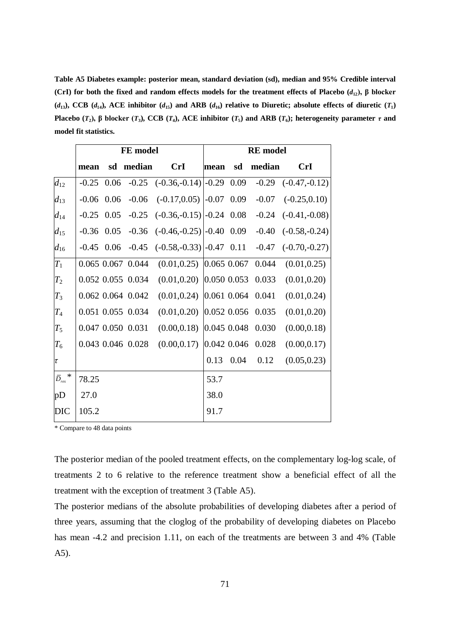**Table A5 Diabetes example: posterior mean, standard deviation (sd), median and 95% Credible interval (CrI) for both the fixed and random effects models for the treatment effects of Placebo (***d***12), β blocker**  ( $d_{13}$ ), CCB ( $d_{14}$ ), ACE inhibitor ( $d_{15}$ ) and ARB ( $d_{16}$ ) relative to Diuretic; absolute effects of diuretic ( $T_1$ ) Placebo  $(T_2)$ ,  $\beta$  blocker  $(T_3)$ , CCB  $(T_4)$ , ACE inhibitor  $(T_5)$  and ARB  $(T_6)$ ; heterogeneity parameter  $\tau$  and **model fit statistics.**

|                                               |              |      | FE model          |                                            | <b>RE</b> model |      |         |                 |  |  |
|-----------------------------------------------|--------------|------|-------------------|--------------------------------------------|-----------------|------|---------|-----------------|--|--|
|                                               | mean         |      | sd median         | <b>CrI</b>                                 | mean            | sd   | median  | <b>CrI</b>      |  |  |
| $d_{12}$                                      | $-0.25$      | 0.06 |                   | $-0.25$ $(-0.36,-0.14)$ $-0.29$ 0.09       |                 |      | $-0.29$ | $(-0.47,-0.12)$ |  |  |
| $d_{13}$                                      | $-0.06$      | 0.06 | $-0.06$           | $(-0.17, 0.05)$ $\left[-0.07, 0.09\right]$ |                 |      | $-0.07$ | $(-0.25, 0.10)$ |  |  |
| $d_{14}$                                      | $-0.25$      | 0.05 | $-0.25$           | $(-0.36,-0.15)$ $\left -0.24\ 0.08\right $ |                 |      | $-0.24$ | $(-0.41,-0.08)$ |  |  |
| $d_{15}$                                      | $-0.36$ 0.05 |      | $-0.36$           | $(-0.46,-0.25)$ -0.40 0.09                 |                 |      | $-0.40$ | $(-0.58,-0.24)$ |  |  |
| $d_{16}$                                      | $-0.45$ 0.06 |      | $-0.45$           | $(-0.58,-0.33)$ $\left[-0.47\ 0.11\right]$ |                 |      | $-0.47$ | $(-0.70,-0.27)$ |  |  |
| $T_{1}$                                       |              |      | 0.065 0.067 0.044 | $(0.01, 0.25)$ 0.065 0.067                 |                 |      | 0.044   | (0.01, 0.25)    |  |  |
| $\scriptstyle T_2$                            |              |      | 0.052 0.055 0.034 | $(0.01, 0.20)$ 0.050 0.053                 |                 |      | 0.033   | (0.01, 0.20)    |  |  |
| $T_3$                                         |              |      | 0.062 0.064 0.042 | $(0.01, 0.24)$ 0.061 0.064                 |                 |      | 0.041   | (0.01, 0.24)    |  |  |
| $\overline{T}_4$                              |              |      | 0.051 0.055 0.034 | $(0.01, 0.20)$ 0.052 0.056                 |                 |      | 0.035   | (0.01, 0.20)    |  |  |
| $T_5$                                         |              |      | 0.047 0.050 0.031 | $(0.00, 0.18)$ 0.045 0.048                 |                 |      | 0.030   | (0.00, 0.18)    |  |  |
| $\scriptstyle T_6$                            |              |      | 0.043 0.046 0.028 | $(0.00, 0.17)$ 0.042 0.046                 |                 |      | 0.028   | (0.00, 0.17)    |  |  |
| τ                                             |              |      |                   |                                            | 0.13            | 0.04 | 0.12    | (0.05, 0.23)    |  |  |
| $\ast$<br>$\bar{D}_{\scriptscriptstyle{res}}$ | 78.25        |      |                   |                                            | 53.7            |      |         |                 |  |  |
| pD                                            | 27.0         |      |                   |                                            | 38.0            |      |         |                 |  |  |
| DIC                                           | 105.2        |      |                   |                                            | 91.7            |      |         |                 |  |  |

\* Compare to 48 data points

The posterior median of the pooled treatment effects, on the complementary log-log scale, of treatments 2 to 6 relative to the reference treatment show a beneficial effect of all the treatment with the exception of treatment 3 (Table A5).

The posterior medians of the absolute probabilities of developing diabetes after a period of three years, assuming that the cloglog of the probability of developing diabetes on Placebo has mean -4.2 and precision 1.11, on each of the treatments are between 3 and 4% (Table A5).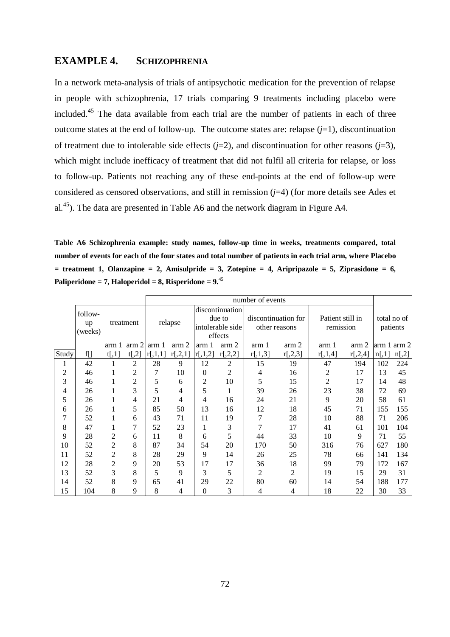## **EXAMPLE 4. SCHIZOPHRENIA**

In a network meta-analysis of trials of antipsychotic medication for the prevention of relapse in people with schizophrenia, 17 trials comparing 9 treatments including placebo were included.<sup>45</sup> The data available from each trial are the number of patients in each of three outcome states at the end of follow-up. The outcome states are: relapse (*j*=1), discontinuation of treatment due to intolerable side effects  $(j=2)$ , and discontinuation for other reasons  $(j=3)$ , which might include inefficacy of treatment that did not fulfil all criteria for relapse, or loss to follow-up. Patients not reaching any of these end-points at the end of follow-up were considered as censored observations, and still in remission (*j*=4) (for more details see Ades et al.<sup>45</sup>). The data are presented in Table A6 and the network diagram in Figure A4.

**Table A6 Schizophrenia example: study names, follow-up time in weeks, treatments compared, total number of events for each of the four states and total number of patients in each trial arm, where Placebo**   $=$  treatment 1, Olanzapine  $= 2$ , Amisulpride  $= 3$ , Zotepine  $= 4$ , Aripripazole  $= 5$ , Ziprasidone  $= 6$ , **Paliperidone = 7, Haloperidol = 8, Risperidone = 9.**<sup>45</sup>

|                |               |                  |                | number of events |                  |                  |                 |               |                     |                  |                  |          |             |
|----------------|---------------|------------------|----------------|------------------|------------------|------------------|-----------------|---------------|---------------------|------------------|------------------|----------|-------------|
|                | follow-       |                  |                |                  |                  |                  | discontinuation |               |                     |                  |                  |          |             |
|                |               |                  | treatment      |                  | relapse          |                  | due to          |               | discontinuation for | Patient still in |                  |          | total no of |
|                | up<br>(weeks) |                  |                |                  |                  | intolerable side |                 | other reasons |                     | remission        |                  | patients |             |
|                |               |                  |                |                  |                  |                  | effects         |               |                     |                  |                  |          |             |
|                |               | arm <sub>1</sub> | arm 2          | arm <sub>1</sub> | arm <sub>2</sub> | arm 1            | arm 2           | arm 1         | arm 2               | arm 1            | arm <sub>2</sub> |          | arm 1 arm 2 |
| Study          | f[]           | t[,1]            | $t[$ ,2]       | r[,1,1]          | r[,2,1]          | r[,1,2]          | r[,2,2]         | r[,1,3]       | r[,2,3]             | r[,1,4]          | r[,2,4]          | n[,1]    | $n[$ ,2]    |
| 1              | 42            | 1                | $\overline{2}$ | 28               | 9                | 12               | 2               | 15            | 19                  | 47               | 194              | 102      | 224         |
| $\overline{2}$ | 46            | 1                | $\overline{2}$ | 7                | 10               | $\Omega$         | $\overline{2}$  | 4             | 16                  | $\overline{2}$   | 17               | 13       | 45          |
| 3              | 46            | 1                | 2              | 5                | 6                | 2                | 10              | 5             | 15                  | $\overline{2}$   | 17               | 14       | 48          |
| 4              | 26            | 1                | 3              | 5                | 4                | 5                | 1               | 39            | 26                  | 23               | 38               | 72       | 69          |
| 5              | 26            | 1                | $\overline{4}$ | 21               | 4                | 4                | 16              | 24            | 21                  | 9                | 20               | 58       | 61          |
| 6              | 26            | 1                | 5              | 85               | 50               | 13               | 16              | 12            | 18                  | 45               | 71               | 155      | 155         |
| 7              | 52            | 1                | 6              | 43               | 71               | 11               | 19              | 7             | 28                  | 10               | 88               | 71       | 206         |
| 8              | 47            | 1                | 7              | 52               | 23               | 1                | 3               | 7             | 17                  | 41               | 61               | 101      | 104         |
| 9              | 28            | $\overline{2}$   | 6              | 11               | 8                | 6                | 5               | 44            | 33                  | 10               | 9                | 71       | 55          |
| 10             | 52            | $\mathfrak{2}$   | 8              | 87               | 34               | 54               | 20              | 170           | 50                  | 316              | 76               | 627      | 180         |
| 11             | 52            | $\overline{2}$   | 8              | 28               | 29               | 9                | 14              | 26            | 25                  | 78               | 66               | 141      | 134         |
| 12             | 28            | 2                | 9              | 20               | 53               | 17               | 17              | 36            | 18                  | 99               | 79               | 172      | 167         |
| 13             | 52            | 3                | 8              | 5                | 9                | 3                | 5               | 2             | 2                   | 19               | 15               | 29       | 31          |
| 14             | 52            | 8                | 9              | 65               | 41               | 29               | 22              | 80            | 60                  | 14               | 54               | 188      | 177         |
| 15             | 104           | 8                | 9              | 8                | 4                | $\theta$         | 3               | 4             | $\overline{4}$      | 18               | 22               | 30       | 33          |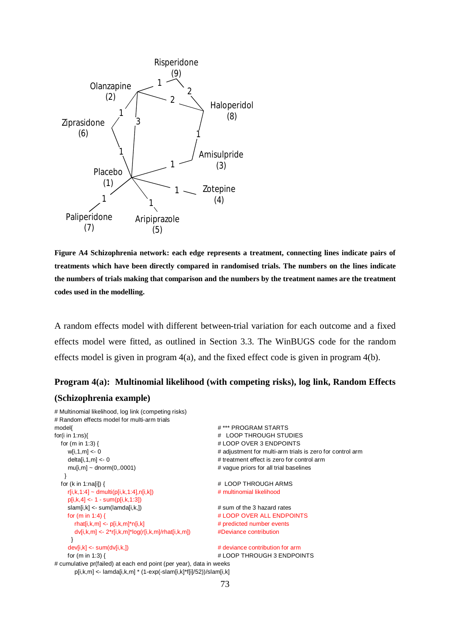

**Figure A4 Schizophrenia network: each edge represents a treatment, connecting lines indicate pairs of treatments which have been directly compared in randomised trials. The numbers on the lines indicate the numbers of trials making that comparison and the numbers by the treatment names are the treatment codes used in the modelling.**

A random effects model with different between-trial variation for each outcome and a fixed effects model were fitted, as outlined in Section 3.3. The WinBUGS code for the random effects model is given in program 4(a), and the fixed effect code is given in program 4(b).

# **Program 4(a): Multinomial likelihood (with competing risks), log link, Random Effects (Schizophrenia example)**

```
# Multinomial likelihood, log link (competing risks)
# Random effects model for multi-arm trials
model{ # *** PROGRAM STARTS
for(i in 1:ns){ # LOOP THROUGH STUDIES
  for (m in 1:3) { # LOOP OVER 3 ENDPOINTS
   w[i,1,m] <- 0 \le 0 \le + adjustment for multi-arm trials is zero for control arm
   delta[i,1,m] <- 0 # treatment effect is zero for control arm
   mu[i,m] \sim \text{donom}(0,0001) \qquad \qquad \qquad \text{# vague priors for all trial baselines} } 
 for (k in 1:na[i]) { \qquad # LOOP THROUGH ARMS
    r[i,k,1:4] ~ dmulti(p[i,k,1:4],n[i,k]) # multinomial likelihood
    p[i,k,4] <- 1 - sum(p[i,k,1:3])
    slam[i,k] <- sum(lamda[i,k,]) # sum of the 3 hazard rates
   for (m in 1:4) { \# LOOP OVER ALL ENDPOINTS
     rhat[i,k,m] <- p[i,k,m]*n[i,k] # predicted number events
      dv[i,k,m] <- 2*r[i,k,m]*log(r[i,k,m]/rhat[i,k,m]) #Deviance contribution
     }
    dev[i,k] <- sum(dv[i,k,]) # deviance contribution for arm
   for (m in 1:3) { \qquad # LOOP THROUGH 3 ENDPOINTS
# cumulative pr(failed) at each end point (per year), data in weeks
      p[i,k,m] <- lamda[i,k,m] * (1-exp(-slam[i,k]*f[i]/52))/slam[i,k]
```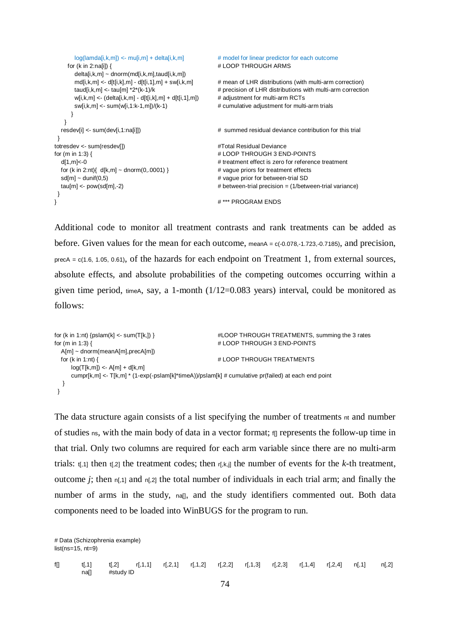```
log(lamda[i,k,m]) <- mu[i,m] + delta[i,k,m] # model for linear predictor for each outcome
    for (k in 2:na[i]) { \qquad # LOOP THROUGH ARMS
       delta[i,k,m] ~ dnorm(md[i,k,m],taud[i,k,m])
      md[i,k,m] <- d[t[i,k],m] - d[t[i,1],m] + sw[i,k,m] \qquad # mean of LHR distributions (with multi-arm correction)
      taud[i,k,m] <- tau[m] *2*(k-1)/k \qquad # precision of LHR distributions with multi-arm correction
      w[i,k,m] < - (delta[i,k,m] - d[t[i,k],m] + d[t[i,1],m]) # adjustment for multi-arm RCTs
      sw[i,k,m] <- sum(w[i,1:k-1,m])/(k-1) \qquad \qquad \qquad \qquad \qquad # cumulative adjustment for multi-arm trials
      }
    }
   resdev[i] <- sum(dev[i,1:na[i]]) # summed residual deviance contribution for this trial
 } 
totresdev <- sum(resdev[]) #Total Residual Deviancefor (m in 1:3) { \qquad # LOOP THROUGH 3 END-POINTS
   d[1,m]<-0 # treatment effect is zero for reference treatment
  for (k in 2:nt){ d[k,m] \sim dnorm(0,0001) } \qquad \qquad # vague priors for treatment effects
  sd[m] ~ dunif(0,5) example and the state of the state of the state of the state of the state of the state of the state of the state of the state of the state of the state of the state of the state of the state of the state
   tau[m] <- pow(sd[m],-2) # between-trial precision = (1/between-trial variance)
 }
} # *** PROGRAM ENDS
```
Additional code to monitor all treatment contrasts and rank treatments can be added as before. Given values for the mean for each outcome, meanA = c(-0.078,-1.723,-0.7185), and precision, precA = c(1.6, 1.05, 0.61), of the hazards for each endpoint on Treatment 1, from external sources, absolute effects, and absolute probabilities of the competing outcomes occurring within a given time period,  $timeA$ , say, a 1-month ( $1/12=0.083$  years) interval, could be monitored as follows:

```
for (k in 1:nt) {pslam(k] <- sum(T[k,]) } #LOOP THROUGH TREATMENTS, summing the 3 rates
for (m in 1:3) { \qquad # LOOP THROUGH 3 END-POINTS
  A[m] ~ dnorm(meanA[m],precA[m])
 for (k in 1:nt) { \# LOOP THROUGH TREATMENTS
    log(T[k,m]) \leq A[m] + d[k,m]cumpr[k,m] <- T[k,m] * (1-exp(-pslam[k]*timeA))/pslam[k] # cumulative pr(failed) at each end point
   }
 }
```
The data structure again consists of a list specifying the number of treatments nt and number of studies ns, with the main body of data in a vector format; if represents the follow-up time in that trial. Only two columns are required for each arm variable since there are no multi-arm trials:  $t_{1,1}$  then  $t_{1,2}$  the treatment codes; then  $r_{1,k,j}$  the number of events for the *k*-th treatment, outcome *j*; then  $n[,1]$  and  $n[,2]$  the total number of individuals in each trial arm; and finally the number of arms in the study, na[], and the study identifiers commented out. Both data components need to be loaded into WinBUGS for the program to run.

# Data (Schizophrenia example) list(ns=15, nt=9) f[] t[,1] t[,2] r[,1,1] r[,2,1] r[,1,2] r[,2,2] r[,1,3] r[,2,3] r[,1,4] r[,2,4] n[,1] n[,2] na[] #study ID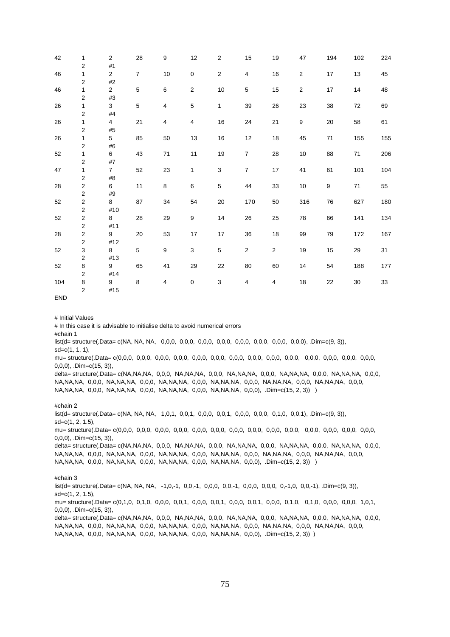| 42  | 1                                | $\overline{2}$ | 28             | 9      | 12           | $\overline{2}$ | 15             | 19             | 47               | 194              | 102 | 224 |
|-----|----------------------------------|----------------|----------------|--------|--------------|----------------|----------------|----------------|------------------|------------------|-----|-----|
|     | $\overline{2}$                   | #1             |                |        |              |                |                |                |                  |                  |     |     |
| 46  | 1                                | $\overline{2}$ | $\overline{7}$ | $10\,$ | 0            | $\sqrt{2}$     | 4              | $16\,$         | $\sqrt{2}$       | 17               | 13  | 45  |
|     | $\overline{2}$                   | $\#2$          |                |        |              |                |                |                |                  |                  |     |     |
| 46  | 1                                | $\overline{2}$ | 5              | 6      | $\mathbf{2}$ | $10$           | $\mathbf 5$    | 15             | $\sqrt{2}$       | 17               | 14  | 48  |
|     | 2                                | #3             |                |        |              |                |                |                |                  |                  |     |     |
| 26  | 1                                | 3              | 5              | 4      | 5            | 1              | 39             | 26             | 23               | 38               | 72  | 69  |
|     | $\overline{\mathbf{c}}$          | #4             |                |        |              |                |                |                |                  |                  |     |     |
| 26  | 1                                | 4              | 21             | 4      | 4            | 16             | 24             | 21             | $\boldsymbol{9}$ | 20               | 58  | 61  |
|     | $\overline{c}$                   | #5             |                |        |              |                |                |                |                  |                  |     |     |
| 26  | 1                                | 5              | 85             | 50     | 13           | 16             | 12             | $18$           | 45               | 71               | 155 | 155 |
|     | $\overline{\mathbf{c}}$          | #6             |                |        |              |                |                |                |                  |                  |     |     |
| 52  | 1                                | 6              | 43             | $71\,$ | 11           | 19             | $\overline{7}$ | 28             | 10               | 88               | 71  | 206 |
|     | 2                                | #7             |                |        |              |                |                |                |                  |                  |     |     |
| 47  | 1                                | $\overline{7}$ | 52             | 23     | 1            | 3              | $\overline{7}$ | 17             | 41               | 61               | 101 | 104 |
|     | $\overline{\mathbf{c}}$          | #8             |                |        |              |                |                |                |                  |                  |     |     |
| 28  | $\mathbf{2}$                     | 6              | 11             | 8      | 6            | $\sqrt{5}$     | 44             | 33             | 10               | $\boldsymbol{9}$ | 71  | 55  |
|     | $\overline{\mathbf{c}}$          | #9             |                |        |              |                |                |                |                  |                  |     |     |
| 52  | $\mathbf{2}$                     | 8              | 87             | 34     | 54           | 20             | 170            | 50             | 316              | 76               | 627 | 180 |
| 52  | $\overline{c}$<br>$\overline{c}$ | #10            | 28             | 29     | 9            | 14             | 26             | 25             | 78               |                  | 141 | 134 |
|     | $\overline{\mathbf{c}}$          | 8<br>#11       |                |        |              |                |                |                |                  | 66               |     |     |
| 28  | $\overline{c}$                   | 9              | 20             | 53     | 17           | 17             | 36             | 18             | 99               | 79               | 172 | 167 |
|     | $\overline{\mathbf{c}}$          | #12            |                |        |              |                |                |                |                  |                  |     |     |
| 52  | 3                                | 8              | 5              | 9      | 3            | 5              | $\sqrt{2}$     | $\overline{2}$ | 19               | 15               | 29  | 31  |
|     | $\overline{\mathbf{c}}$          | #13            |                |        |              |                |                |                |                  |                  |     |     |
| 52  | 8                                | 9              | 65             | 41     | 29           | 22             | 80             | 60             | 14               | 54               | 188 | 177 |
|     | $\overline{2}$                   | #14            |                |        |              |                |                |                |                  |                  |     |     |
| 104 | 8                                | 9              | 8              | 4      | 0            | $\mathsf 3$    | 4              | 4              | 18               | 22               | 30  | 33  |
|     | $\overline{c}$                   | #15            |                |        |              |                |                |                |                  |                  |     |     |
|     |                                  |                |                |        |              |                |                |                |                  |                  |     |     |

END

# Initial Values

# In this case it is advisable to initialise delta to avoid numerical errors

#chain 1

list(d= structure(.Data= c(NA, NA, NA, 0,0,0, 0,0,0, 0,0,0, 0,0,0, 0,0,0, 0,0,0, 0,0,0, 0,0,0), .Dim=c(9, 3)), sd=c(1, 1, 1),

mu= structure(.Data= c(0,0,0, 0,0,0, 0,0,0, 0,0,0, 0,0,0, 0,0,0, 0,0,0, 0,0,0, 0,0,0, 0,0,0, 0,0,0, 0,0,0, 0,0,0, 0,0,0, 0,0,0), .Dim=c(15, 3)),

delta= structure(.Data= c(NA,NA,NA, 0,0,0, NA,NA,NA, 0,0,0, NA,NA,NA, 0,0,0, NA,NA,NA, 0,0,0, NA,NA,NA, 0,0,0, NA,NA,NA, 0,0,0, NA,NA,NA, 0,0,0, NA,NA,NA, 0,0,0, NA,NA,NA, 0,0,0, NA,NA,NA, 0,0,0, NA,NA,NA, 0,0,0, NA,NA,NA, 0,0,0, NA,NA,NA, 0,0,0, NA,NA,NA, 0,0,0, NA,NA,NA, 0,0,0), .Dim=c(15, 2, 3)) )

#### #chain 2

 $list$ (d= structure(.Data= c(NA, NA, NA, 1,0,1, 0,0,1, 0,0,0, 0,0,1, 0,0,0, 0,0,0, 0,0,1,0, 0,0,1), .Dim=c(9, 3)), sd=c(1, 2, 1.5), mu= structure(.Data= c(0,0,0, 0,0,0, 0,0,0, 0,0,0, 0,0,0, 0,0,0, 0,0,0, 0,0,0, 0,0,0, 0,0,0, 0,0,0, 0,0,0, 0,0,0, 0,0,0), .Dim=c(15, 3)), delta= structure(.Data= c(NA,NA,NA, 0,0,0, NA,NA,NA, 0,0,0, NA,NA,NA, 0,0,0, NA,NA,NA, 0,0,0, NA,NA,NA, 0,0,0, NA,NA,NA, 0,0,0, NA,NA,NA, 0,0,0, NA,NA,NA, 0,0,0, NA,NA,NA, 0,0,0, NA,NA,NA, 0,0,0, NA,NA,NA, 0,0,0, NA,NA,NA, 0,0,0, NA,NA,NA, 0,0,0, NA,NA,NA, 0,0,0, NA,NA,NA, 0,0,0), .Dim=c(15, 2, 3)) )

#### #chain 3

list(d= structure(.Data= c(NA, NA, NA, -1,0,-1, 0,0,-1, 0,0,0, 0,0,-1, 0,0,0, 0,0,0, 0,-1,0, 0,0,-1), .Dim=c(9, 3)), sd=c(1, 2, 1.5),

mu= structure(.Data= c(0,1,0, 0,1,0, 0,0,0, 0,0,1, 0,0,0, 0,0,1, 0,0,0, 0,0,1, 0,0,0, 0,1,0, 0,1,0, 0,0,0, 0,0,0, 1,0,1, 0,0,0), .Dim=c(15, 3)),

delta= structure(.Data= c(NA,NA,NA, 0,0,0, NA,NA,NA, 0,0,0, NA,NA,NA, 0,0,0, NA,NA,NA, 0,0,0, NA,NA,NA, 0,0,0, NA,NA,NA, 0,0,0, NA,NA,NA, 0,0,0, NA,NA,NA, 0,0,0, NA,NA,NA, 0,0,0, NA,NA,NA, 0,0,0, NA,NA,NA, 0,0,0, NA,NA,NA, 0,0,0, NA,NA,NA, 0,0,0, NA,NA,NA, 0,0,0, NA,NA,NA, 0,0,0), .Dim=c(15, 2, 3)) )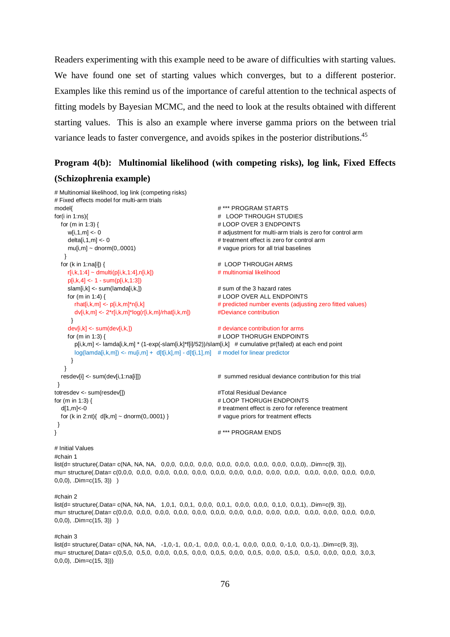Readers experimenting with this example need to be aware of difficulties with starting values. We have found one set of starting values which converges, but to a different posterior. Examples like this remind us of the importance of careful attention to the technical aspects of fitting models by Bayesian MCMC, and the need to look at the results obtained with different starting values. This is also an example where inverse gamma priors on the between trial variance leads to faster convergence, and avoids spikes in the posterior distributions.<sup>45</sup>

## **Program 4(b): Multinomial likelihood (with competing risks), log link, Fixed Effects**

## **(Schizophrenia example)**

```
# Multinomial likelihood, log link (competing risks)
# Fixed effects model for multi-arm trials
model{ # *** PROGRAM STARTS
for(i in 1:ns){ # LOOP THROUGH STUDIES
 for (m in 1:3) { \qquad # LOOP OVER 3 ENDPOINTS
   w[i,1,m] <- 0 \blacksquare = 0 \blacksquare # adjustment for multi-arm trials is zero for control arm
   delta[i,1,m] <- 0 \neq treatment effect is zero for control arm
    mu[i,m] ~ dnorm(0,.0001) # vague priors for all trial baselines
 }
 for (k in 1:na[i]) { \qquad # LOOP THROUGH ARMS
   r[i,k,1:4] ~ dmulti(p[i,k,1:4],n[i,k]) \qquad \qquad \qquad \qquad # multinomial likelihood
   p[i,k,4] < -1 - sum(p[i,k,1:3])slam[i,k] <- sum(lamda[i,k,]) \qquad \qquad \qquad # sum of the 3 hazard rates
   for (m in 1:4) { \# LOOP OVER ALL ENDPOINTS
     rhat[i,k,m] <- p[i,k,m]*n[i,k] \# predicted number events (adjusting zero fitted values)
      dv[i,k,m] <- 2*r[i,k,m]*log(r[i,k,m]/rhat[i,k,m]) #Deviance contribution
     }
   dev[i,k] <- sum(dev[i,k,]) \qquad \qquad \qquad \qquad # deviance contribution for arms
   for (m in 1:3) { \qquad # LOOP THORUGH ENDPOINTS
      p[i,k,m] <- lamda[i,k,m] * (1-exp(-slam[i,k]*f[i]/52))/slam[i,k] # cumulative pr(failed) at each end point
     log(lamda[i,k,m]) \leq muf[i,m] + df[i,k,m] - df[i,1,m] # model for linear predictor
     }
   }
  resdev[i] <- sum(dev[i,1:na[i]]) # summed residual deviance contribution for this trial
 } 
totresdev <- sum(resdev[]) #Total Residual Deviancefor (m in 1:3) { \# LOOP THORUGH ENDPOINTS
  d[1,m]<-0 # treatment effect is zero for reference treatment
 for (k \text{ in } 2\text{ :}nt) \{ d[k,m] \sim \text{dnorm}(0,0001) \} # vague priors for treatment effects
 }
} # *** PROGRAM ENDS
```
#### # Initial Values

```
#chain 1
```
list(d= structure(.Data= c(NA, NA, NA, 0,0,0, 0,0,0, 0,0,0, 0,0,0, 0,0,0, 0,0,0, 0,0,0, 0,0,0), .Dim=c(9, 3)), mu= structure(.Data= c(0,0,0, 0,0,0, 0,0,0, 0,0,0, 0,0,0, 0,0,0, 0,0,0, 0,0,0, 0,0,0, 0,0,0, 0,0,0, 0,0,0, 0,0,0, 0,0,0,  $(0,0,0)$ , .Dim=c $(15, 3)$ ) )

#### #chain 2

 $list(d = structure( .Data = c(NA, NA, NA, 1,0,1, 0,0,1, 0,0,0, 0,0,1, 0,0,0, 0,0,0, 0,1),$  . $Dim=c(9, 3)),$ mu= structure(.Data= c(0,0,0, 0,0,0, 0,0,0, 0,0,0, 0,0,0, 0,0,0, 0,0,0, 0,0,0, 0,0,0, 0,0,0, 0,0,0, 0,0,0, 0,0,0, 0,0,0, 0,0,0, 0,0,0, 0,0,0,  $(0,0,0)$ , .Dim=c(15, 3)) )

#### #chain 3

list(d= structure(.Data= c(NA, NA, NA, -1,0,-1, 0,0,-1, 0,0,0, 0,0,-1, 0,0,0, 0,0,0, 0,-1,0, 0,0,-1), .Dim=c(9, 3)), mu= structure(.Data= c(0,5,0, 0,5,0, 0,0,0, 0,0,5, 0,0,0, 0,0,5, 0,0,0, 0,0,5, 0,0,0, 0,5,0, 0,5,0, 0,0,0, 0,0,0, 3,0,3, 0,0,0), .Dim=c(15, 3)))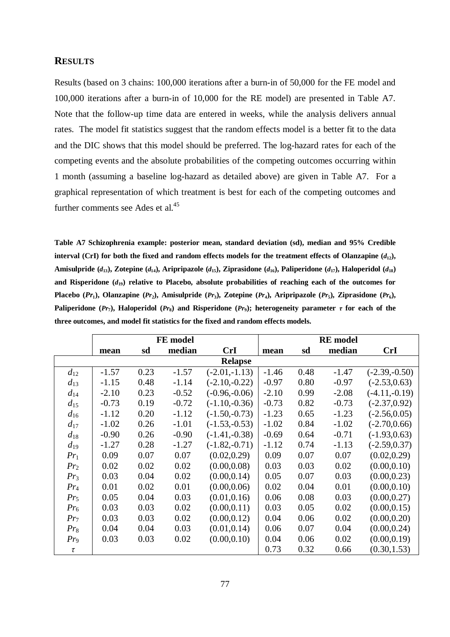### **RESULTS**

Results (based on 3 chains: 100,000 iterations after a burn-in of 50,000 for the FE model and 100,000 iterations after a burn-in of 10,000 for the RE model) are presented in Table A7. Note that the follow-up time data are entered in weeks, while the analysis delivers annual rates. The model fit statistics suggest that the random effects model is a better fit to the data and the DIC shows that this model should be preferred. The log-hazard rates for each of the competing events and the absolute probabilities of the competing outcomes occurring within 1 month (assuming a baseline log-hazard as detailed above) are given in Table A7. For a graphical representation of which treatment is best for each of the competing outcomes and further comments see Ades et al.<sup>45</sup>

**Table A7 Schizophrenia example: posterior mean, standard deviation (sd), median and 95% Credible interval (CrI) for both the fixed and random effects models for the treatment effects of Olanzapine**  $(d_{12})$ **,** Amisulpride  $(d_{13})$ , Zotepine  $(d_{14})$ , Aripripazole  $(d_{15})$ , Ziprasidone  $(d_{16})$ , Paliperidone  $(d_{17})$ , Haloperidol  $(d_{18})$ and Risperidone  $(d_{19})$  relative to Placebo, absolute probabilities of reaching each of the outcomes for Placebo (Pr<sub>1</sub>), Olanzapine (Pr<sub>2</sub>), Amisulpride (Pr<sub>3</sub>), Zotepine (Pr<sub>4</sub>), Aripripazole (Pr<sub>5</sub>), Ziprasidone (Pr<sub>6</sub>), **Paliperidone** ( $Pr_7$ ), Haloperidol ( $Pr_8$ ) and Risperidone ( $Pr_9$ ); heterogeneity parameter  $\tau$  for each of the **three outcomes, and model fit statistics for the fixed and random effects models.**

|          |         |      | FE model |                 | <b>RE</b> model |      |         |                 |  |  |
|----------|---------|------|----------|-----------------|-----------------|------|---------|-----------------|--|--|
|          | mean    | sd   | median   | <b>CrI</b>      | mean            | sd   | median  | <b>CrI</b>      |  |  |
|          |         |      |          | <b>Relapse</b>  |                 |      |         |                 |  |  |
| $d_{12}$ | $-1.57$ | 0.23 | $-1.57$  | $(-2.01,-1.13)$ | $-1.46$         | 0.48 | $-1.47$ | $(-2.39,-0.50)$ |  |  |
| $d_{13}$ | $-1.15$ | 0.48 | $-1.14$  | $(-2.10,-0.22)$ | $-0.97$         | 0.80 | $-0.97$ | $(-2.53, 0.63)$ |  |  |
| $d_{14}$ | $-2.10$ | 0.23 | $-0.52$  | $(-0.96,-0.06)$ | $-2.10$         | 0.99 | $-2.08$ | $(-4.11,-0.19)$ |  |  |
| $d_{15}$ | $-0.73$ | 0.19 | $-0.72$  | $(-1.10,-0.36)$ | $-0.73$         | 0.82 | $-0.73$ | $(-2.37, 0.92)$ |  |  |
| $d_{16}$ | $-1.12$ | 0.20 | $-1.12$  | $(-1.50,-0.73)$ | $-1.23$         | 0.65 | $-1.23$ | $(-2.56, 0.05)$ |  |  |
| $d_{17}$ | $-1.02$ | 0.26 | $-1.01$  | $(-1.53,-0.53)$ | $-1.02$         | 0.84 | $-1.02$ | $(-2.70, 0.66)$ |  |  |
| $d_{18}$ | $-0.90$ | 0.26 | $-0.90$  | $(-1.41,-0.38)$ | $-0.69$         | 0.64 | $-0.71$ | $(-1.93, 0.63)$ |  |  |
| $d_{19}$ | $-1.27$ | 0.28 | $-1.27$  | $(-1.82,-0.71)$ | $-1.12$         | 0.74 | $-1.13$ | $(-2.59, 0.37)$ |  |  |
| $Pr_1$   | 0.09    | 0.07 | 0.07     | (0.02, 0.29)    | 0.09            | 0.07 | 0.07    | (0.02, 0.29)    |  |  |
| $Pr_2$   | 0.02    | 0.02 | 0.02     | (0.00, 0.08)    | 0.03            | 0.03 | 0.02    | (0.00, 0.10)    |  |  |
| $Pr_3$   | 0.03    | 0.04 | 0.02     | (0.00, 0.14)    | 0.05            | 0.07 | 0.03    | (0.00, 0.23)    |  |  |
| $Pr_4$   | 0.01    | 0.02 | 0.01     | (0.00, 0.06)    | 0.02            | 0.04 | 0.01    | (0.00, 0.10)    |  |  |
| $Pr_5$   | 0.05    | 0.04 | 0.03     | (0.01, 0.16)    | 0.06            | 0.08 | 0.03    | (0.00, 0.27)    |  |  |
| $Pr_6$   | 0.03    | 0.03 | 0.02     | (0.00, 0.11)    | 0.03            | 0.05 | 0.02    | (0.00, 0.15)    |  |  |
| $Pr_7$   | 0.03    | 0.03 | 0.02     | (0.00, 0.12)    | 0.04            | 0.06 | 0.02    | (0.00, 0.20)    |  |  |
| $Pr_8$   | 0.04    | 0.04 | 0.03     | (0.01, 0.14)    | 0.06            | 0.07 | 0.04    | (0.00, 0.24)    |  |  |
| $Pr_9$   | 0.03    | 0.03 | 0.02     | (0.00, 0.10)    | 0.04            | 0.06 | 0.02    | (0.00, 0.19)    |  |  |
| τ        |         |      |          |                 | 0.73            | 0.32 | 0.66    | (0.30, 1.53)    |  |  |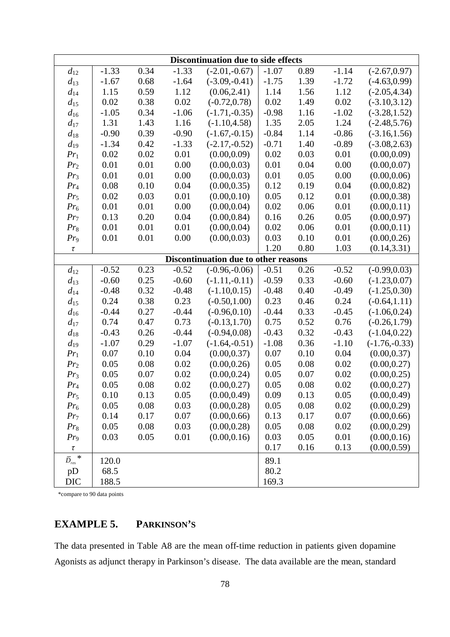| Discontinuation due to side effects |         |      |         |                                      |         |      |         |                 |  |  |  |
|-------------------------------------|---------|------|---------|--------------------------------------|---------|------|---------|-----------------|--|--|--|
| $d_{12}$                            | $-1.33$ | 0.34 | $-1.33$ | $(-2.01,-0.67)$                      | $-1.07$ | 0.89 | $-1.14$ | $(-2.67, 0.97)$ |  |  |  |
| $d_{13}$                            | $-1.67$ | 0.68 | $-1.64$ | $(-3.09,-0.41)$                      | $-1.75$ | 1.39 | $-1.72$ | $(-4.63, 0.99)$ |  |  |  |
| $d_{14}$                            | 1.15    | 0.59 | 1.12    | (0.06, 2.41)                         | 1.14    | 1.56 | 1.12    | $(-2.05, 4.34)$ |  |  |  |
| $d_{15}$                            | 0.02    | 0.38 | 0.02    | $(-0.72, 0.78)$                      | 0.02    | 1.49 | 0.02    | $(-3.10, 3.12)$ |  |  |  |
| $d_{16}$                            | $-1.05$ | 0.34 | $-1.06$ | $(-1.71,-0.35)$                      | $-0.98$ | 1.16 | $-1.02$ | $(-3.28, 1.52)$ |  |  |  |
| $d_{17}$                            | 1.31    | 1.43 | 1.16    | $(-1.10, 4.58)$                      | 1.35    | 2.05 | 1.24    | $(-2.48, 5.76)$ |  |  |  |
| $d_{18}$                            | $-0.90$ | 0.39 | $-0.90$ | $(-1.67,-0.15)$                      | $-0.84$ | 1.14 | $-0.86$ | $(-3.16, 1.56)$ |  |  |  |
| $d_{19}$                            | $-1.34$ | 0.42 | $-1.33$ | $(-2.17,-0.52)$                      | $-0.71$ | 1.40 | $-0.89$ | $(-3.08, 2.63)$ |  |  |  |
| $Pr_1$                              | 0.02    | 0.02 | 0.01    | (0.00, 0.09)                         | 0.02    | 0.03 | 0.01    | (0.00, 0.09)    |  |  |  |
| Pr <sub>2</sub>                     | 0.01    | 0.01 | 0.00    | (0.00, 0.03)                         | 0.01    | 0.04 | 0.00    | (0.00, 0.07)    |  |  |  |
| $Pr_3$                              | 0.01    | 0.01 | 0.00    | (0.00, 0.03)                         | 0.01    | 0.05 | 0.00    | (0.00, 0.06)    |  |  |  |
| $Pr_4$                              | 0.08    | 0.10 | 0.04    | (0.00, 0.35)                         | 0.12    | 0.19 | 0.04    | (0.00, 0.82)    |  |  |  |
| $Pr_5$                              | 0.02    | 0.03 | 0.01    | (0.00, 0.10)                         | 0.05    | 0.12 | 0.01    | (0.00, 0.38)    |  |  |  |
| $Pr_6$                              | 0.01    | 0.01 | 0.00    | (0.00, 0.04)                         | 0.02    | 0.06 | 0.01    | (0.00, 0.11)    |  |  |  |
| Pr <sub>7</sub>                     | 0.13    | 0.20 | 0.04    | (0.00, 0.84)                         | 0.16    | 0.26 | 0.05    | (0.00, 0.97)    |  |  |  |
| $Pr_8$                              | 0.01    | 0.01 | 0.01    | (0.00, 0.04)                         | 0.02    | 0.06 | 0.01    | (0.00, 0.11)    |  |  |  |
| $Pr_9$                              | 0.01    | 0.01 | 0.00    | (0.00, 0.03)                         | 0.03    | 0.10 | 0.01    | (0.00, 0.26)    |  |  |  |
| $\tau$                              |         |      |         |                                      | 1.20    | 0.80 | 1.03    | (0.14, 3.31)    |  |  |  |
|                                     |         |      |         | Discontinuation due to other reasons |         |      |         |                 |  |  |  |
| $d_{12}$                            | $-0.52$ | 0.23 | $-0.52$ | $(-0.96,-0.06)$                      | $-0.51$ | 0.26 | $-0.52$ | $(-0.99, 0.03)$ |  |  |  |
| $d_{13}$                            | $-0.60$ | 0.25 | $-0.60$ | $(-1.11,-0.11)$                      | $-0.59$ | 0.33 | $-0.60$ | $(-1.23, 0.07)$ |  |  |  |
| $d_{14}$                            | $-0.48$ | 0.32 | $-0.48$ | $(-1.10, 0.15)$                      | $-0.48$ | 0.40 | $-0.49$ | $(-1.25, 0.30)$ |  |  |  |
| $d_{15}$                            | 0.24    | 0.38 | 0.23    | $(-0.50, 1.00)$                      | 0.23    | 0.46 | 0.24    | $(-0.64, 1.11)$ |  |  |  |
| $d_{16}$                            | $-0.44$ | 0.27 | $-0.44$ | $(-0.96, 0.10)$                      | $-0.44$ | 0.33 | $-0.45$ | $(-1.06, 0.24)$ |  |  |  |
| $d_{17}$                            | 0.74    | 0.47 | 0.73    | $(-0.13, 1.70)$                      | 0.75    | 0.52 | 0.76    | $(-0.26, 1.79)$ |  |  |  |
| $d_{18}$                            | $-0.43$ | 0.26 | $-0.44$ | $(-0.94, 0.08)$                      | $-0.43$ | 0.32 | $-0.43$ | $(-1.04, 0.22)$ |  |  |  |
| $d_{19}$                            | $-1.07$ | 0.29 | $-1.07$ | $(-1.64,-0.51)$                      | $-1.08$ | 0.36 | $-1.10$ | $(-1.76,-0.33)$ |  |  |  |
| $Pr_1$                              | 0.07    | 0.10 | 0.04    | (0.00, 0.37)                         | 0.07    | 0.10 | 0.04    | (0.00, 0.37)    |  |  |  |
| Pr <sub>2</sub>                     | 0.05    | 0.08 | 0.02    | (0.00, 0.26)                         | 0.05    | 0.08 | 0.02    | (0.00, 0.27)    |  |  |  |
| $Pr_3$                              | 0.05    | 0.07 | 0.02    | (0.00, 0.24)                         | 0.05    | 0.07 | 0.02    | (0.00, 0.25)    |  |  |  |
| $Pr_4$                              | 0.05    | 0.08 | 0.02    | (0.00, 0.27)                         | 0.05    | 0.08 | 0.02    | (0.00, 0.27)    |  |  |  |
| $Pr_5$                              | 0.10    | 0.13 | 0.05    | (0.00, 0.49)                         | 0.09    | 0.13 | 0.05    | (0.00, 0.49)    |  |  |  |
| $Pr_6$                              | 0.05    | 0.08 | 0.03    | (0.00, 0.28)                         | 0.05    | 0.08 | 0.02    | (0.00, 0.29)    |  |  |  |
| Pr <sub>7</sub>                     | 0.14    | 0.17 | 0.07    | (0.00, 0.66)                         | 0.13    | 0.17 | 0.07    | (0.00, 0.66)    |  |  |  |
| $Pr_8$                              | 0.05    | 0.08 | 0.03    | (0.00, 0.28)                         | 0.05    | 0.08 | 0.02    | (0.00, 0.29)    |  |  |  |
| $Pr_9$                              | 0.03    | 0.05 | 0.01    | (0.00, 0.16)                         | 0.03    | 0.05 | 0.01    | (0.00, 0.16)    |  |  |  |
| τ                                   |         |      |         |                                      | 0.17    | 0.16 | 0.13    | (0.00, 0.59)    |  |  |  |
| $\bar{D}_{res}$ *                   | 120.0   |      |         |                                      | 89.1    |      |         |                 |  |  |  |
| pD                                  | 68.5    |      |         |                                      | 80.2    |      |         |                 |  |  |  |
| $\rm DIC$                           | 188.5   |      |         |                                      | 169.3   |      |         |                 |  |  |  |

\*compare to 90 data points

# **EXAMPLE 5. PARKINSON'S**

The data presented in Table A8 are the mean off-time reduction in patients given dopamine Agonists as adjunct therapy in Parkinson's disease. The data available are the mean, standard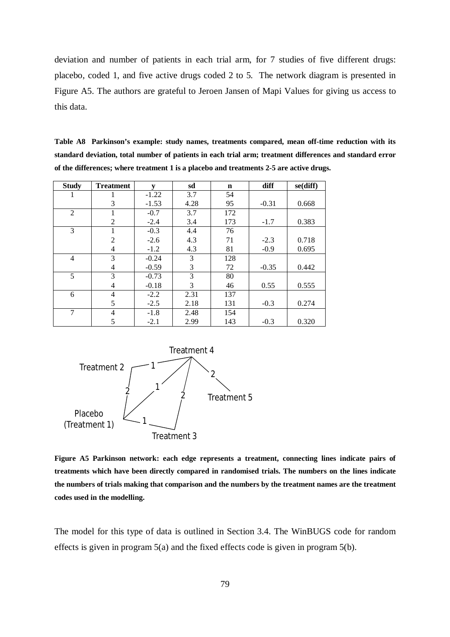deviation and number of patients in each trial arm, for 7 studies of five different drugs: placebo, coded 1, and five active drugs coded 2 to 5. The network diagram is presented in Figure A5. The authors are grateful to Jeroen Jansen of Mapi Values for giving us access to this data.

| Table A8 Parkinson's example: study names, treatments compared, mean off-time reduction with its         |
|----------------------------------------------------------------------------------------------------------|
| standard deviation, total number of patients in each trial arm; treatment differences and standard error |
| of the differences; where treatment 1 is a placebo and treatments 2-5 are active drugs.                  |

| <b>Study</b>   | <b>Treatment</b> | $\mathbf{v}$ | sd   | $\mathbf n$ | diff    | se(diff) |
|----------------|------------------|--------------|------|-------------|---------|----------|
| $\mathbf{I}$   | 1                | $-1.22$      | 3.7  | 54          |         |          |
|                | 3                | $-1.53$      | 4.28 | 95          | $-0.31$ | 0.668    |
| 2              | 1                | $-0.7$       | 3.7  | 172         |         |          |
|                | $\overline{2}$   | $-2.4$       | 3.4  | 173         | $-1.7$  | 0.383    |
| 3              | 1                | $-0.3$       | 4.4  | 76          |         |          |
|                | $\overline{2}$   | $-2.6$       | 4.3  | 71          | $-2.3$  | 0.718    |
|                | $\overline{4}$   | $-1.2$       | 4.3  | 81          | $-0.9$  | 0.695    |
| $\overline{4}$ | 3                | $-0.24$      | 3    | 128         |         |          |
|                | 4                | $-0.59$      | 3    | 72          | $-0.35$ | 0.442    |
| 5              | 3                | $-0.73$      | 3    | 80          |         |          |
|                | 4                | $-0.18$      | 3    | 46          | 0.55    | 0.555    |
| 6              | 4                | $-2.2$       | 2.31 | 137         |         |          |
|                | 5                | $-2.5$       | 2.18 | 131         | $-0.3$  | 0.274    |
| 7              | 4                | $-1.8$       | 2.48 | 154         |         |          |
|                | 5                | $-2.1$       | 2.99 | 143         | $-0.3$  | 0.320    |



**Figure A5 Parkinson network: each edge represents a treatment, connecting lines indicate pairs of treatments which have been directly compared in randomised trials. The numbers on the lines indicate the numbers of trials making that comparison and the numbers by the treatment names are the treatment codes used in the modelling.**

The model for this type of data is outlined in Section 3.4. The WinBUGS code for random effects is given in program 5(a) and the fixed effects code is given in program 5(b).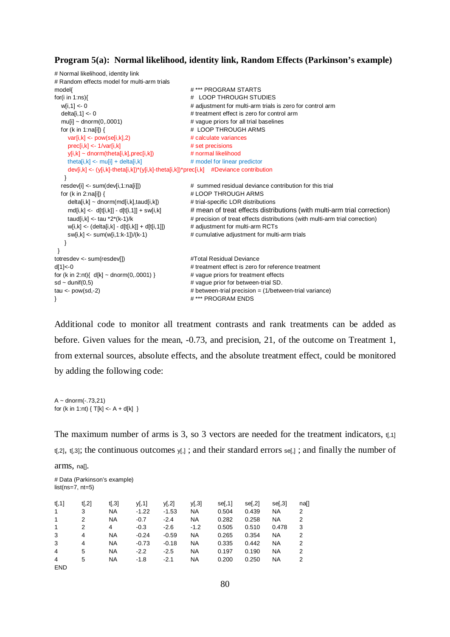#### **Program 5(a): Normal likelihood, identity link, Random Effects (Parkinson's example)**

```
# Normal likelihood, identity link
# Random effects model for multi-arm trials
model{ # *** PROGRAM STARTS
for(i in 1:ns){ # LOOP THROUGH STUDIES
 w[i,1] <- 0 \blacksquare + adjustment for multi-arm trials is zero for control arm
 deltali.11 <- 0 \neq treatment effect is zero for control arm
 mu[i] \sim dnorm(0,.0001) \qquad # vaque priors for all trial baselines
 for (k in 1:na[i]) { \qquad # LOOP THROUGH ARMS
    var[i, k] \leq pow(self, k], 2) # calculate variancesprec[i,k] \leq -1/var[i,k] # set precisions
    y[i,k] ~ dnorm(theta[i,k],prec[i,k]) # normal likelihood
    theta[i,k] \leftarrow mu[i] + delta[i,k] # model for linear predictor
     dev[i,k] <- (y[i,k]-theta[i,k])*(y[i,k]-theta[i,k])*prec[i,k] #Deviance contribution
   }
  resdev[i] <- sum(dev[i,1:na[i]]) # summed residual deviance contribution for this trial
 for (k in 2:na[i]) { \qquad # LOOP THROUGH ARMS
    delta[i,k] ~ dnorm(md[i,k],taud[i,k]) # trial-specific LOR distributions
     md[i,k] <- d[t[i,k]] - d[t[i,1]] + sw[i,k] # mean of treat effects distributions (with multi-arm trial correction)
    taud[i,k] <- tau *2*(k-1)/k \qquad \qquad \qquad \qquad \qquad # precision of treat effects distributions (with multi-arm trial correction)
    w[i,k] \leftarrow (delta[i,k] - d[t[i,k]] + d[t[i,1]]) # adjustment for multi-arm RCTs
    sw[i,k] <- sum(w[i,1:k-1])/(k-1) # cumulative adjustment for multi-arm trials
   }
 } 
totresdev <- sum(resdev[]) #Total Residual Devianced[1]<-0 # treatment effect is zero for reference treatment
for (k in 2:nt){ d[k] \sim \text{dnorm}(0,0001) } \qquad \qquad # vague priors for treatment effects
sd \sim dunif(0.5) \qquad \qquad \qquad \qquad \qquad vague prior for between-trial SD.
tau <- pow(sd,-2) # between-trial precision = (1/between-trial variance)
} # *** PROGRAM ENDS
```
Additional code to monitor all treatment contrasts and rank treatments can be added as before. Given values for the mean, -0.73, and precision, 21, of the outcome on Treatment 1, from external sources, absolute effects, and the absolute treatment effect, could be monitored by adding the following code:

```
A \sim dnorm(-0.73,21)
for (k in 1:nt) \{T[k] < A + d[k]\}
```
The maximum number of arms is 3, so 3 vectors are needed for the treatment indicators,  $t<sub>1</sub>1$  $t[2]$ ,  $t[3]$ ; the continuous outcomes  $y_{i,j}$ ; and their standard errors se[,]; and finally the number of

arms, na[].

# Data (Parkinson's example)  $list(ns=7, nt=5)$ 

| t <sub>1</sub> , 1 <sub>1</sub><br>$\mathbf 1$ | t[,2]<br>3 | t <sub>1</sub> ,3 <sub>1</sub><br><b>NA</b> | V <sub>1</sub> 11<br>$-1.22$ | y[,2]<br>$-1.53$ | y[,3]<br><b>NA</b> | se[,1]<br>0.504 | $se$ [,2]<br>0.439 | sel,31<br><b>NA</b> | naf]<br>2 |
|------------------------------------------------|------------|---------------------------------------------|------------------------------|------------------|--------------------|-----------------|--------------------|---------------------|-----------|
|                                                |            |                                             |                              |                  |                    |                 |                    |                     |           |
| 1                                              | 2          | <b>NA</b>                                   | $-0.7$                       | $-2.4$           | <b>NA</b>          | 0.282           | 0.258              | <b>NA</b>           | 2         |
| 1                                              | 2          | 4                                           | $-0.3$                       | $-2.6$           | $-1.2$             | 0.505           | 0.510              | 0.478               | 3         |
| 3                                              | 4          | NA                                          | $-0.24$                      | $-0.59$          | <b>NA</b>          | 0.265           | 0.354              | NA                  | 2         |
| 3                                              | 4          | <b>NA</b>                                   | $-0.73$                      | $-0.18$          | <b>NA</b>          | 0.335           | 0.442              | <b>NA</b>           | 2         |
| $\overline{4}$                                 | 5          | <b>NA</b>                                   | $-2.2$                       | $-2.5$           | <b>NA</b>          | 0.197           | 0.190              | <b>NA</b>           | 2         |
| 4                                              | 5          | <b>NA</b>                                   | $-1.8$                       | $-2.1$           | NA                 | 0.200           | 0.250              | NA                  | 2         |
| <b>END</b>                                     |            |                                             |                              |                  |                    |                 |                    |                     |           |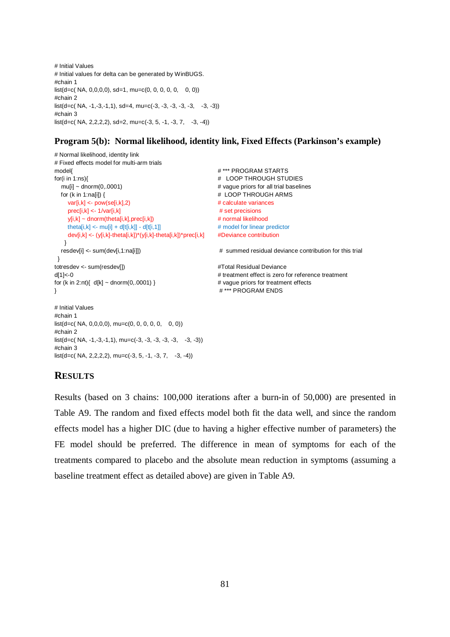```
# Initial Values 
# Initial values for delta can be generated by WinBUGS.
#chain 1
list(d=c(NA, 0.0.0.0), sd=1, mu=c(0, 0, 0, 0, 0, 0, 0))#chain 2
list(d=c(NA, -1,-3,-1,1), sd=4, mu=c(-3, -3, -3, -3, -3, -3, -3))#chain 3
list(d=c(NA, 2, 2, 2, 2), sd=2, mu=c(-3, 5, -1, -3, 7, -3, -4))
```
## **Program 5(b): Normal likelihood, identity link, Fixed Effects (Parkinson's example)**

```
# Normal likelihood, identity link
# Fixed effects model for multi-arm trials
model{ # *** PROGRAM STARTS
for(i in 1:ns){ # LOOP THROUGH STUDIES
 mu[i] \sim \text{dnorm}(0,0001) \# \text{ vague priors for all trial baselines}for (k in 1:na[i]) { \qquad # LOOP THROUGH ARMS
    var[i,k] <- pow(se[i,k],2) # calculate variances
   prec[i,k] <- 1/var[i,k] # set precisions
    y[i,k] ~ dnorm(theta[i,k],prec[i,k]) # normal likelihood
    theta[i,k] <- mu[i] + d[t[i,k]] - d[t[i,1]] # model for linear predictor
    dev[i,k] <- (y[i,k]-theta[i,k])*(y[i,k]-theta[i,k])*prec[i,k] #Deviance contribution
   }
 resdev[i] <- sum(dev[i,1:na[i]]) \qquad \qquad \qquad \qquad summed residual deviance contribution for this trial
 } 
totresdev <- sum(resdev[]) \qquad #Total Residual Deviance
d[1]<-0 # treatment effect is zero for reference treatment
for (k \text{ in } 2:nt) \{ d[k] \sim \text{dnorm}(0, 0.001) \} # vague priors for treatment effects
} # *** PROGRAM ENDS 
# Initial Values 
#chain 1
list(d=c(NA, 0,0,0,0), mu=c(0, 0, 0, 0, 0, 0))#chain 2
list(d=c(NA, -1, -3, -1, 1), mu=c(-3, -3, -3, -3, -3, -3))#chain 3
```
### **RESULTS**

 $list(d=c(NA, 2, 2, 2, 2), mu=c(-3, 5, -1, -3, 7, -3, -4))$ 

Results (based on 3 chains: 100,000 iterations after a burn-in of 50,000) are presented in Table A9. The random and fixed effects model both fit the data well, and since the random effects model has a higher DIC (due to having a higher effective number of parameters) the FE model should be preferred. The difference in mean of symptoms for each of the treatments compared to placebo and the absolute mean reduction in symptoms (assuming a baseline treatment effect as detailed above) are given in Table A9.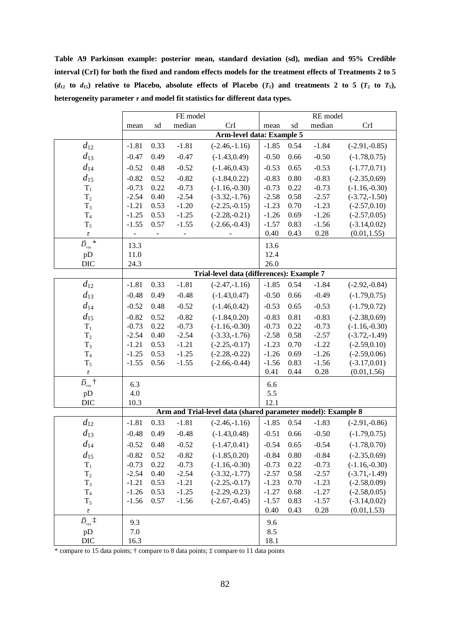**Table A9 Parkinson example: posterior mean, standard deviation (sd), median and 95% Credible interval (CrI) for both the fixed and random effects models for the treatment effects of Treatments 2 to 5**   $(d_{12}$  **to**  $d_{15}$ ) relative to Placebo, absolute effects of Placebo  $(T_1)$  and treatments 2 to 5  $(T_2$  to  $T_5)$ , **heterogeneity parameter** *τ* **and model fit statistics for different data types.**

|                                   |                |                              | FE model |                                                              |         |      | RE model |                 |
|-----------------------------------|----------------|------------------------------|----------|--------------------------------------------------------------|---------|------|----------|-----------------|
|                                   | mean           | sd                           | median   | CrI                                                          | mean    | sd   | median   | CrI             |
|                                   |                |                              |          | <b>Arm-level data: Example 5</b>                             |         |      |          |                 |
| $d_{12}$                          | $-1.81$        | 0.33                         | $-1.81$  | $(-2.46,-1.16)$                                              | $-1.85$ | 0.54 | $-1.84$  | $(-2.91,-0.85)$ |
| $d_{13}$                          | $-0.47$        | 0.49                         | $-0.47$  | $(-1.43, 0.49)$                                              | $-0.50$ | 0.66 | $-0.50$  | $(-1.78, 0.75)$ |
| $d_{14}$                          | $-0.52$        | 0.48                         | $-0.52$  | $(-1.46, 0.43)$                                              | $-0.53$ | 0.65 | $-0.53$  | $(-1.77, 0.71)$ |
| $d_{15}$                          | $-0.82$        | 0.52                         | $-0.82$  | $(-1.84, 0.22)$                                              | $-0.83$ | 0.80 | $-0.83$  | $(-2.35, 0.69)$ |
| $\rm T_1$                         | $-0.73$        | 0.22                         | $-0.73$  | $(-1.16,-0.30)$                                              | $-0.73$ | 0.22 | $-0.73$  | $(-1.16,-0.30)$ |
| $T_2$                             | $-2.54$        | 0.40                         | $-2.54$  | $(-3.32,-1.76)$                                              | $-2.58$ | 0.58 | $-2.57$  | $(-3.72,-1.50)$ |
| $T_3$                             | $-1.21$        | 0.53                         | $-1.20$  | $(-2.25,-0.15)$                                              | $-1.23$ | 0.70 | $-1.23$  | $(-2.57, 0.10)$ |
| $\rm T_4$                         | $-1.25$        | 0.53                         | $-1.25$  | $(-2.28,-0.21)$                                              | $-1.26$ | 0.69 | $-1.26$  | $(-2.57, 0.05)$ |
| $T_5$                             | $-1.55$        | 0.57                         | $-1.55$  | $(-2.66,-0.43)$                                              | $-1.57$ | 0.83 | $-1.56$  | $(-3.14, 0.02)$ |
| $\tau$                            | $\blacksquare$ | $\qquad \qquad \blacksquare$ |          |                                                              | 0.40    | 0.43 | 0.28     | (0.01, 1.55)    |
| $\bar{D}_{res}$ *                 | 13.3           |                              |          |                                                              | 13.6    |      |          |                 |
| pD                                | 11.0           |                              |          |                                                              | 12.4    |      |          |                 |
| <b>DIC</b>                        | 24.3           |                              |          |                                                              | 26.0    |      |          |                 |
|                                   |                |                              |          | Trial-level data (differences): Example 7                    |         |      |          |                 |
| $d_{12}$                          | $-1.81$        | 0.33                         | $-1.81$  | $(-2.47,-1.16)$                                              | $-1.85$ | 0.54 | $-1.84$  | $(-2.92,-0.84)$ |
| $d_{13}$                          | $-0.48$        | 0.49                         | $-0.48$  | $(-1.43, 0.47)$                                              | $-0.50$ | 0.66 | $-0.49$  | $(-1.79, 0.75)$ |
| $d_{14}$                          | $-0.52$        | 0.48                         | $-0.52$  | $(-1.46, 0.42)$                                              | $-0.53$ | 0.65 | $-0.53$  | $(-1.79, 0.72)$ |
| $d_{15}$                          | $-0.82$        | 0.52                         | $-0.82$  | $(-1.84, 0.20)$                                              | $-0.83$ | 0.81 | $-0.83$  | $(-2.38, 0.69)$ |
| $\mathbf{T}_1$                    | $-0.73$        | 0.22                         | $-0.73$  | $(-1.16,-0.30)$                                              | $-0.73$ | 0.22 | $-0.73$  | $(-1.16,-0.30)$ |
| $\rm T_2$                         | $-2.54$        | 0.40                         | $-2.54$  | $(-3.33,-1.76)$                                              | $-2.58$ | 0.58 | $-2.57$  | $(-3.72,-1.49)$ |
| $T_3$                             | $-1.21$        | 0.53                         | $-1.21$  | $(-2.25,-0.17)$                                              | $-1.23$ | 0.70 | $-1.22$  | $(-2.59, 0.10)$ |
| $\rm T_4$                         | $-1.25$        | 0.53                         | $-1.25$  | $(-2.28,-0.22)$                                              | $-1.26$ | 0.69 | $-1.26$  | $(-2.59, 0.06)$ |
| $T_5$                             | $-1.55$        | 0.56                         | $-1.55$  | $(-2.66,-0.44)$                                              | $-1.56$ | 0.83 | $-1.56$  | $(-3.17, 0.01)$ |
| $\tau$                            |                |                              |          |                                                              | 0.41    | 0.44 | 0.28     | (0.01, 1.56)    |
| $\bar{D}_{\textrm{\tiny{res}}}$ † | 6.3            |                              |          |                                                              | 6.6     |      |          |                 |
| pD                                | 4.0            |                              |          |                                                              | 5.5     |      |          |                 |
| <b>DIC</b>                        | 10.3           |                              |          |                                                              | 12.1    |      |          |                 |
|                                   |                |                              |          | Arm and Trial-level data (shared parameter model): Example 8 |         |      |          |                 |
| $d_{12}$                          | $-1.81$        | 0.33                         | $-1.81$  | $(-2.46,-1.16)$                                              | $-1.85$ | 0.54 | $-1.83$  | $(-2.91,-0.86)$ |
| $d_{13}$                          | $-0.48$        | 0.49                         | $-0.48$  | $(-1.43, 0.48)$                                              | $-0.51$ | 0.66 | $-0.50$  | $(-1.79, 0.75)$ |
| $d_{14}$                          | $-0.52$        | 0.48                         | $-0.52$  | $(-1.47, 0.41)$                                              | $-0.54$ | 0.65 | $-0.54$  | $(-1.78, 0.70)$ |
| $d_{15}$                          | $-0.82$        | 0.52                         | $-0.82$  | $(-1.85, 0.20)$                                              | $-0.84$ | 0.80 | $-0.84$  | $(-2.35, 0.69)$ |
| $\rm T_1$                         | $-0.73$        | 0.22                         | $-0.73$  | $(-1.16,-0.30)$                                              | $-0.73$ | 0.22 | $-0.73$  | $(-1.16,-0.30)$ |
| $T_2$                             | $-2.54$        | 0.40                         | $-2.54$  | $(-3.32,-1.77)$                                              | $-2.57$ | 0.58 | $-2.57$  | $(-3.71,-1.49)$ |
| $T_3$                             | $-1.21$        | 0.53                         | $-1.21$  | $(-2.25,-0.17)$                                              | $-1.23$ | 0.70 | $-1.23$  | $(-2.58, 0.09)$ |
| T <sub>4</sub>                    | $-1.26$        | 0.53                         | $-1.25$  | $(-2.29,-0.23)$                                              | $-1.27$ | 0.68 | $-1.27$  | $(-2.58, 0.05)$ |
| $T_5$                             | $-1.56$        | 0.57                         | $-1.56$  | $(-2.67,-0.45)$                                              | $-1.57$ | 0.83 | $-1.57$  | $(-3.14, 0.02)$ |
| $\tau$                            |                |                              |          |                                                              | 0.40    | 0.43 | 0.28     | (0.01, 1.53)    |
| $\bar{D}_{\textrm{\tiny{res}}}$ ‡ | 9.3            |                              |          |                                                              | 9.6     |      |          |                 |
| pD                                | 7.0            |                              |          |                                                              | 8.5     |      |          |                 |
| <b>DIC</b>                        | 16.3           |                              |          |                                                              | 18.1    |      |          |                 |

\* compare to 15 data points; † compare to 8 data points; ‡ compare to 11 data points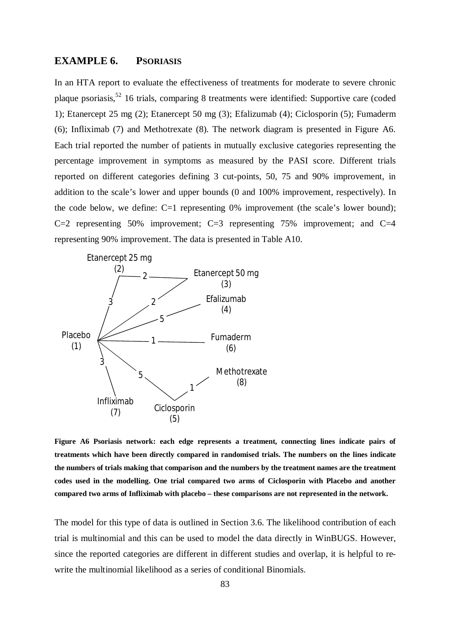## **EXAMPLE 6. PSORIASIS**

In an HTA report to evaluate the effectiveness of treatments for moderate to severe chronic plaque psoriasis,<sup>52</sup> 16 trials, comparing 8 treatments were identified: Supportive care (coded 1); Etanercept 25 mg (2); Etanercept 50 mg (3); Efalizumab (4); Ciclosporin (5); Fumaderm (6); Infliximab (7) and Methotrexate (8). The network diagram is presented in Figure A6. Each trial reported the number of patients in mutually exclusive categories representing the percentage improvement in symptoms as measured by the PASI score. Different trials reported on different categories defining 3 cut-points, 50, 75 and 90% improvement, in addition to the scale's lower and upper bounds (0 and 100% improvement, respectively). In the code below, we define: C=1 representing 0% improvement (the scale's lower bound); C=2 representing 50% improvement; C=3 representing 75% improvement; and C=4 representing 90% improvement. The data is presented in Table A10.



**Figure A6 Psoriasis network: each edge represents a treatment, connecting lines indicate pairs of treatments which have been directly compared in randomised trials. The numbers on the lines indicate the numbers of trials making that comparison and the numbers by the treatment names are the treatment codes used in the modelling. One trial compared two arms of Ciclosporin with Placebo and another compared two arms of Infliximab with placebo – these comparisons are not represented in the network.**

The model for this type of data is outlined in Section 3.6. The likelihood contribution of each trial is multinomial and this can be used to model the data directly in WinBUGS. However, since the reported categories are different in different studies and overlap, it is helpful to rewrite the multinomial likelihood as a series of conditional Binomials.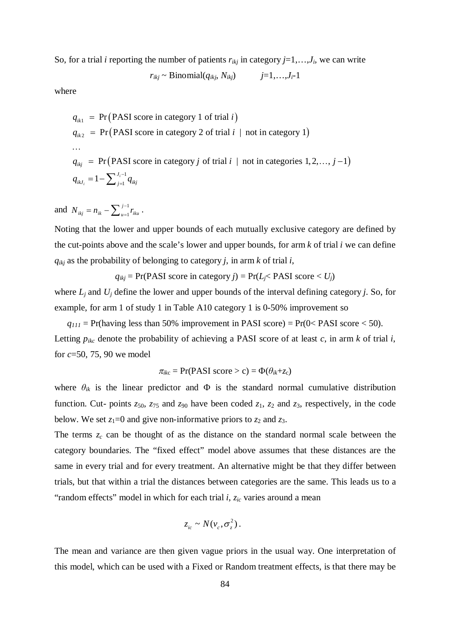So, for a trial *i* reporting the number of patients  $r_{ikj}$  in category  $j=1,\ldots,J_i$ , we can write

$$
r_{ikj}
$$
 ~ Binomial( $q_{ikj}$ ,  $N_{ikj}$ )  $j=1,...,J_i-1$ 

where

$$
q_{ik1} = \Pr(PASI score in category 1 of trial i)
$$
  
\n
$$
q_{ik2} = \Pr(PASI score in category 2 of trial i | not in category 1)
$$
  
\n...  
\n
$$
q_{ikj} = \Pr(PASI score in category j of trial i | not in categories 1, 2,..., j-1)
$$
  
\n
$$
q_{ikJ_i} = 1 - \sum_{j=1}^{J_i-1} q_{ikj}
$$

and  $N_{ikj} = n_{ik} - \sum_{u=1}^{j-1}$ *j*  $N_{ikj} = n_{ik} - \sum_{u=1}^{j-1} r_{iku}$ .

Noting that the lower and upper bounds of each mutually exclusive category are defined by the cut-points above and the scale's lower and upper bounds, for arm *k* of trial *i* we can define  $q_{ikj}$  as the probability of belonging to category *j*, in arm *k* of trial *i*,

$$
q_{ikj}
$$
 = Pr(PASI score in category *j*) = Pr( $L_j$  $<$  PASI score  $<$   $U_j$ )

where  $L_i$  and  $U_i$  define the lower and upper bounds of the interval defining category *j*. So, for example, for arm 1 of study 1 in Table A10 category 1 is 0-50% improvement so

 $q_{111}$  = Pr(having less than 50% improvement in PASI score) = Pr(0< PASI score < 50). Letting  $p_{ikc}$  denote the probability of achieving a PASI score of at least *c*, in arm *k* of trial *i*, for *c*=50, 75, 90 we model

$$
\pi_{ikc} = \Pr(\text{PASI score} > c) = \Phi(\theta_{ik} + z_c)
$$

where  $\theta_{ik}$  is the linear predictor and  $\Phi$  is the standard normal cumulative distribution function. Cut- points  $z_{50}$ ,  $z_{75}$  and  $z_{90}$  have been coded  $z_1$ ,  $z_2$  and  $z_3$ , respectively, in the code below. We set  $z_1=0$  and give non-informative priors to  $z_2$  and  $z_3$ .

The terms *z<sup>c</sup>* can be thought of as the distance on the standard normal scale between the category boundaries. The "fixed effect" model above assumes that these distances are the same in every trial and for every treatment. An alternative might be that they differ between trials, but that within a trial the distances between categories are the same. This leads us to a "random effects" model in which for each trial *i*, *zic* varies around a mean

$$
z_{ic} \sim N(\nu_c, \sigma_z^2).
$$

The mean and variance are then given vague priors in the usual way. One interpretation of this model, which can be used with a Fixed or Random treatment effects, is that there may be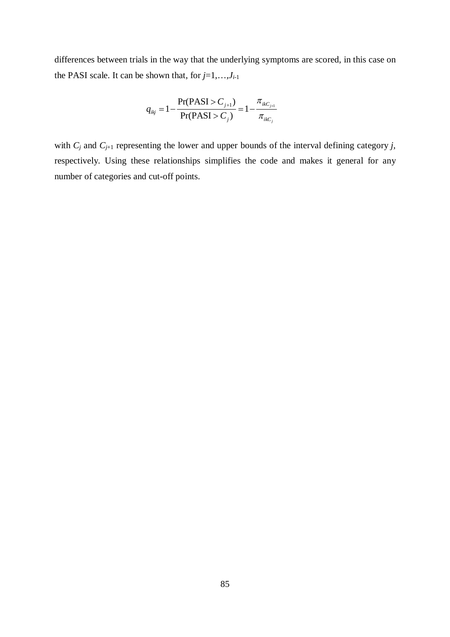differences between trials in the way that the underlying symptoms are scored, in this case on the PASI scale. It can be shown that, for *j*=1,…,*J<sup>i</sup>*-1

$$
q_{ikj} = 1 - \frac{\Pr(\text{PASI} > C_{j+1})}{\Pr(\text{PASI} > C_j)} = 1 - \frac{\pi_{ikC_{j+1}}}{\pi_{ikC_j}}
$$

with  $C_j$  and  $C_{j+1}$  representing the lower and upper bounds of the interval defining category *j*, respectively. Using these relationships simplifies the code and makes it general for any number of categories and cut-off points.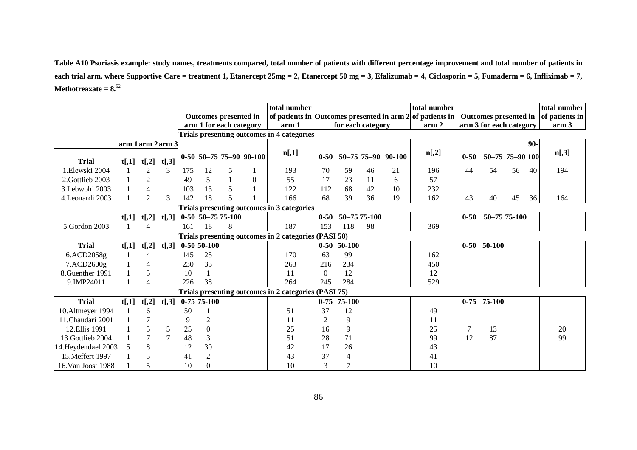**Table A10 Psoriasis example: study names, treatments compared, total number of patients with different percentage improvement and total number of patients in each trial arm, where Supportive Care = treatment 1, Etanercept 25mg = 2, Etanercept 50 mg = 3, Efalizumab = 4, Ciclosporin = 5, Fumaderm = 6, Infliximab = 7, Methotreaxate = 8.**<sup>52</sup>

| arm 1 arm 2 arm 3                                    |       |                |                | Outcomes presented in<br>arm 1 for each category<br><b>Trials presenting outcomes in 4 categories</b> |                |   | total number<br>arm 1     | of patients in Outcomes presented in arm $2$ of patients in<br>for each category |                |                | total number<br>arm <sub>2</sub> | Outcomes presented in<br>arm 3 for each category |          |              | total number<br>of patients in<br>arm <sub>3</sub> |    |     |       |
|------------------------------------------------------|-------|----------------|----------------|-------------------------------------------------------------------------------------------------------|----------------|---|---------------------------|----------------------------------------------------------------------------------|----------------|----------------|----------------------------------|--------------------------------------------------|----------|--------------|----------------------------------------------------|----|-----|-------|
|                                                      |       |                |                |                                                                                                       |                |   |                           |                                                                                  |                |                |                                  |                                                  |          |              |                                                    |    | 90- |       |
| <b>Trial</b>                                         | t[,1] | t[,2]          | $t[$ ,3]       |                                                                                                       |                |   | $0-50$ 50-75 75-90 90-100 | n[,1]                                                                            | $0 - 50$       |                |                                  | 50-75 75-90 90-100                               | n[,2]    | $0 - 50$     | 50-75 75-90 100                                    |    |     | n[,3] |
| 1.Elewski 2004                                       |       | $\overline{2}$ | 3              | 175                                                                                                   | 12             | 5 |                           | 193                                                                              | 70             | 59             | 46                               | 21                                               | 196      | 44           | 54                                                 | 56 | 40  | 194   |
| 2. Gottlieb 2003                                     |       | $\overline{2}$ |                | 49                                                                                                    | 5              |   | $\Omega$                  | 55                                                                               | 17             | 23             | 11                               | 6                                                | 57       |              |                                                    |    |     |       |
| 3. Lebwohl 2003                                      |       | $\overline{4}$ |                | 103                                                                                                   | 13             | 5 |                           | 122                                                                              | 112            | 68             | 42                               | 10                                               | 232      |              |                                                    |    |     |       |
| 4. Leonardi 2003                                     |       | $\overline{2}$ | 3              | 142                                                                                                   | 18             | 5 |                           | 166                                                                              | 68             | 39             | 36                               | 19                                               | 162      | 43           | 40                                                 | 45 | 36  | 164   |
|                                                      |       |                |                |                                                                                                       |                |   |                           | Trials presenting outcomes in 3 categories                                       |                |                |                                  |                                                  |          |              |                                                    |    |     |       |
| $0-50$ 50-75 75-100<br>$t[$ ,2]<br>$t[$ ,3]<br>t[,1] |       |                |                |                                                                                                       |                |   |                           | $0 - 50$                                                                         |                | 50-75 75-100   |                                  |                                                  | $0 - 50$ | 50-75 75-100 |                                                    |    |     |       |
| 5.Gordon 2003                                        |       | $\overline{4}$ |                | 161                                                                                                   | 18             | 8 |                           | 187                                                                              | 153            | 118            | 98                               |                                                  | 369      |              |                                                    |    |     |       |
|                                                      |       |                |                |                                                                                                       |                |   |                           | Trials presenting outcomes in 2 categories (PASI 50)                             |                |                |                                  |                                                  |          |              |                                                    |    |     |       |
| <b>Trial</b>                                         | t[,1] | t[,2]          | $t[$ ,3]       |                                                                                                       | $0-5050-100$   |   |                           |                                                                                  |                | $0-50$ 50-100  |                                  |                                                  |          |              | $0-50$ 50-100                                      |    |     |       |
| 6.ACD2058g                                           |       | $\overline{4}$ |                | 145                                                                                                   | 25             |   |                           | 170                                                                              | 63             | 99             |                                  |                                                  | 162      |              |                                                    |    |     |       |
| 7.ACD2600g                                           |       | 4              |                | 230                                                                                                   | 33             |   |                           | 263                                                                              | 216            | 234            |                                  |                                                  | 450      |              |                                                    |    |     |       |
| 8. Guenther 1991                                     |       | 5              |                | 10                                                                                                    |                |   |                           | 11                                                                               | $\overline{0}$ | 12             |                                  |                                                  | 12       |              |                                                    |    |     |       |
| 9.IMP24011                                           |       | $\overline{4}$ |                | 226                                                                                                   | 38             |   |                           | 264                                                                              | 245            | 284            |                                  |                                                  | 529      |              |                                                    |    |     |       |
|                                                      |       |                |                |                                                                                                       |                |   |                           | Trials presenting outcomes in 2 categories (PASI 75)                             |                |                |                                  |                                                  |          |              |                                                    |    |     |       |
| <b>Trial</b>                                         | t[,1] | t[,2]          | $t[$ ,3]       |                                                                                                       | $0-7575-100$   |   |                           |                                                                                  |                | $0-75$ 75-100  |                                  |                                                  |          |              | $0-75$ 75-100                                      |    |     |       |
| 10. Altmeyer 1994                                    |       | 6              |                | 50                                                                                                    |                |   |                           | 51                                                                               | 37             | 12             |                                  |                                                  | 49       |              |                                                    |    |     |       |
| 11. Chaudari 2001                                    |       |                |                | 9                                                                                                     | $\overline{c}$ |   |                           | 11                                                                               | $\overline{2}$ | 9              |                                  |                                                  | 11       |              |                                                    |    |     |       |
| 12.Ellis 1991                                        |       | 5              | 5              | 25                                                                                                    | $\overline{0}$ |   |                           | 25                                                                               | 16             | 9              |                                  |                                                  | 25       | 7            | 13                                                 |    |     | 20    |
| 13. Gottlieb 2004                                    |       | $\overline{7}$ | $\overline{7}$ | 48                                                                                                    | 3              |   |                           | 51                                                                               | 28             | 71             |                                  |                                                  | 99       | 12           | 87                                                 |    |     | 99    |
| 14. Heydendael 2003                                  |       | 8              |                | 12                                                                                                    | 30             |   |                           | 42                                                                               | 17             | 26             |                                  |                                                  | 43       |              |                                                    |    |     |       |
| 15. Meffert 1997                                     |       | 5              |                | 41                                                                                                    | $\overline{c}$ |   |                           | 43                                                                               | 37             | $\overline{4}$ |                                  |                                                  | 41       |              |                                                    |    |     |       |
| 16. Van Joost 1988                                   |       | 5              |                | 10                                                                                                    | $\theta$       |   |                           | 10                                                                               | 3              | 7              |                                  |                                                  | 10       |              |                                                    |    |     |       |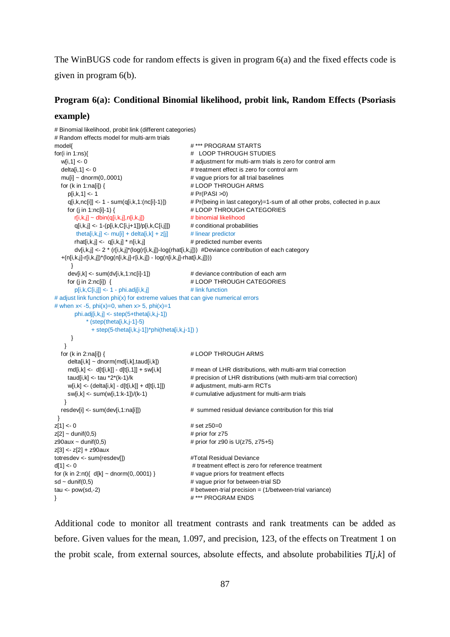The WinBUGS code for random effects is given in program 6(a) and the fixed effects code is given in program 6(b).

#### **Program 6(a): Conditional Binomial likelihood, probit link, Random Effects (Psoriasis**

#### **example)**

```
# Binomial likelihood, probit link (different categories)
# Random effects model for multi-arm trials
model{ # *** PROGRAM STARTS
for(i in 1:ns){ \# LOOP THROUGH STUDIES
  w[i,1] <- 0 \blacksquare \blacksquare # adjustment for multi-arm trials is zero for control arm
  delta[i,1] <- 0 \qquad \qquad \qquad # treatment effect is zero for control arm
  mu[i] \sim \text{donom}(0,0001) # vague priors for all trial baselines
  for (k in 1:na[i]) { \qquad # LOOP THROUGH ARMS
    p[i,k,1] < -1 \qquad \qquad \qquad \# Pr(PASI > 0) q[i,k,nc[i]] <- 1 - sum(q[i,k,1:(nc[i]-1)]) # Pr(being in last category)=1-sum of all other probs, collected in p.aux
     for (j in 1:nc[i]-1) { # LOOP THROUGH CATEGORIES
      r[i,k,j] \sim \text{dbin}(q[i,k,j],n[i,k,j]) # binomial likelihood
       q[i,k,j] <- 1-(p[i,k,C[i,j+1]]/p[i,k,C[i,j]]) # conditional probabilities
       theta[i,k,j] <- mu[i] + delta[i,k] + z[j] \qquad # linear predictor
      rhat[i,k,j] <- q[i,k,j] * n[i,k,j] \qquad \qquad \qquad # predicted number events
       dv[i,k,j] <- 2 * (r[i,k,j]*(log(r[i,k,j])-log(rhat[i,k,j])) #Deviance contribution of each category
   +(n[i,k,j]-r[i,k,j])*(log(n[i,k,j]-r[i,k,j]) - log(n[i,k,j]-rhat[i,k,j])))
      }
    dev[i,k] <- sum(dv[i,k,1:nc[i]-1]) \qquad \qquad \# deviance contribution of each arm
    for (j in 2:nc[i]) { \# LOOP THROUGH CATEGORIES
      p[i,k,C[i,j]] \leq 1 - \text{phi}.adj[i,k,j] # link function
# adjust link function phi(x) for extreme values that can give numerical errors
# when x < -5, phi(x)=0, when x > 5, phi(x)=1phi. adj[i,k,j] < -step(5+theta[i,k,j-1])* (step(theta[i,k,j-1]-5)
             + step(5-theta[i,k,j-1])*phi(theta[i,k,j-1]) )
      }
    }
  for (k in 2:na[i]) { \qquad # LOOP THROUGH ARMS
     delta[i,k] ~ dnorm(md[i,k],taud[i,k])
    md[i,k] <- d[t[i,k]] - d[t[i,1]] + sw[i,k] \qquad # mean of LHR distributions, with multi-arm trial correction
    taud[i,k] <- tau *2*(k-1)/k \qquad \qquad \qquad \qquad # precision of LHR distributions (with multi-arm trial correction)
    w[i,k] \leftarrow (delta[i,k] - d[t[i,k]) + d[t[i,1]]) # adjustment, multi-arm RCTs
    sw[i,k] \leq sum(w[i,1:k-1])/(k-1) # cumulative adjustment for multi-arm trials
    }
 resdev[i] <- sum(dev[i,1:na[i]]) \qquad # summed residual deviance contribution for this trial
 } 
z[1] < -0 # set z[50=0z[2] \sim dunif(0,5) \qquad # prior for z75
z90aux ~ dunif(0,5) \qquad \qquad \qquad \qquad \qquad \qquad \qquad \qquad \qquad \qquad \qquad \qquad \qquad \qquad \qquad \qquad \qquad \qquad \qquad \qquad \qquad \qquad \qquad \qquad \qquad \qquad \qquad \qquad \qquad \qquad \qquad \qquad \qquad z[3] <- z[2] + z90aux
totresdev <- sum(resdev[]) #Total Residual Devianced[1] <- 0 # treatment effect is zero for reference treatment
for (k in 2:nt)\{ d[k] \sim \text{dnorm}(0, 0001) \} # vague priors for treatment effects
sd \sim dunif(0,5) \qquad \qquad # vague prior for between-trial SD
tau <- pow(sd,-2) \qquad \qquad \qquad # between-trial precision = (1/between-trial variance)
} # *** PROGRAM ENDS
```
Additional code to monitor all treatment contrasts and rank treatments can be added as before. Given values for the mean, 1.097, and precision, 123, of the effects on Treatment 1 on the probit scale, from external sources, absolute effects, and absolute probabilities  $T[i,k]$  of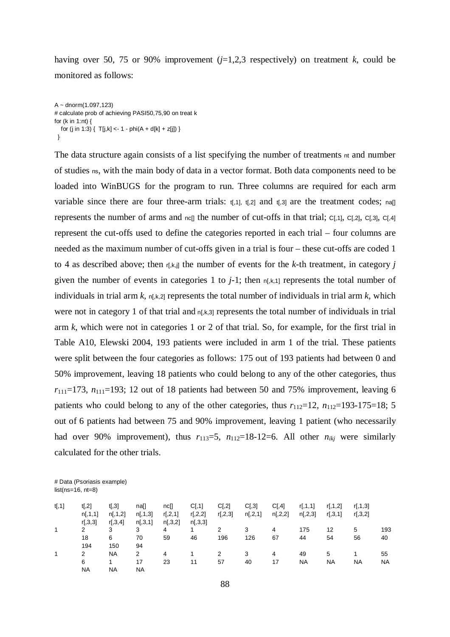having over 50, 75 or 90% improvement  $(j=1,2,3$  respectively) on treatment *k*, could be monitored as follows:

```
A \sim dnorm(1.097, 123)# calculate prob of achieving PASI50,75,90 on treat k
for (k in 1:nt) { 
  for (j in 1:3) \{T[j,k]<-1 - phi(A + d[k] + z[j])\} }
```
The data structure again consists of a list specifying the number of treatments  $n<sub>t</sub>$  and number of studies ns, with the main body of data in a vector format. Both data components need to be loaded into WinBUGS for the program to run. Three columns are required for each arm variable since there are four three-arm trials:  $t<sub>1</sub>,1$ ,  $t<sub>1</sub>, 2$  and  $t<sub>1</sub>,3$  are the treatment codes; na[] represents the number of arms and  $n c$ [] the number of cut-offs in that trial;  $c$ [,1],  $c$ [,2],  $c$ [,3],  $c$ [,4] represent the cut-offs used to define the categories reported in each trial – four columns are needed as the maximum number of cut-offs given in a trial is four – these cut-offs are coded 1 to 4 as described above; then r[,k,j] the number of events for the *k*-th treatment, in category *j* given the number of events in categories 1 to  $j-1$ ; then  $n[k,1]$  represents the total number of individuals in trial arm  $k$ ,  $n[k,2]$  represents the total number of individuals in trial arm  $k$ , which were not in category 1 of that trial and  $n[k,3]$  represents the total number of individuals in trial arm *k*, which were not in categories 1 or 2 of that trial. So, for example, for the first trial in Table A10, Elewski 2004, 193 patients were included in arm 1 of the trial. These patients were split between the four categories as follows: 175 out of 193 patients had between 0 and 50% improvement, leaving 18 patients who could belong to any of the other categories, thus  $r_{111}=173$ ,  $n_{111}=193$ ; 12 out of 18 patients had between 50 and 75% improvement, leaving 6 patients who could belong to any of the other categories, thus  $r_{112}=12$ ,  $n_{112}=193-175=18$ ; 5 out of 6 patients had between 75 and 90% improvement, leaving 1 patient (who necessarily had over 90% improvement), thus  $r_{113}=5$ ,  $n_{112}=18-12=6$ . All other  $n_{ikj}$  were similarly calculated for the other trials.

# Data (Psoriasis example)  $list(ns=16, nt=8)$ 

| t[, 1] | t[,2]     | t[, 3]    | na[]      | nc[]           | C[, 1]    | C[,2]     | C[,3]     | C[,4]     | r[, 1, 1] | r[, 1, 2] | r[,1,3] |     |
|--------|-----------|-----------|-----------|----------------|-----------|-----------|-----------|-----------|-----------|-----------|---------|-----|
|        | n[, 1, 1] | n[, 1, 2] | n[, 1, 3] | r[, 2, 1]      | r[, 2, 2] | r[, 2, 3] | n[, 2, 1] | n[, 2, 2] | n[,2,3]   | r[,3,1]   | r[,3,2] |     |
|        | r[,3,3]   | r[,3,4]   | n[,3,1]   | n[, 3, 2]      | n[, 3, 3] |           |           |           |           |           |         |     |
| 1      | 2         | 3         | 3         | $\overline{4}$ | 1         | 2         | 3         | 4         | 175       | 12        | 5       | 193 |
|        | 18        | 6         | 70        | 59             | 46        | 196       | 126       | 67        | 44        | 54        | 56      | 40  |
|        | 194       | 150       | 94        |                |           |           |           |           |           |           |         |     |
| 1      | 2         | NA        | 2         | 4              |           | 2         | 3         | 4         | 49        | 5         |         | 55  |
|        | 6         |           | 17        | 23             | 11        | 57        | 40        | 17        | NA        | NA        | NA      | NA  |
|        | <b>NA</b> | <b>NA</b> | <b>NA</b> |                |           |           |           |           |           |           |         |     |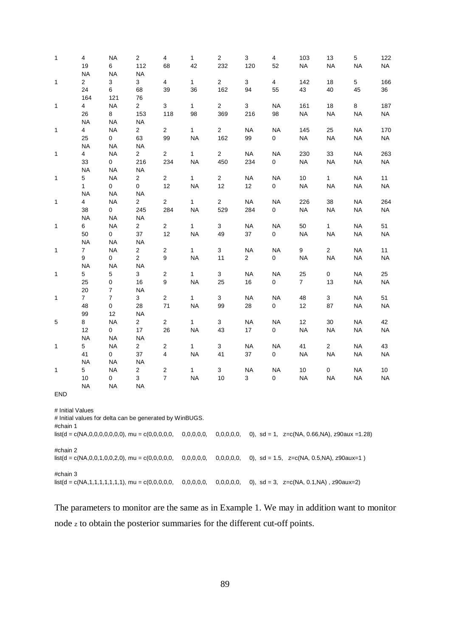| $\mathbf{1}$ | $\overline{4}$<br>19<br><b>NA</b> | <b>NA</b><br>6<br><b>NA</b>                                | 2<br>112<br><b>NA</b> | $\overline{4}$<br>68    | $\mathbf{1}$<br>42 | $\mathbf 2$<br>232    | 3<br>120       | 4<br>52              | 103<br><b>NA</b>                                   | 13<br><b>NA</b> | 5<br><b>NA</b> | 122<br>$\sf NA$ |
|--------------|-----------------------------------|------------------------------------------------------------|-----------------------|-------------------------|--------------------|-----------------------|----------------|----------------------|----------------------------------------------------|-----------------|----------------|-----------------|
| $\mathbf{1}$ | $\overline{2}$<br>24              | 3<br>6                                                     | 3<br>68               | $\overline{4}$<br>39    | $\mathbf{1}$<br>36 | $\overline{c}$<br>162 | 3<br>94        | $\overline{4}$<br>55 | 142<br>43                                          | 18<br>40        | 5<br>45        | 166<br>36       |
|              | 164                               | 121                                                        | 76                    |                         |                    |                       |                |                      |                                                    |                 |                |                 |
| $\mathbf{1}$ | $\overline{4}$                    | <b>NA</b>                                                  | $\overline{c}$        | 3                       | $\mathbf{1}$       | $\overline{c}$        | $\mathbf{3}$   | <b>NA</b>            | 161                                                | $18$            | 8              | 187             |
|              | 26                                | 8                                                          | 153                   | 118                     | 98                 | 369                   | 216            | 98                   | <b>NA</b>                                          | <b>NA</b>       | <b>NA</b>      | <b>NA</b>       |
|              | <b>NA</b>                         | <b>NA</b>                                                  | <b>NA</b>             |                         |                    |                       |                |                      |                                                    |                 |                |                 |
| $\mathbf{1}$ | $\overline{4}$                    | $\sf NA$                                                   | $\overline{a}$        | $\overline{2}$          | $\mathbf{1}$       | $\overline{a}$        | <b>NA</b>      | <b>NA</b>            | 145                                                | 25              | <b>NA</b>      | 170             |
|              | 25                                | 0                                                          | 63                    | 99                      | <b>NA</b>          | 162                   | 99             | 0                    | <b>NA</b>                                          | <b>NA</b>       | <b>NA</b>      | $\sf NA$        |
|              | <b>NA</b>                         | $\sf NA$                                                   | <b>NA</b>             |                         |                    |                       |                |                      |                                                    |                 |                |                 |
| $\mathbf{1}$ | $\overline{4}$                    | <b>NA</b>                                                  | $\overline{a}$        | $\overline{2}$          | $\mathbf{1}$       | $\overline{2}$        | <b>NA</b>      | <b>NA</b>            | 230                                                | 33              | <b>NA</b>      | 263             |
|              | 33                                | $\mathbf{0}$                                               | 216                   | 234                     | <b>NA</b>          | 450                   | 234            | 0                    | <b>NA</b>                                          | <b>NA</b>       | <b>NA</b>      | <b>NA</b>       |
|              | <b>NA</b>                         | <b>NA</b>                                                  | <b>NA</b>             |                         |                    |                       |                |                      |                                                    |                 |                |                 |
| 1            | 5                                 | <b>NA</b>                                                  | $\overline{a}$        | $\overline{2}$          | $\mathbf{1}$       | $\overline{2}$        | <b>NA</b>      | <b>NA</b>            | 10                                                 | $\mathbf{1}$    | <b>NA</b>      | 11              |
|              | $\mathbf{1}$                      | $\mathbf 0$                                                | 0                     | 12                      | <b>NA</b>          | 12                    | 12             | $\mathbf 0$          | <b>NA</b>                                          | <b>NA</b>       | <b>NA</b>      | $\sf NA$        |
|              | <b>NA</b>                         | <b>NA</b>                                                  | <b>NA</b>             |                         |                    |                       |                |                      |                                                    |                 |                |                 |
| $\mathbf{1}$ | $\overline{4}$                    | <b>NA</b>                                                  | $\overline{a}$        | $\overline{2}$          | $\mathbf{1}$       | $\overline{c}$        | <b>NA</b>      | <b>NA</b>            | 226                                                | $38\,$          | <b>NA</b>      | 264             |
|              | 38                                | 0                                                          | 245                   | 284                     | <b>NA</b>          | 529                   | 284            | 0                    | <b>NA</b>                                          | <b>NA</b>       | <b>NA</b>      | $\sf NA$        |
|              | $\sf NA$                          | $\sf NA$                                                   | <b>NA</b>             |                         |                    |                       |                |                      |                                                    |                 |                |                 |
| $\mathbf{1}$ | 6                                 | <b>NA</b>                                                  | $\overline{2}$        | $\overline{a}$          | $\mathbf{1}$       | 3                     | <b>NA</b>      | <b>NA</b>            | 50                                                 | $\mathbf{1}$    | <b>NA</b>      | 51              |
|              | 50                                | 0                                                          | 37                    | 12                      | <b>NA</b>          | 49                    | 37             | 0                    | <b>NA</b>                                          | <b>NA</b>       | <b>NA</b>      | <b>NA</b>       |
|              | <b>NA</b>                         | $\sf NA$                                                   | <b>NA</b>             |                         |                    |                       |                |                      |                                                    |                 |                |                 |
| $\mathbf{1}$ | $\overline{7}$                    | $\sf NA$                                                   | $\overline{2}$        | $\overline{c}$          | $\mathbf{1}$       | 3                     | <b>NA</b>      | <b>NA</b>            | 9                                                  | $\overline{2}$  | <b>NA</b>      | 11              |
|              | 9                                 | 0                                                          | $\overline{a}$        | 9                       | <b>NA</b>          | 11                    | $\overline{2}$ | 0                    | <b>NA</b>                                          | <b>NA</b>       | <b>NA</b>      | <b>NA</b>       |
|              | <b>NA</b>                         | <b>NA</b>                                                  | <b>NA</b>             |                         |                    |                       |                |                      |                                                    |                 |                |                 |
| 1            | $\,$ 5 $\,$                       | 5                                                          | 3                     | $\overline{\mathbf{c}}$ | $\mathbf{1}$       | 3                     | <b>NA</b>      | <b>NA</b>            | 25                                                 | $\pmb{0}$       | <b>NA</b>      | 25              |
|              | 25                                | 0                                                          | 16                    | 9                       | <b>NA</b>          | 25                    | 16             | $\pmb{0}$            | $\overline{7}$                                     | 13              | <b>NA</b>      | $\sf NA$        |
|              | 20                                | $\overline{7}$                                             | <b>NA</b>             |                         |                    |                       |                |                      |                                                    |                 |                |                 |
| 1            | $\overline{7}$                    | $\boldsymbol{7}$                                           | 3                     | $\overline{2}$          | $\mathbf{1}$       | 3                     | <b>NA</b>      | <b>NA</b>            | 48                                                 | $\mathbf{3}$    | <b>NA</b>      | 51              |
|              | 48                                | $\pmb{0}$                                                  | 28                    | 71                      | <b>NA</b>          | 99                    | 28             | 0                    | 12                                                 | 87              | <b>NA</b>      | <b>NA</b>       |
|              | 99                                | 12                                                         | <b>NA</b>             |                         |                    |                       |                |                      |                                                    |                 |                |                 |
| $\mathbf 5$  | 8                                 | <b>NA</b>                                                  | $\overline{a}$        | $\overline{2}$          | $\mathbf{1}$       | 3                     | $\sf NA$       | <b>NA</b>            | 12                                                 | $30\,$          | <b>NA</b>      | 42              |
|              | 12                                | 0                                                          | 17                    | 26                      | <b>NA</b>          | 43                    | 17             | $\mathbf 0$          | <b>NA</b>                                          | <b>NA</b>       | <b>NA</b>      | $\sf NA$        |
|              | <b>NA</b><br>$5\phantom{.0}$      | $\sf NA$<br><b>NA</b>                                      | <b>NA</b>             |                         | $\mathbf{1}$       | 3                     | <b>NA</b>      | <b>NA</b>            | 41                                                 | $\mathbf{2}$    | <b>NA</b>      | 43              |
| 1            | 41                                | $\overline{0}$                                             | $\overline{a}$<br>37  | $\overline{a}$<br>4     | <b>NA</b>          | 41                    | $37\,$         | 0                    | <b>NA</b>                                          | <b>NA</b>       | <b>NA</b>      | $\sf NA$        |
|              | <b>NA</b>                         | <b>NA</b>                                                  | <b>NA</b>             |                         |                    |                       |                |                      |                                                    |                 |                |                 |
| $\mathbf{1}$ | $5\phantom{.0}$                   | <b>NA</b>                                                  | $\overline{a}$        | $\overline{c}$          | $\mathbf{1}$       | 3                     | <b>NA</b>      | <b>NA</b>            | $10$                                               | $\pmb{0}$       | <b>NA</b>      | 10              |
|              | $10\,$                            | 0                                                          | 3                     | $\boldsymbol{7}$        | <b>NA</b>          | $10$                  | 3              | 0                    | <b>NA</b>                                          | <b>NA</b>       | <b>NA</b>      | $\sf NA$        |
|              | <b>NA</b>                         | <b>NA</b>                                                  | NA                    |                         |                    |                       |                |                      |                                                    |                 |                |                 |
| END          |                                   |                                                            |                       |                         |                    |                       |                |                      |                                                    |                 |                |                 |
|              | # Initial Values                  | # Initial values for delta can be generated by WinBUGS.    |                       |                         |                    |                       |                |                      |                                                    |                 |                |                 |
| #chain 1     |                                   |                                                            |                       |                         | 0,0,0,0,0,         | 0,0,0,0,0,            |                |                      | 0), sd = 1, $z=c(NA, 0.66, NA)$ , $z90aux = 1.28$  |                 |                |                 |
| #chain 2     |                                   |                                                            |                       |                         |                    |                       |                |                      |                                                    |                 |                |                 |
|              |                                   |                                                            |                       |                         | 0,0,0,0,0,         | 0,0,0,0,0,            |                |                      | 0), $sd = 1.5$ , $z=c(NA, 0.5, NA)$ , $z90aux=1$ ) |                 |                |                 |
| #chain 3     |                                   |                                                            |                       |                         |                    |                       |                |                      |                                                    |                 |                |                 |
|              |                                   | $list(d = c(NA, 1, 1, 1, 1, 1, 1, 1))$ , mu = c(0,0,0,0,0, |                       |                         | 0,0,0,0,0,         | 0,0,0,0,0,            |                |                      | 0), $sd = 3$ , $z=c(NA, 0.1, NA)$ , $z90aux=2$     |                 |                |                 |

The parameters to monitor are the same as in Example 1. We may in addition want to monitor node <sup>z</sup> to obtain the posterior summaries for the different cut-off points.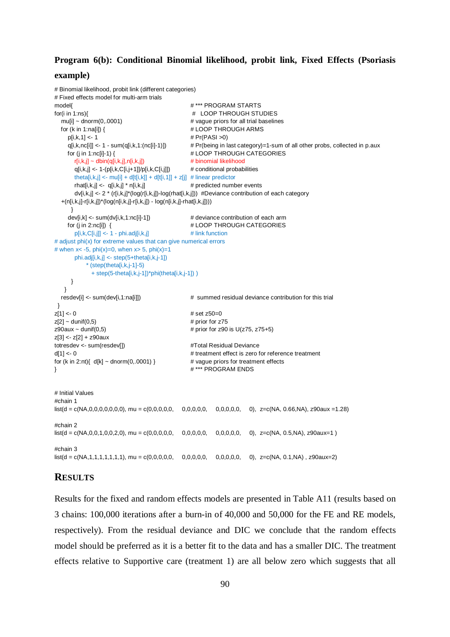## **Program 6(b): Conditional Binomial likelihood, probit link, Fixed Effects (Psoriasis**

#### **example)**

```
# Binomial likelihood, probit link (different categories)
# Fixed effects model for multi-arm trials
model{ # *** PROGRAM STARTS
for(i in 1:ns){ # LOOP THROUGH STUDIES
  muli\frac{1}{x} dnorm(0..0001) \frac{1}{x} vague priors for all trial baselines
  for (k in 1:na[i]) { \qquad # LOOP THROUGH ARMS
     p[i,k,1] <- 1 # Pr(PASI >0)
     q[i,k,nc[i]] <- 1 - sum(q[i,k,1:(nc[i]-1)]) # Pr(being in last category)=1-sum of all other probs, collected in p.aux
    for (j in 1:nc[i]-1) { \# LOOP THROUGH CATEGORIES
      r[i,k,j] \sim \text{dbin}(q[i,k,j],n[i,k,j]) # binomial likelihood
      q[i,k,j] < -1-(p[i,k,C[i,j+1]]/p[i,k,C[i,j]]) # conditional probabilities
      theta[i,k,j] <- mu[i] + d[t[i,k]] + d[t[i,1]] + z[j] # linear predictor
      rhat[i,k,j] \leftarrow q[i,k,j] * n[i,k,j] # predicted number events
       dv[i,k,j] <- 2 * (r[i,k,j]*(log(r[i,k,j])-log(rhat[i,k,j])) #Deviance contribution of each category
   +(n[i,k,j]-r[i,k,j])*(log(n[i,k,j]-r[i,k,j]) - log(n[i,k,j]-rhat[i,k,j])))
      }
    dev[i,k] <- sum(dv[i,k,1:nc[i]-1]) # deviance contribution of each arm
    for (j in 2:nc[i]) { \qquad # LOOP THROUGH CATEGORIES
      p[i,k,C[i,j]] \leq 1 - \text{phi}.adj[i,k,j] # link function
# adjust phi(x) for extreme values that can give numerical errors
# when x < -5, phi(x)=0, when x > 5, phi(x)=1 phi.adj[i,k,j] <- step(5+theta[i,k,j-1])
          * (step(theta[i,k,j-1]-5)
            + step(5-theta[i,k,j-1])*phi(theta[i,k,j-1]) )
      }
    }
   resdev[i] <- sum(dev[i,1:na[i]]) # summed residual deviance contribution for this trial
 } 
|z| 1 |z| - 0 \# set z50=0
z[2] \sim dunif(0,5) \qquad # prior for z75
z90aux ~ dunif(0,5) \qquad # prior for z90 is U(z75, z75+5)
z[3] <- z[2] + z90aux
totresdev <- sum(resdev[]) #Total Residual Devianced[1] <- 0 \le d[1] <- 0
for (k \text{ in } 2\text{ :}nt) \{ d[k] \sim \text{dnorm}(0, 0.0001) \} # vague priors for treatment effects
} # *** PROGRAM ENDS 
# Initial Values 
#chain 1
list(d = c(NA, 0, 0, 0, 0, 0, 0, 0)), mu = c(0,0,0,0,0, 0,0,0,0,0, 0,0,0,0,0, 0,0,0,0, 0), z=c(NA, 0.66,NA), z90aux =1.28)
#chain 2
list(d = c(NA,0,0,1,0,0,2,0), mu = c(0,0,0,0,0, 0,0,0,0,0, 0,0,0,0,0, 0), z=c(NA, 0.5,NA), z90aux=1 )
#chain 3
list(d = c(NA,1,1,1,1,1,1,1), mu = c(0,0,0,0,0, 0,0,0,0,0, 0,0,0,0,0, 0), z=c(NA, 0.1,NA) , z90aux=2)
```
## **RESULTS**

Results for the fixed and random effects models are presented in Table A11 (results based on 3 chains: 100,000 iterations after a burn-in of 40,000 and 50,000 for the FE and RE models, respectively). From the residual deviance and DIC we conclude that the random effects model should be preferred as it is a better fit to the data and has a smaller DIC. The treatment effects relative to Supportive care (treatment 1) are all below zero which suggests that all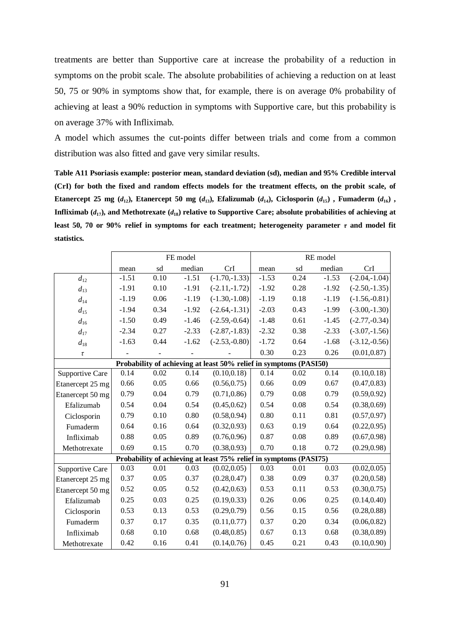treatments are better than Supportive care at increase the probability of a reduction in symptoms on the probit scale. The absolute probabilities of achieving a reduction on at least 50, 75 or 90% in symptoms show that, for example, there is on average 0% probability of achieving at least a 90% reduction in symptoms with Supportive care, but this probability is on average 37% with Infliximab.

A model which assumes the cut-points differ between trials and come from a common distribution was also fitted and gave very similar results.

**Table A11 Psoriasis example: posterior mean, standard deviation (sd), median and 95% Credible interval (CrI) for both the fixed and random effects models for the treatment effects, on the probit scale, of**  Etanercept 25 mg (d<sub>12</sub>), Etanercept 50 mg (d<sub>13</sub>), Efalizumab (d<sub>14</sub>), Ciclosporin (d<sub>15</sub>), Fumaderm (d<sub>16</sub>), **Infliximab**  $(d_{17})$ , and Methotrexate  $(d_{18})$  relative to Supportive Care; absolute probabilities of achieving at **least 50, 70 or 90% relief in symptoms for each treatment; heterogeneity parameter**  $\tau$  **and model fit statistics.**

|                  |         |      | FE model |                                                                   | RE model |      |         |                 |  |
|------------------|---------|------|----------|-------------------------------------------------------------------|----------|------|---------|-----------------|--|
|                  | mean    | sd   | median   | CrI                                                               | mean     | sd   | median  | CrI             |  |
| $d_{12}$         | $-1.51$ | 0.10 | $-1.51$  | $(-1.70,-1.33)$                                                   | $-1.53$  | 0.24 | $-1.53$ | $(-2.04,-1.04)$ |  |
| $d_{13}$         | $-1.91$ | 0.10 | $-1.91$  | $(-2.11,-1.72)$                                                   | $-1.92$  | 0.28 | $-1.92$ | $(-2.50,-1.35)$ |  |
| $d_{14}$         | $-1.19$ | 0.06 | $-1.19$  | $(-1.30,-1.08)$                                                   | $-1.19$  | 0.18 | $-1.19$ | $(-1.56,-0.81)$ |  |
| $d_{15}$         | $-1.94$ | 0.34 | $-1.92$  | $(-2.64,-1.31)$                                                   | $-2.03$  | 0.43 | $-1.99$ | $(-3.00,-1.30)$ |  |
| $d_{16}$         | $-1.50$ | 0.49 | $-1.46$  | $(-2.59,-0.64)$                                                   | $-1.48$  | 0.61 | $-1.45$ | $(-2.77,-0.34)$ |  |
| $d_{17}$         | $-2.34$ | 0.27 | $-2.33$  | $(-2.87,-1.83)$                                                   | $-2.32$  | 0.38 | $-2.33$ | $(-3.07,-1.56)$ |  |
| $d_{18}$         | $-1.63$ | 0.44 | $-1.62$  | $(-2.53,-0.80)$                                                   | $-1.72$  | 0.64 | $-1.68$ | $(-3.12,-0.56)$ |  |
| $\tau$           |         |      |          |                                                                   | 0.30     | 0.23 | 0.26    | (0.01, 0.87)    |  |
|                  |         |      |          | Probability of achieving at least 50% relief in symptoms (PASI50) |          |      |         |                 |  |
| Supportive Care  | 0.14    | 0.02 | 0.14     | (0.10, 0.18)                                                      | 0.14     | 0.02 | 0.14    | (0.10, 0.18)    |  |
| Etanercept 25 mg | 0.66    | 0.05 | 0.66     | (0.56, 0.75)                                                      | 0.66     | 0.09 | 0.67    | (0.47, 0.83)    |  |
| Etanercept 50 mg | 0.79    | 0.04 | 0.79     | (0.71, 0.86)                                                      | 0.79     | 0.08 | 0.79    | (0.59, 0.92)    |  |
| Efalizumab       | 0.54    | 0.04 | 0.54     | (0.45, 0.62)                                                      | 0.54     | 0.08 | 0.54    | (0.38, 0.69)    |  |
| Ciclosporin      | 0.79    | 0.10 | 0.80     | (0.58, 0.94)                                                      | 0.80     | 0.11 | 0.81    | (0.57, 0.97)    |  |
| Fumaderm         | 0.64    | 0.16 | 0.64     | (0.32, 0.93)                                                      | 0.63     | 0.19 | 0.64    | (0.22, 0.95)    |  |
| Infliximab       | 0.88    | 0.05 | 0.89     | (0.76, 0.96)                                                      | 0.87     | 0.08 | 0.89    | (0.67, 0.98)    |  |
| Methotrexate     | 0.69    | 0.15 | 0.70     | (0.38, 0.93)                                                      | 0.70     | 0.18 | 0.72    | (0.29, 0.98)    |  |
|                  |         |      |          | Probability of achieving at least 75% relief in symptoms (PASI75) |          |      |         |                 |  |
| Supportive Care  | 0.03    | 0.01 | 0.03     | (0.02, 0.05)                                                      | 0.03     | 0.01 | 0.03    | (0.02, 0.05)    |  |
| Etanercept 25 mg | 0.37    | 0.05 | 0.37     | (0.28, 0.47)                                                      | 0.38     | 0.09 | 0.37    | (0.20, 0.58)    |  |
| Etanercept 50 mg | 0.52    | 0.05 | 0.52     | (0.42, 0.63)                                                      | 0.53     | 0.11 | 0.53    | (0.30, 0.75)    |  |
| Efalizumab       | 0.25    | 0.03 | 0.25     | (0.19, 0.33)                                                      | 0.26     | 0.06 | 0.25    | (0.14, 0.40)    |  |
| Ciclosporin      | 0.53    | 0.13 | 0.53     | (0.29, 0.79)                                                      | 0.56     | 0.15 | 0.56    | (0.28, 0.88)    |  |
| Fumaderm         | 0.37    | 0.17 | 0.35     | (0.11, 0.77)                                                      | 0.37     | 0.20 | 0.34    | (0.06, 0.82)    |  |
| Infliximab       | 0.68    | 0.10 | 0.68     | (0.48, 0.85)                                                      | 0.67     | 0.13 | 0.68    | (0.38, 0.89)    |  |
| Methotrexate     | 0.42    | 0.16 | 0.41     | (0.14, 0.76)                                                      | 0.45     | 0.21 | 0.43    | (0.10, 0.90)    |  |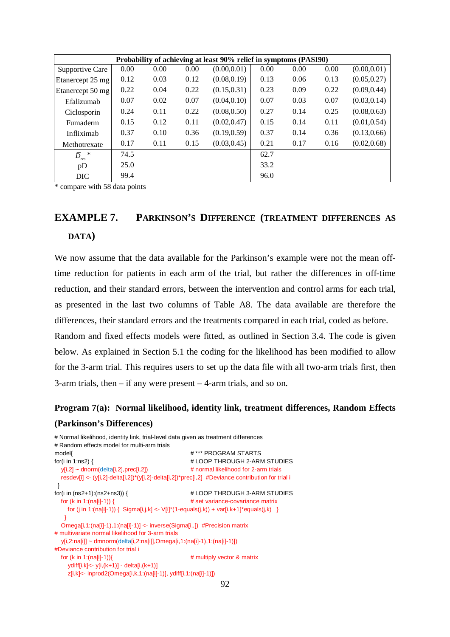| Probability of achieving at least 90% relief in symptoms (PASI90) |      |      |      |              |      |      |      |              |
|-------------------------------------------------------------------|------|------|------|--------------|------|------|------|--------------|
| Supportive Care                                                   | 0.00 | 0.00 | 0.00 | (0.00, 0.01) | 0.00 | 0.00 | 0.00 | (0.00, 0.01) |
| Etanercept 25 mg                                                  | 0.12 | 0.03 | 0.12 | (0.08, 0.19) | 0.13 | 0.06 | 0.13 | (0.05, 0.27) |
| Etanercept 50 mg                                                  | 0.22 | 0.04 | 0.22 | (0.15, 0.31) | 0.23 | 0.09 | 0.22 | (0.09, 0.44) |
| Efalizumab                                                        | 0.07 | 0.02 | 0.07 | (0.04, 0.10) | 0.07 | 0.03 | 0.07 | (0.03, 0.14) |
| Ciclosporin                                                       | 0.24 | 0.11 | 0.22 | (0.08, 0.50) | 0.27 | 0.14 | 0.25 | (0.08, 0.63) |
| Fumaderm                                                          | 0.15 | 0.12 | 0.11 | (0.02, 0.47) | 0.15 | 0.14 | 0.11 | (0.01, 0.54) |
| Infliximab                                                        | 0.37 | 0.10 | 0.36 | (0.19, 0.59) | 0.37 | 0.14 | 0.36 | (0.13, 0.66) |
| Methotrexate                                                      | 0.17 | 0.11 | 0.15 | (0.03, 0.45) | 0.21 | 0.17 | 0.16 | (0.02, 0.68) |
| $\bar{D}$<br>$\ast$<br>res                                        | 74.5 |      |      |              | 62.7 |      |      |              |
| pD                                                                | 25.0 |      |      |              | 33.2 |      |      |              |
| DIC                                                               | 99.4 |      |      |              | 96.0 |      |      |              |

\* compare with 58 data points

# **EXAMPLE 7. PARKINSON'S DIFFERENCE (TREATMENT DIFFERENCES AS DATA)**

We now assume that the data available for the Parkinson's example were not the mean offtime reduction for patients in each arm of the trial, but rather the differences in off-time reduction, and their standard errors, between the intervention and control arms for each trial, as presented in the last two columns of Table A8. The data available are therefore the differences, their standard errors and the treatments compared in each trial, coded as before.

Random and fixed effects models were fitted, as outlined in Section 3.4. The code is given below. As explained in Section 5.1 the coding for the likelihood has been modified to allow for the 3-arm trial. This requires users to set up the data file with all two-arm trials first, then 3-arm trials, then – if any were present – 4-arm trials, and so on.

# **Program 7(a): Normal likelihood, identity link, treatment differences, Random Effects**

#### **(Parkinson's Differences)**

# Normal likelihood, identity link, trial-level data given as treatment differences # Random effects model for multi-arm trials model{ # \*\*\* PROGRAM STARTS for(i in 1:ns2) {  $\qquad$  # LOOP THROUGH 2-ARM STUDIES  $y[i,2] \sim$  dnorm(delta[i,2],prec[i,2])  $y[i,2] \sim$  # normal likelihood for 2-arm trials resdev[i] <- (y[i,2]-delta[i,2])\*(y[i,2]-delta[i,2])\*prec[i,2] #Deviance contribution for trial i } for(i in (ns2+1):(ns2+ns3)) {  $\qquad$   $\qquad$  # LOOP THROUGH 3-ARM STUDIES for (k in 1:(na[i]-1)) {  $\qquad$   $\qquad$   $\qquad$  # set variance-covariance matrix # set variance-covariance matrix for (j in 1:(na[i]-1)) { Sigma[i,j,k] <-  $V[i]$ \*(1-equals(j,k)) + var[i,k+1]\*equals(j,k) } } Omega[i,1:(na[i]-1),1:(na[i]-1)] <- inverse(Sigma[i,,]) #Precision matrix # multivariate normal likelihood for 3-arm trials y[i,2:na[i]] ~ dmnorm(delta[i,2:na[i]],Omega[i,1:(na[i]-1),1:(na[i]-1)]) #Deviance contribution for trial i for  $(k \in [1:(na[i]-1))$   $\qquad \qquad \#$  multiply vector & matrix ydiff[i,k]<- y[i,(k+1)] - delta[i,(k+1)] z[i,k]<- inprod2(Omega[i,k,1:(na[i]-1)], ydiff[i,1:(na[i]-1)])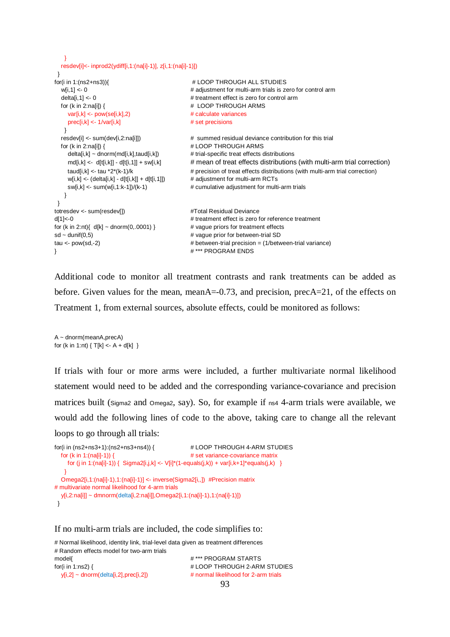```
 }
  resdev[i]<- inprod2(ydiff[i,1:(na[i]-1)], z[i,1:(na[i]-1)])
 }
for(i in 1:(ns2+ns3)){ # LOOP THROUGH ALL STUDIES
 w[i,1] <- 0 \blacksquare # adjustment for multi-arm trials is zero for control arm
 deltali.11 <- 0 \mu treatment effect is zero for control arm
 for (k in 2:na[i]) { \qquad # LOOP THROUGH ARMS
     var[i,k] <- pow(se[i,k],2) # calculate variances
    prec[i,k] <- 1/var[i,k] # set precisions
   }
  resdev[i] <- sum(dev[i,2:na[i]]) # summed residual deviance contribution for this trial
 for (k in 2:na[i]) { \qquad # LOOP THROUGH ARMS
    delta[i,k] ~ dnorm(md[i,k],taud[i,k]) # trial-specific treat effects distributions
    md[i,k] <- d[t[i,k]] - d[t[i,1]] + sw[i,k] # mean of treat effects distributions (with multi-arm trial correction)
    taud[i,k] <- tau *2*(k-1)/k \qquad \qquad \qquad \qquad \qquad # precision of treat effects distributions (with multi-arm trial correction)
    w[i,k] \leftarrow (delta[i,k] - d[t[i,k]] + d[t[i,1]]) # adjustment for multi-arm RCTs
    sw[i,k] <- sum(w[i,1:k-1])/(k-1) # cumulative adjustment for multi-arm trials
   }
 } 
totresdev <- sum(resdev[]) #Total Residual Devianced[1]<-0 # treatment effect is zero for reference treatment
for (k \text{ in } 2\text{.nt})\{ d[k] \sim \text{dnorm}(0, 0001) \} # vague priors for treatment effects
sd ~ dunif(0,5) \qquad # vague prior for between-trial SD
tau <- pow(sd,-2) \qquad \qquad \qquad # between-trial precision = (1/between-trial variance)
} # *** PROGRAM ENDS
```
Additional code to monitor all treatment contrasts and rank treatments can be added as before. Given values for the mean, meanA=-0.73, and precision, precA=21, of the effects on Treatment 1, from external sources, absolute effects, could be monitored as follows:

 $A \sim$  dnorm(meanA,precA) for (k in 1:nt)  $\{T[k] < A + d[k]\}$ 

If trials with four or more arms were included, a further multivariate normal likelihood statement would need to be added and the corresponding variance-covariance and precision matrices built (Sigma2 and Omega2, say). So, for example if ns4 4-arm trials were available, we would add the following lines of code to the above, taking care to change all the relevant loops to go through all trials:

```
for(i in (ns2+ns3+1):(ns2+ns3+ns4)) { # LOOP THROUGH 4-ARM STUDIES
   for (k in 1:(na[i]-1)) { # set variance-covariance matrix
    for (j in 1:(na[i]-1)) { Sigma2[i,j,k] <- V[i]^{*}(1-equals(j,k)) + var[i,k+1]*equals(j,k) }
    }
   Omega2[i,1:(na[i]-1),1:(na[i]-1)] <- inverse(Sigma2[i,,]) #Precision matrix
# multivariate normal likelihood for 4-arm trials 
   y[i,2:na[i]] ~ dmnorm(delta[i,2:na[i]],Omega2[i,1:(na[i]-1),1:(na[i]-1)]) 
  }
```
#### If no multi-arm trials are included, the code simplifies to:

# Normal likelihood, identity link, trial-level data given as treatment differences # Random effects model for two-arm trials model{ # \*\*\* PROGRAM STARTS for(i in 1:ns2) {  $\qquad$  # LOOP THROUGH 2-ARM STUDIES y[i,2] ~ dnorm(delta[i,2],prec[i,2]) # normal likelihood for 2-arm trials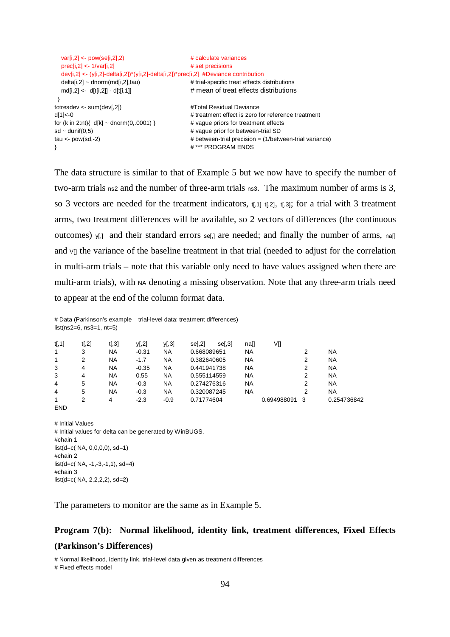```
 var[i,2] <- pow(se[i,2],2) # calculate variances
 \text{prec}[i,2] \leq 1/\text{var}[i,2] # set precisions
  dev[i,2] <- (y[i,2]-delta[i,2])*(y[i,2]-delta[i,2])*prec[i,2] #Deviance contribution
 delta[i,2] \sim \text{dnorm}(m d[i,2], \text{tau}) # trial-specific treat effects distributions
 md[i,2] \leftarrow d[t[i,2]] - d[t[i,1]] # mean of treat effects distributions
 } 
totresdev <- sum(dev[,2]) #Total Residual Devianced[1]<-0 # treatment effect is zero for reference treatment
for (k \text{ in } 2\text{ :}nt) \{ d[k] \sim \text{donorm}(0, 0001) \} # vague priors for treatment effects
sd ~ dunif(0,5) \qquad \qquad \qquad # vague prior for between-trial SD
tau <- pow(sd,-2) \qquad \qquad \qquad # between-trial precision = (1/between-trial variance)
} # *** PROGRAM ENDS
```
The data structure is similar to that of Example 5 but we now have to specify the number of two-arm trials ns2 and the number of three-arm trials ns3. The maximum number of arms is 3, so 3 vectors are needed for the treatment indicators,  $t<sub>i</sub>,t<sub>j</sub>,t<sub>j</sub>,t<sub>j</sub>,t<sub>j</sub>$ ; for a trial with 3 treatment arms, two treatment differences will be available, so 2 vectors of differences (the continuous outcomes)  $y_{1}$  and their standard errors se[,] are needed; and finally the number of arms, na[] and  $\nu$ [] the variance of the baseline treatment in that trial (needed to adjust for the correlation in multi-arm trials – note that this variable only need to have values assigned when there are multi-arm trials), with NA denoting a missing observation. Note that any three-arm trials need to appear at the end of the column format data.

# Data (Parkinson's example – trial-level data: treatment differences)  $list(ns2=6, ns3=1, nt=5)$ 

| NA<br><b>NA</b><br>1<br>NA<br>NA<br>$-0.31$<br>0.668089651<br>3<br>NA<br>NA<br>0.382640605<br>NA<br>NA<br>$-1.7$<br>2 |             |
|-----------------------------------------------------------------------------------------------------------------------|-------------|
|                                                                                                                       |             |
|                                                                                                                       |             |
| 3<br>$-0.35$<br><b>NA</b><br>NA<br>NA<br>NA<br>0.441941738<br>4                                                       |             |
| 3<br>NA.<br><b>NA</b><br>NA<br>0.555114559<br>NA<br>0.55<br>4                                                         |             |
| 4<br><b>NA</b><br>NA.<br>NA<br>0.274276316<br>NA<br>$-0.3$<br>5                                                       |             |
| NA<br>NA.<br>0.320087245<br>NA<br>4<br>NA<br>$-0.3$<br>5                                                              |             |
| 0.694988091<br>$-2.3$<br>0.71774604<br>$-0.9$<br>3<br>4                                                               | 0.254736842 |

# Initial Values # Initial values for delta can be generated by WinBUGS. #chain 1  $list(d=c(NA, 0,0,0,0), sd=1)$ #chain 2  $list(d=c(NA, -1, -3, -1, 1), sd=4)$ #chain 3 list(d=c( NA, 2,2,2,2), sd=2)

END

The parameters to monitor are the same as in Example 5.

# **Program 7(b): Normal likelihood, identity link, treatment differences, Fixed Effects (Parkinson's Differences)**

# Normal likelihood, identity link, trial-level data given as treatment differences # Fixed effects model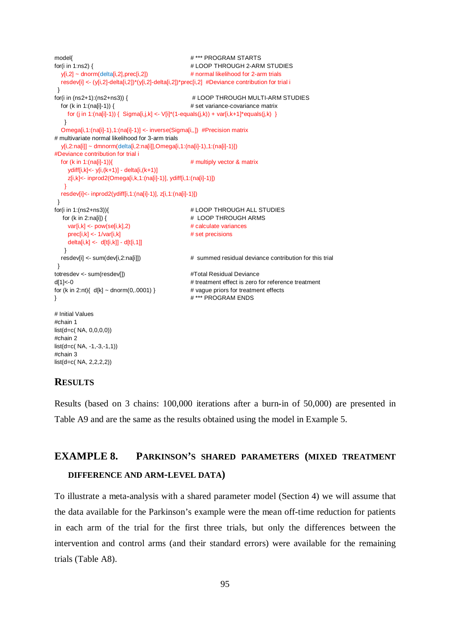```
model{ # *** PROGRAM STARTS
for(i in 1:ns2) { \qquad # LOOP THROUGH 2-ARM STUDIES
  y[i,2] \sim \text{donorm}(\text{delta}[i,2], \text{prec}[i,2]) # normal likelihood for 2-arm trials
   resdev[i] <- (y[i,2]-delta[i,2])*(y[i,2]-delta[i,2])*prec[i,2] #Deviance contribution for trial i
  }
for(i in (ns2+1):(ns2+ns3)) { # LOOP THROUGH MULTI-ARM STUDIES
   for (k in 1:(na[i]-1)) { # set variance-covariance matrix
     for (j in 1:(na[i]-1)) { Sigma[i,j,k] <- V[i]*(1-equals(j,k)) + var[i,k+1]*equals(j,k) }
    }
   Omega[i,1:(na[i]-1),1:(na[i]-1)] <- inverse(Sigma[i,,]) #Precision matrix
# multivariate normal likelihood for 3-arm trials 
   y[i,2:na[i]] ~ dmnorm(delta[i,2:na[i]],Omega[i,1:(na[i]-1),1:(na[i]-1)]) 
#Deviance contribution for trial i
  for (k \text{ in } 1:(\text{na[i]-1})) \uparrow \uparrow \uparrow \uparrow \uparrow \uparrow \uparrow \uparrow \uparrow \uparrow \uparrow \uparrow \uparrow \uparrow \uparrow \uparrow \uparrow \uparrow \uparrow \uparrow \uparrow \uparrow \uparrow \uparrow \uparrow \uparrow \uparrow \uparrow \uparrow \uparrow \uparrow \uparrow \uparrow ydiff[i,k]<- y[i,(k+1)] - delta[i,(k+1)]
      z[i,k]<- inprod2(Omega[i,k,1:(na[i]-1)], ydiff[i,1:(na[i]-1)])
 }
   resdev[i]<- inprod2(ydiff[i,1:(na[i]-1)], z[i,1:(na[i]-1)])
  }
for(i in 1:(ns2+ns3)){ # LOOP THROUGH ALL STUDIES
   for (k in 2:na[i]) { \qquad # LOOP THROUGH ARMS
    var[i,k] \leq pow(se[i,k],2) # calculate variancesprec[i,k] < -1/var[i,k] # set precisions
    delta[i,k] \leftarrow d[t[i,k]] - d[t[i,1]] }
  resdev[i] <- sum(dev[i,2:na[i]]) \qquad \qquad \qquad \qquad \qquad \qquad \qquad summed residual deviance contribution for this trial
  } 
totresdev <- sum(resdev[]) #Total Residual Devianced[1]<-0 # treatment effect is zero for reference treatment
for (k in 2:nt){ d[k] \sim \text{dnorm}(0,0001) } # vague priors for treatment effects
} # *** PROGRAM ENDS 
# Initial Values 
#chain 1
list(d=c( NA, 0,0,0,0))
#chain 2
list(d=c( NA, -1,-3,-1,1))
#chain 3
list(d=c( NA, 2,2,2,2))
```
#### **RESULTS**

Results (based on 3 chains: 100,000 iterations after a burn-in of 50,000) are presented in Table A9 and are the same as the results obtained using the model in Example 5.

# **EXAMPLE 8. PARKINSON'S SHARED PARAMETERS (MIXED TREATMENT**

## **DIFFERENCE AND ARM-LEVEL DATA)**

To illustrate a meta-analysis with a shared parameter model (Section 4) we will assume that the data available for the Parkinson's example were the mean off-time reduction for patients in each arm of the trial for the first three trials, but only the differences between the intervention and control arms (and their standard errors) were available for the remaining trials (Table A8).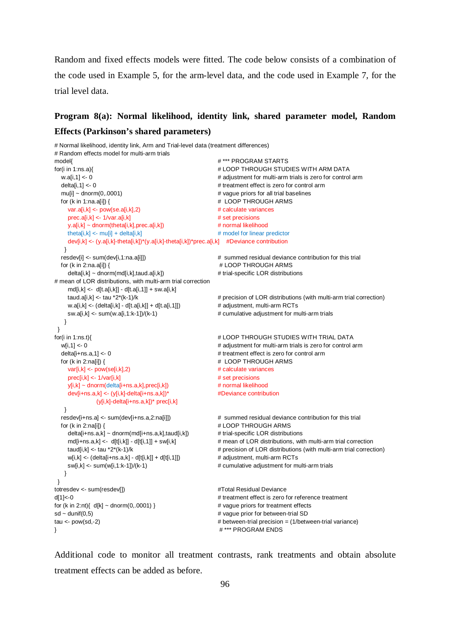Random and fixed effects models were fitted. The code below consists of a combination of the code used in Example 5, for the arm-level data, and the code used in Example 7, for the trial level data.

# **Program 8(a): Normal likelihood, identity link, shared parameter model, Random Effects (Parkinson's shared parameters)**

# Normal likelihood, identity link, Arm and Trial-level data (treatment differences) # Random effects model for multi-arm trials model{ # \*\*\* PROGRAM STARTS for(i in 1:ns.a){ # LOOP THROUGH STUDIES WITH ARM DATA w.a[i,1] <- 0  $\blacksquare$   $\blacksquare$  # adjustment for multi-arm trials is zero for control arm delta[i,1] <- 0 # treatment effect is zero for control arm mu[i] ~ dnorm(0,.0001)  $\qquad \qquad$  # vague priors for all trial baselines for (k in 1:na.a[i]) {  $\qquad$  # LOOP THROUGH ARMS var.a[i,k] <- pow(se.a[i,k],2) # calculate variances  $\text{prec.}a[i,k] \leq 1/\text{var.}a[i,k]$  # set precisions y.a[i,k] ~ dnorm(theta[i,k],prec.a[i,k]) # normal likelihood theta[i,k]  $\leq$  mu[i] + delta[i,k]  $\neq$  model for linear predictor dev[i,k] <- (y.a[i,k]-theta[i,k])\*(y.a[i,k]-theta[i,k])\*prec.a[i,k] #Deviance contribution } resdev[i] <- sum(dev[i,1:na.a[i]])  $\qquad \qquad \qquad \qquad$  summed residual deviance contribution for this trial for (k in 2:na.a[i]) {  $\qquad \qquad$  # LOOP THROUGH ARMS delta[i,k] ~ dnorm(md[i,k],taud.a[i,k]) # trial-specific LOR distributions # mean of LOR distributions, with multi-arm trial correction  $md[i,k] < -d[t.a[i,k]] - d[t.a[i,1]] + sw.a[i,k]$ taud.a[i,k] <- tau \*2\*(k-1)/k example and the straight of the straight term trial correction) w.a[i,k] <- (delta[i,k] - d[t.a[i,k]] + d[t.a[i,1]])  $\qquad \qquad \qquad \qquad \qquad$  # adjustment, multi-arm RCTs sw.a[i,k] <- sum(w.a[i,1:k-1])/(k-1) # cumulative adjustment for multi-arm trials } } for(i in 1:ns.t){ # LOOP THROUGH STUDIES WITH TRIAL DATA w[i,1] <- 0  $\blacksquare$  = 0  $\blacksquare$   $\blacksquare$  adjustment for multi-arm trials is zero for control arm delta[i+ns.a,1] <- 0  $\qquad$  # treatment effect is zero for control arm for (k in 2:na[i]) { # LOOP THROUGH ARMS var[i,k] <- pow(se[i,k],2) # calculate variances  $\text{prec}[i,k] \leq 1/\text{var}[i,k]$  # set precisions  $y[i,k] \sim \text{dnorm}(\text{delta}[i+n s.a,k], \text{prec}[i,k])$  # normal likelihood dev[i+ns.a,k] <- (y[i,k]-delta[i+ns.a,k])\* #Deviance contribution (y[i,k]-delta[i+ns.a,k])\* prec[i,k] } resdev[i+ns.a] <- sum(dev[i+ns.a,2:na[i]])  $\qquad \qquad \qquad \qquad$  # summed residual deviance contribution for this trial for (k in 2:na[i]) {  $\qquad$  # LOOP THROUGH ARMS delta[i+ns.a,k] ~ dnorm(md[i+ns.a,k],taud[i,k])  $#$  trial-specific LOR distributions md[i+ns.a,k] <- d[t[i,k]] - d[t[i,1]] + sw[i,k] # mean of LOR distributions, with multi-arm trial correction taud[i,k] <- tau \*2\*(k-1)/k # precision of LOR distributions (with multi-arm trial correction) w[i,k] <- (delta[i+ns.a,k] - d[t[i,k]] + d[t[i,1]]) # adjustment, multi-arm RCTs sw[i,k] <- sum(w[i,1:k-1])/(k-1)  $\qquad \qquad \qquad \qquad$  # cumulative adjustment for multi-arm trials } } totresdev <- sum(resdev[])  $\qquad \qquad \qquad$  #Total Residual Deviance d[1]<-0 # treatment effect is zero for reference treatment for (k in 2:nt){ d[k] ~ dnorm(0,.0001) } # vague priors for treatment effects  $sd \sim$  dunif(0,5)  $\qquad \qquad #$  vague prior for between-trial SD tau <- pow(sd,-2) et al. (1/between-trial precision = (1/between-trial variance) } # \*\*\* PROGRAM ENDS

Additional code to monitor all treatment contrasts, rank treatments and obtain absolute treatment effects can be added as before.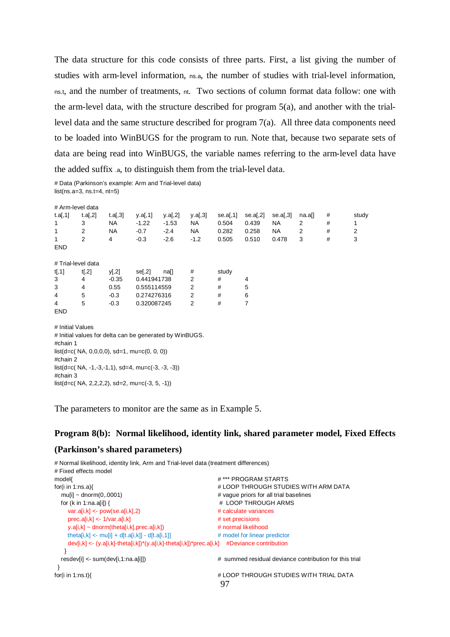The data structure for this code consists of three parts. First, a list giving the number of studies with arm-level information, ns.a, the number of studies with trial-level information, ns.t, and the number of treatments, nt. Two sections of column format data follow: one with the arm-level data, with the structure described for program 5(a), and another with the triallevel data and the same structure described for program 7(a). All three data components need to be loaded into WinBUGS for the program to run. Note that, because two separate sets of data are being read into WinBUGS, the variable names referring to the arm-level data have the added suffix .a, to distinguish them from the trial-level data.

# Data (Parkinson's example: Arm and Trial-level data) list(ns.a=3, ns.t=4, nt=5)

| # Arm-level data                                        |         |           |             |                |                |          |          |          |                |   |       |
|---------------------------------------------------------|---------|-----------|-------------|----------------|----------------|----------|----------|----------|----------------|---|-------|
| t.a[,1]                                                 | t.a[,2] | t.a[,3]   | y.a[,1]     | y.a $[$ ,2 $]$ | y.a $[,3]$     | se.a[,1] | se.a[,2] | se.a[,3] | na.a[]         | # | study |
| 1                                                       | 3       | <b>NA</b> | $-1.22$     | $-1.53$        | NA.            | 0.504    | 0.439    | NA       | 2              | # | 1     |
| 1                                                       | 2       | <b>NA</b> | $-0.7$      | $-2.4$         | NA             | 0.282    | 0.258    | NA       | $\overline{2}$ | # | 2     |
| 1                                                       | 2       | 4         | $-0.3$      | $-2.6$         | $-1.2$         | 0.505    | 0.510    | 0.478    | 3              | # | 3     |
| <b>END</b>                                              |         |           |             |                |                |          |          |          |                |   |       |
|                                                         |         |           |             |                |                |          |          |          |                |   |       |
| # Trial-level data                                      |         |           |             |                |                |          |          |          |                |   |       |
| t[, 1]                                                  | t[, 2]  | y[,2]     | se[,2]      | na[]           | #              | study    |          |          |                |   |       |
| 3                                                       | 4       | $-0.35$   | 0.441941738 |                | $\overline{2}$ | #        | 4        |          |                |   |       |
| 3                                                       | 4       | 0.55      | 0.555114559 |                | 2              | #        | 5        |          |                |   |       |
| 4                                                       | 5       | $-0.3$    | 0.274276316 |                | 2              | #        | 6        |          |                |   |       |
| $\overline{4}$                                          | 5       | $-0.3$    | 0.320087245 |                | 2              | #        | 7        |          |                |   |       |
| <b>END</b>                                              |         |           |             |                |                |          |          |          |                |   |       |
|                                                         |         |           |             |                |                |          |          |          |                |   |       |
| # Initial Values                                        |         |           |             |                |                |          |          |          |                |   |       |
| # Initial values for delta can be generated by WinBUGS. |         |           |             |                |                |          |          |          |                |   |       |
| #chain 1                                                |         |           |             |                |                |          |          |          |                |   |       |
| $list(d=c(NA, 0,0,0,0), sd=1, mu=c(0, 0, 0))$           |         |           |             |                |                |          |          |          |                |   |       |
| #chain 2                                                |         |           |             |                |                |          |          |          |                |   |       |
| $list(d=c(NA, -1, -3, -1, 1), sd=4, mu=c(-3, -3, -3))$  |         |           |             |                |                |          |          |          |                |   |       |
| #chain 3                                                |         |           |             |                |                |          |          |          |                |   |       |
| $list(d=c(NA, 2,2,2,2), sd=2, mu=c(-3, 5, -1))$         |         |           |             |                |                |          |          |          |                |   |       |

The parameters to monitor are the same as in Example 5.

#### **Program 8(b): Normal likelihood, identity link, shared parameter model, Fixed Effects**

#### **(Parkinson's shared parameters)**

```
97
# Normal likelihood, identity link, Arm and Trial-level data (treatment differences)
# Fixed effects model
model{ # *** PROGRAM STARTS
for(i in 1:ns.a){ # LOOP THROUGH STUDIES WITH ARM DATA
 mulil ~ dnorm(0..0001) https://www.mulil ~ dnorm(0..0001) http://www.mulil ~ dnorm(0..0001)
 for (k in 1:na.a[i]) { \qquad # LOOP THROUGH ARMS
    var.a[i,k] <- pow(se.a[i,k],2) # calculate variances
   prec.a[i,k] <- 1/var.a[i,k] # set precisions
   y.a[i,k] ~ dnorm(theta[i,k],prec.a[i,k]) # normal likelihood
   theta[i,k] \lt- mu[i] + d[t.a[i,k]] - d[t.a[i,1]] \qquad # model for linear predictor
    dev[i,k] <- (y.a[i,k]-theta[i,k])*(y.a[i,k]-theta[i,k])*prec.a[i,k] #Deviance contribution
  \lambda resdev[i] <- sum(dev[i,1:na.a[i]]) # summed residual deviance contribution for this trial
 }
for(i in 1:ns.t){ \qquad # LOOP THROUGH STUDIES WITH TRIAL DATA
```